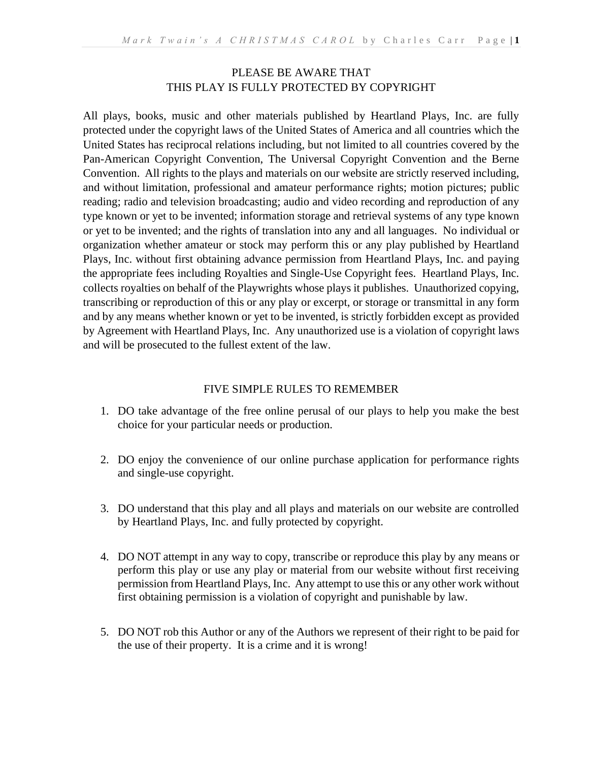# PLEASE BE AWARE THAT THIS PLAY IS FULLY PROTECTED BY COPYRIGHT

All plays, books, music and other materials published by Heartland Plays, Inc. are fully protected under the copyright laws of the United States of America and all countries which the United States has reciprocal relations including, but not limited to all countries covered by the Pan-American Copyright Convention, The Universal Copyright Convention and the Berne Convention. All rights to the plays and materials on our website are strictly reserved including, and without limitation, professional and amateur performance rights; motion pictures; public reading; radio and television broadcasting; audio and video recording and reproduction of any type known or yet to be invented; information storage and retrieval systems of any type known or yet to be invented; and the rights of translation into any and all languages. No individual or organization whether amateur or stock may perform this or any play published by Heartland Plays, Inc. without first obtaining advance permission from Heartland Plays, Inc. and paying the appropriate fees including Royalties and Single-Use Copyright fees. Heartland Plays, Inc. collects royalties on behalf of the Playwrights whose plays it publishes. Unauthorized copying, transcribing or reproduction of this or any play or excerpt, or storage or transmittal in any form and by any means whether known or yet to be invented, is strictly forbidden except as provided by Agreement with Heartland Plays, Inc. Any unauthorized use is a violation of copyright laws and will be prosecuted to the fullest extent of the law.

# FIVE SIMPLE RULES TO REMEMBER

- 1. DO take advantage of the free online perusal of our plays to help you make the best choice for your particular needs or production.
- 2. DO enjoy the convenience of our online purchase application for performance rights and single-use copyright.
- 3. DO understand that this play and all plays and materials on our website are controlled by Heartland Plays, Inc. and fully protected by copyright.
- 4. DO NOT attempt in any way to copy, transcribe or reproduce this play by any means or perform this play or use any play or material from our website without first receiving permission from Heartland Plays, Inc. Any attempt to use this or any other work without first obtaining permission is a violation of copyright and punishable by law.
- 5. DO NOT rob this Author or any of the Authors we represent of their right to be paid for the use of their property. It is a crime and it is wrong!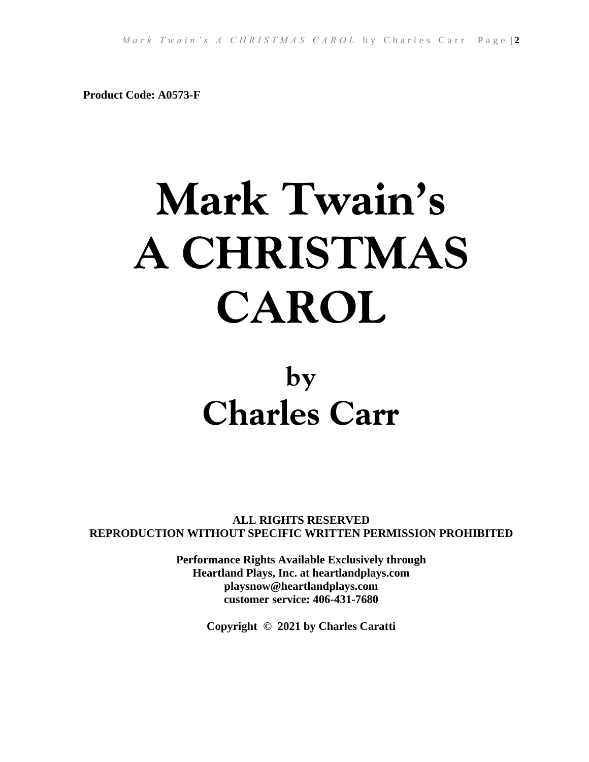**Product Code: A0573-F**

# **Mark Twain's A CHRISTMAS CAROL**

# **by Charles Carr**

**ALL RIGHTS RESERVED REPRODUCTION WITHOUT SPECIFIC WRITTEN PERMISSION PROHIBITED**

> **Performance Rights Available Exclusively through Heartland Plays, Inc. at heartlandplays.com playsnow@heartlandplays.com customer service: 406-431-7680**

> > **Copyright © 2021 by Charles Caratti**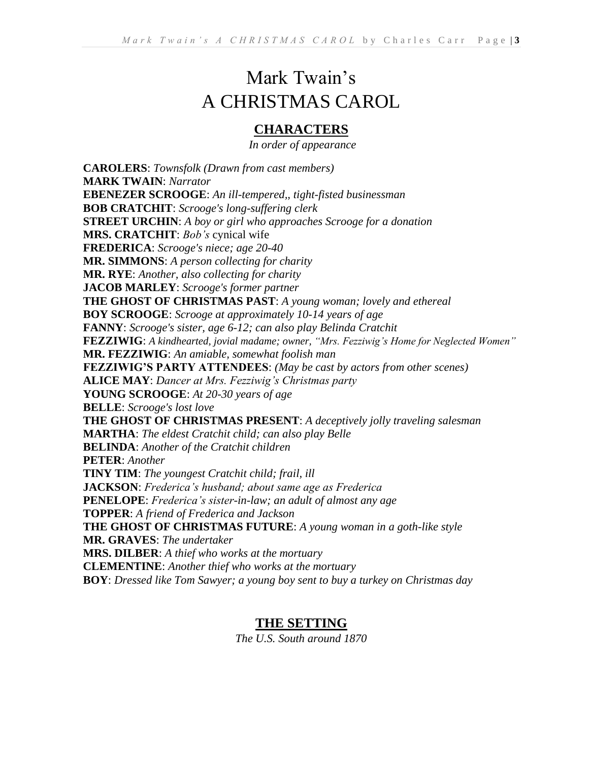# Mark Twain's A CHRISTMAS CAROL

# **CHARACTERS**

*In order of appearance*

**CAROLERS**: *Townsfolk (Drawn from cast members)* **MARK TWAIN**: *Narrator* **EBENEZER SCROOGE**: *An ill-tempered,, tight-fisted businessman* **BOB CRATCHIT**: *Scrooge's long-suffering clerk* **STREET URCHIN**: *A boy or girl who approaches Scrooge for a donation* **MRS. CRATCHIT**: *Bob's* cynical wife **FREDERICA**: *Scrooge's niece; age 20-40*  **MR. SIMMONS**: *A person collecting for charity* **MR. RYE**: *Another, also collecting for charity* **JACOB MARLEY**: *Scrooge's former partner* **THE GHOST OF CHRISTMAS PAST**: *A young woman; lovely and ethereal* **BOY SCROOGE**: *Scrooge at approximately 10-14 years of age* **FANNY**: *Scrooge's sister, age 6-12; can also play Belinda Cratchit* **FEZZIWIG**: *A kindhearted, jovial madame; owner, "Mrs. Fezziwig's Home for Neglected Women"* **MR. FEZZIWIG**: *An amiable, somewhat foolish man* **FEZZIWIG'S PARTY ATTENDEES**: *(May be cast by actors from other scenes)* **ALICE MAY**: *Dancer at Mrs. Fezziwig's Christmas party* **YOUNG SCROOGE**: *At 20-30 years of age* **BELLE**: *Scrooge's lost love* **THE GHOST OF CHRISTMAS PRESENT**: *A deceptively jolly traveling salesman* **MARTHA**: *The eldest Cratchit child; can also play Belle* **BELINDA**: *Another of the Cratchit children* **PETER**: *Another* **TINY TIM**: *The youngest Cratchit child; frail, ill* **JACKSON**: *Frederica's husband; about same age as Frederica* **PENELOPE**: *Frederica's sister-in-law; an adult of almost any age* **TOPPER**: *A friend of Frederica and Jackson* **THE GHOST OF CHRISTMAS FUTURE**: *A young woman in a goth-like style* **MR. GRAVES**: *The undertaker* **MRS. DILBER**: *A thief who works at the mortuary* **CLEMENTINE**: *Another thief who works at the mortuary* **BOY**: *Dressed like Tom Sawyer; a young boy sent to buy a turkey on Christmas day*

# **THE SETTING**

*The U.S. South around 1870*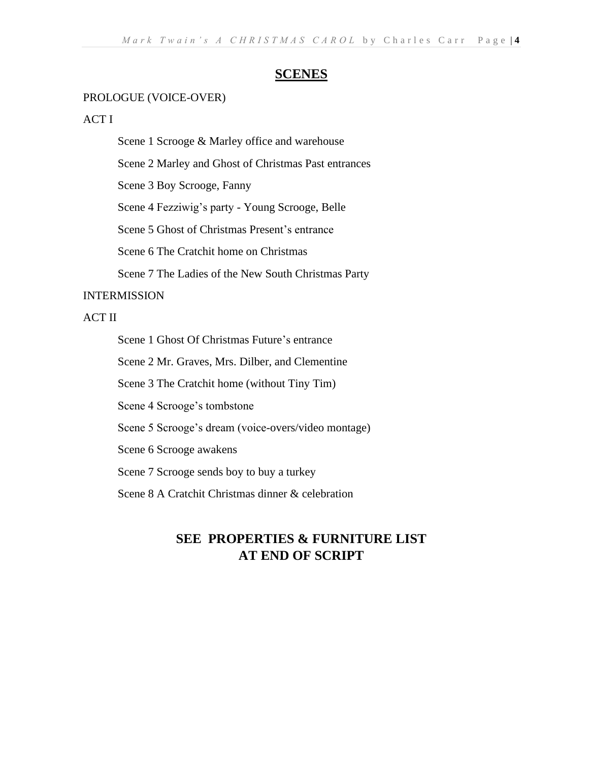# **SCENES**

#### PROLOGUE (VOICE-OVER)

#### ACT I

Scene 1 Scrooge & Marley office and warehouse

Scene 2 Marley and Ghost of Christmas Past entrances

Scene 3 Boy Scrooge, Fanny

Scene 4 Fezziwig's party - Young Scrooge, Belle

Scene 5 Ghost of Christmas Present's entrance

Scene 6 The Cratchit home on Christmas

Scene 7 The Ladies of the New South Christmas Party

#### INTERMISSION

# ACT II

Scene 1 Ghost Of Christmas Future's entrance

Scene 2 Mr. Graves, Mrs. Dilber, and Clementine

Scene 3 The Cratchit home (without Tiny Tim)

Scene 4 Scrooge's tombstone

Scene 5 Scrooge's dream (voice-overs/video montage)

Scene 6 Scrooge awakens

Scene 7 Scrooge sends boy to buy a turkey

Scene 8 A Cratchit Christmas dinner & celebration

# **SEE PROPERTIES & FURNITURE LIST AT END OF SCRIPT**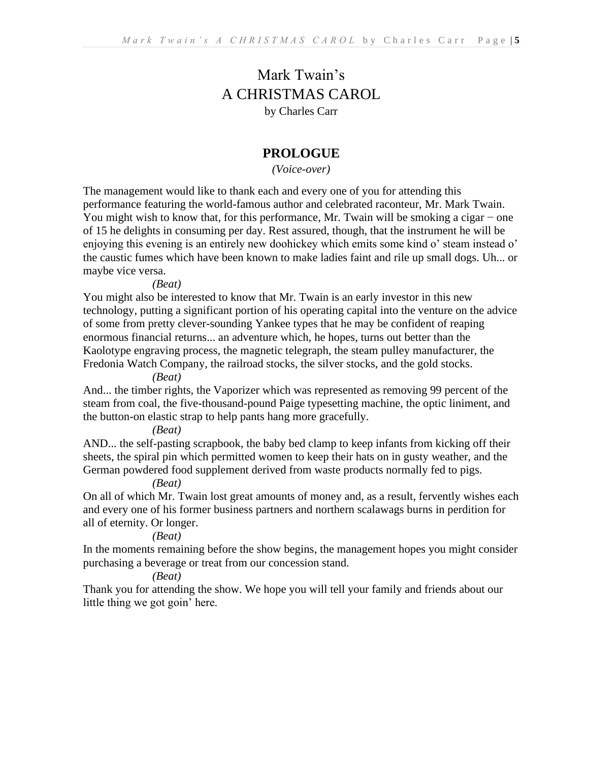# Mark Twain's A CHRISTMAS CAROL by Charles Carr

# **PROLOGUE**

*(Voice-over)*

The management would like to thank each and every one of you for attending this performance featuring the world-famous author and celebrated raconteur, Mr. Mark Twain. You might wish to know that, for this performance, Mr. Twain will be smoking a cigar − one of 15 he delights in consuming per day. Rest assured, though, that the instrument he will be enjoying this evening is an entirely new doohickey which emits some kind o' steam instead o' the caustic fumes which have been known to make ladies faint and rile up small dogs. Uh... or maybe vice versa.

*(Beat)*

You might also be interested to know that Mr. Twain is an early investor in this new technology, putting a significant portion of his operating capital into the venture on the advice of some from pretty clever-sounding Yankee types that he may be confident of reaping enormous financial returns... an adventure which, he hopes, turns out better than the Kaolotype engraving process, the magnetic telegraph, the steam pulley manufacturer, the Fredonia Watch Company, the railroad stocks, the silver stocks, and the gold stocks.

*(Beat)*

And... the timber rights, the Vaporizer which was represented as removing 99 percent of the steam from coal, the five-thousand-pound Paige typesetting machine, the optic liniment, and the button-on elastic strap to help pants hang more gracefully.

*(Beat)*

AND... the self-pasting scrapbook, the baby bed clamp to keep infants from kicking off their sheets, the spiral pin which permitted women to keep their hats on in gusty weather, and the German powdered food supplement derived from waste products normally fed to pigs.

*(Beat)*

On all of which Mr. Twain lost great amounts of money and, as a result, fervently wishes each and every one of his former business partners and northern scalawags burns in perdition for all of eternity. Or longer.

*(Beat)*

In the moments remaining before the show begins, the management hopes you might consider purchasing a beverage or treat from our concession stand.

*(Beat)*

Thank you for attending the show. We hope you will tell your family and friends about our little thing we got goin' here.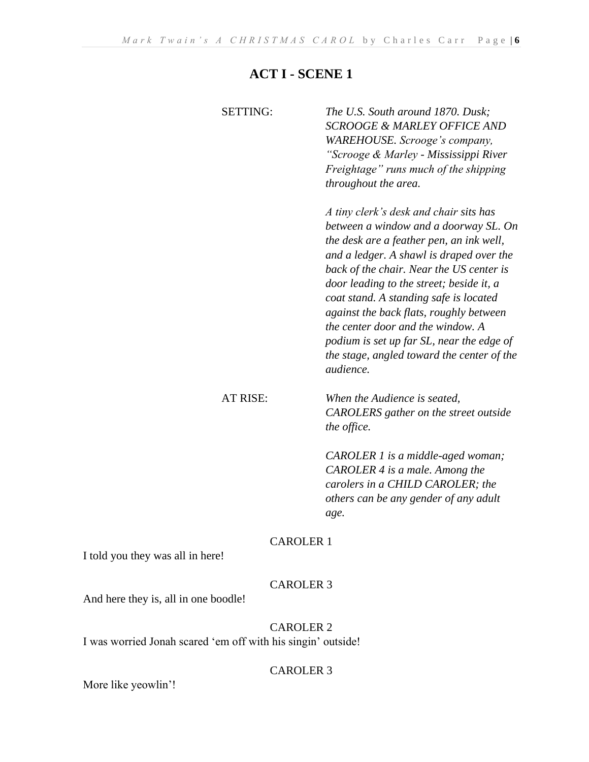# **ACT I - SCENE 1**

| <b>SETTING:</b> | The U.S. South around 1870. Dusk:<br><b>SCROOGE &amp; MARLEY OFFICE AND</b><br>WAREHOUSE. Scrooge's company,<br>"Scrooge & Marley - Mississippi River<br>Freightage" runs much of the shipping<br>throughout the area.                                                                                                                                                                                                                                                                                    |
|-----------------|-----------------------------------------------------------------------------------------------------------------------------------------------------------------------------------------------------------------------------------------------------------------------------------------------------------------------------------------------------------------------------------------------------------------------------------------------------------------------------------------------------------|
|                 | A tiny clerk's desk and chair sits has<br>between a window and a doorway SL. On<br>the desk are a feather pen, an ink well,<br>and a ledger. A shawl is draped over the<br>back of the chair. Near the US center is<br>door leading to the street; beside it, a<br>coat stand. A standing safe is located<br>against the back flats, roughly between<br>the center door and the window. A<br>podium is set up far SL, near the edge of<br>the stage, angled toward the center of the<br><i>audience</i> . |
| <b>AT RISE:</b> | When the Audience is seated,<br>CAROLERS gather on the street outside<br>the office.                                                                                                                                                                                                                                                                                                                                                                                                                      |
|                 | CAROLER 1 is a middle-aged woman;<br>CAROLER 4 is a male. Among the<br>carolers in a CHILD CAROLER; the<br>others can be any gender of any adult<br>age.                                                                                                                                                                                                                                                                                                                                                  |

# CAROLER 1

I told you they was all in here!

# CAROLER 3

And here they is, all in one boodle!

# CAROLER 2

I was worried Jonah scared 'em off with his singin' outside!

# CAROLER 3

More like yeowlin'!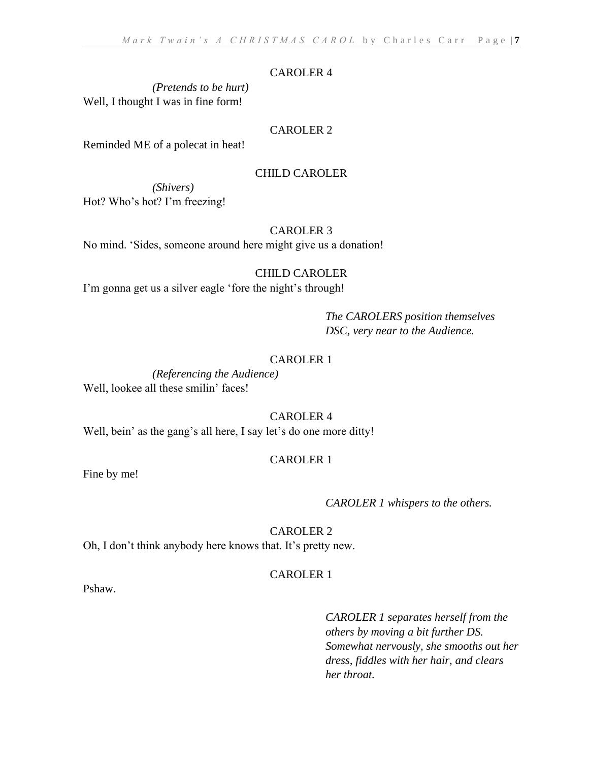#### CAROLER 4

*(Pretends to be hurt)* Well, I thought I was in fine form!

#### CAROLER 2

Reminded ME of a polecat in heat!

#### CHILD CAROLER

*(Shivers)* Hot? Who's hot? I'm freezing!

#### CAROLER 3

No mind. 'Sides, someone around here might give us a donation!

# CHILD CAROLER

I'm gonna get us a silver eagle 'fore the night's through!

*The CAROLERS position themselves DSC, very near to the Audience.*

#### CAROLER 1

*(Referencing the Audience)* Well, lookee all these smilin' faces!

#### CAROLER 4

Well, bein' as the gang's all here, I say let's do one more ditty!

#### CAROLER 1

Fine by me!

#### *CAROLER 1 whispers to the others.*

CAROLER 2

Oh, I don't think anybody here knows that. It's pretty new.

# CAROLER 1

Pshaw.

*CAROLER 1 separates herself from the others by moving a bit further DS. Somewhat nervously, she smooths out her dress, fiddles with her hair, and clears her throat.*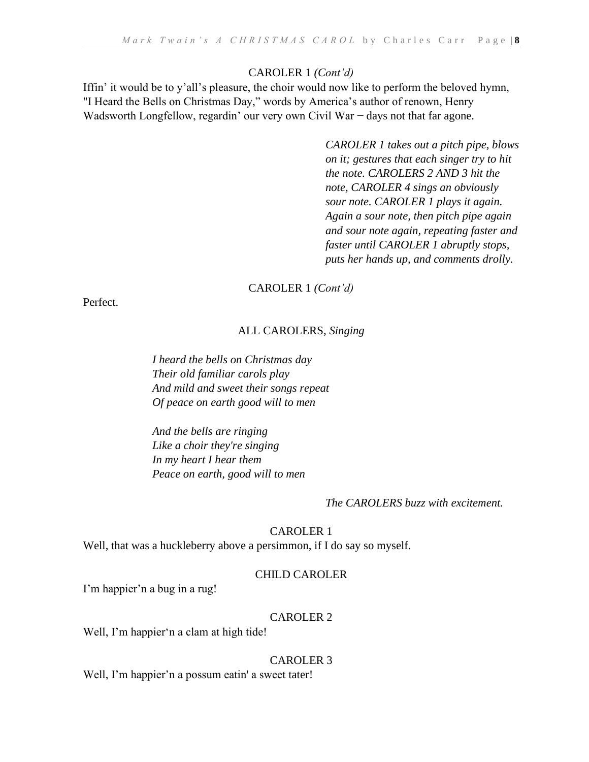#### CAROLER 1 *(Cont'd)*

Iffin' it would be to y'all's pleasure, the choir would now like to perform the beloved hymn, "I Heard the Bells on Christmas Day," words by America's author of renown, Henry Wadsworth Longfellow, regardin' our very own Civil War − days not that far agone.

> *CAROLER 1 takes out a pitch pipe, blows on it; gestures that each singer try to hit the note. CAROLERS 2 AND 3 hit the note, CAROLER 4 sings an obviously sour note. CAROLER 1 plays it again. Again a sour note, then pitch pipe again and sour note again, repeating faster and faster until CAROLER 1 abruptly stops, puts her hands up, and comments drolly.*

#### CAROLER 1 *(Cont'd)*

Perfect.

#### ALL CAROLERS, *Singing*

*I heard the bells on Christmas day Their old familiar carols play And mild and sweet their songs repeat Of peace on earth good will to men*

*And the bells are ringing Like a choir they're singing In my heart I hear them Peace on earth, good will to men*

#### *The CAROLERS buzz with excitement.*

#### CAROLER 1

Well, that was a huckleberry above a persimmon, if I do say so myself.

#### CHILD CAROLER

I'm happier'n a bug in a rug!

#### CAROLER 2

Well, I'm happier'n a clam at high tide!

#### CAROLER 3

Well, I'm happier'n a possum eatin' a sweet tater!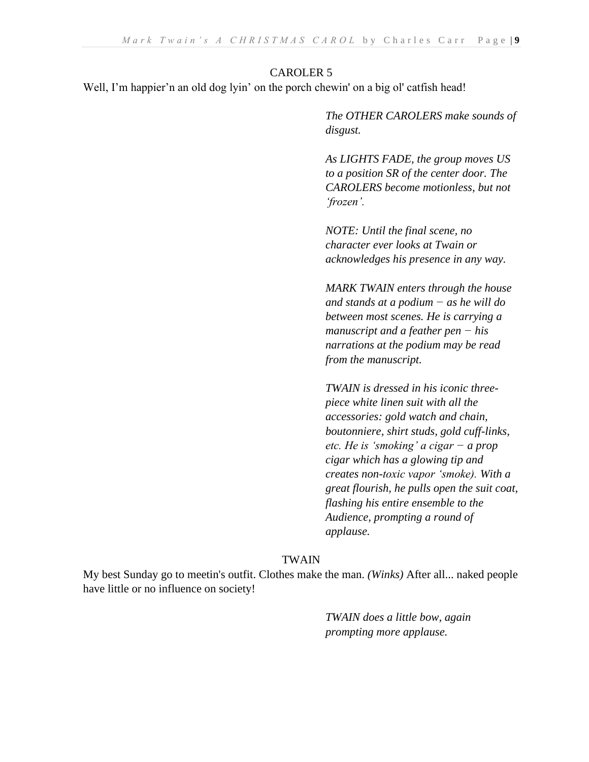#### CAROLER 5

Well, I'm happier'n an old dog lyin' on the porch chewin' on a big ol' catfish head!

*The OTHER CAROLERS make sounds of disgust.*

*As LIGHTS FADE, the group moves US to a position SR of the center door. The CAROLERS become motionless, but not 'frozen'.*

*NOTE: Until the final scene, no character ever looks at Twain or acknowledges his presence in any way.*

*MARK TWAIN enters through the house and stands at a podium − as he will do between most scenes. He is carrying a manuscript and a feather pen − his narrations at the podium may be read from the manuscript.* 

*TWAIN is dressed in his iconic threepiece white linen suit with all the accessories: gold watch and chain, boutonniere, shirt studs, gold cuff-links, etc. He is 'smoking' a cigar − a prop cigar which has a glowing tip and creates non-toxic vapor 'smoke). With a great flourish, he pulls open the suit coat, flashing his entire ensemble to the Audience, prompting a round of applause.*

#### TWAIN

My best Sunday go to meetin's outfit. Clothes make the man. *(Winks)* After all... naked people have little or no influence on society!

> *TWAIN does a little bow, again prompting more applause.*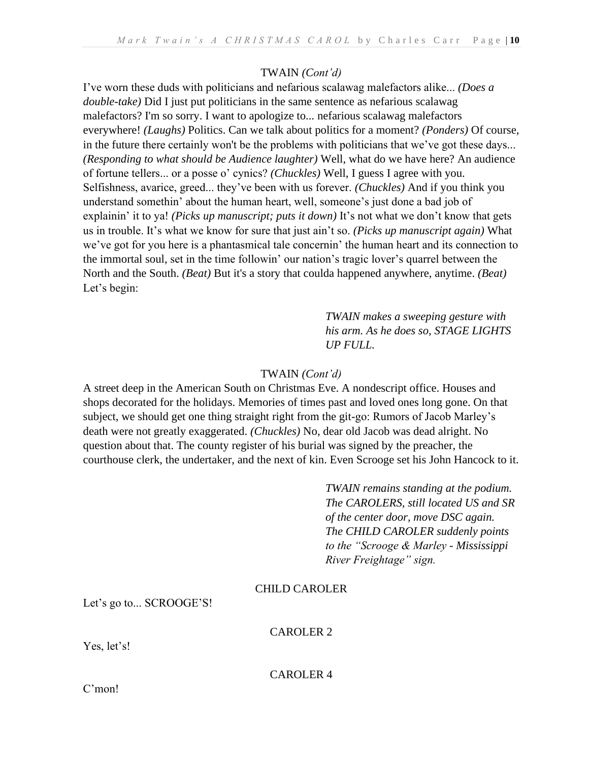# TWAIN *(Cont'd)*

I've worn these duds with politicians and nefarious scalawag malefactors alike... *(Does a double-take)* Did I just put politicians in the same sentence as nefarious scalawag malefactors? I'm so sorry. I want to apologize to... nefarious scalawag malefactors everywhere! *(Laughs)* Politics. Can we talk about politics for a moment? *(Ponders)* Of course, in the future there certainly won't be the problems with politicians that we've got these days... *(Responding to what should be Audience laughter)* Well, what do we have here? An audience of fortune tellers... or a posse o' cynics? *(Chuckles)* Well, I guess I agree with you. Selfishness, avarice, greed... they've been with us forever. *(Chuckles)* And if you think you understand somethin' about the human heart, well, someone's just done a bad job of explainin' it to ya! *(Picks up manuscript; puts it down)* It's not what we don't know that gets us in trouble. It's what we know for sure that just ain't so. *(Picks up manuscript again)* What we've got for you here is a phantasmical tale concernin' the human heart and its connection to the immortal soul, set in the time followin' our nation's tragic lover's quarrel between the North and the South. *(Beat)* But it's a story that coulda happened anywhere, anytime. *(Beat)* Let's begin:

> *TWAIN makes a sweeping gesture with his arm. As he does so, STAGE LIGHTS UP FULL.*

# TWAIN *(Cont'd)*

A street deep in the American South on Christmas Eve. A nondescript office. Houses and shops decorated for the holidays. Memories of times past and loved ones long gone. On that subject, we should get one thing straight right from the git-go: Rumors of Jacob Marley's death were not greatly exaggerated. *(Chuckles)* No, dear old Jacob was dead alright. No question about that. The county register of his burial was signed by the preacher, the courthouse clerk, the undertaker, and the next of kin. Even Scrooge set his John Hancock to it.

> *TWAIN remains standing at the podium. The CAROLERS, still located US and SR of the center door, move DSC again. The CHILD CAROLER suddenly points to the "Scrooge & Marley - Mississippi River Freightage" sign.*

# CHILD CAROLER

Let's go to... SCROOGE'S!

# CAROLER 2

Yes, let's!

CAROLER 4

C'mon!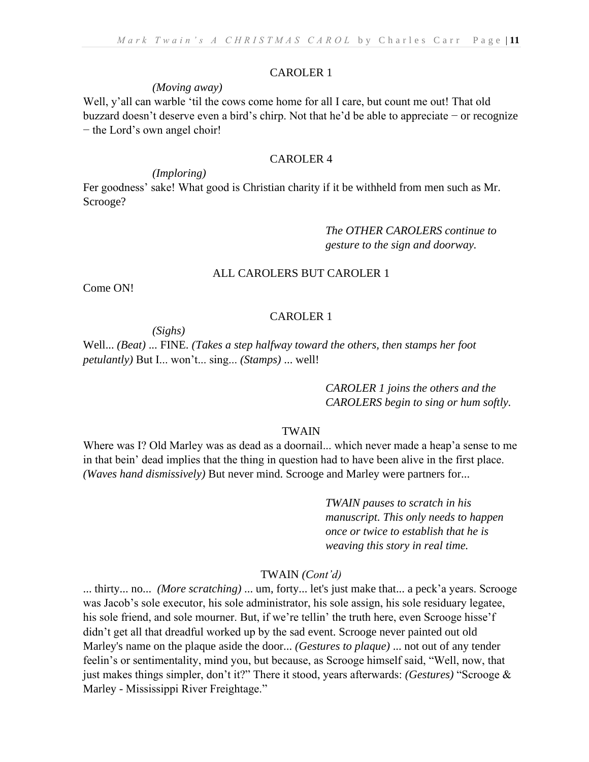#### CAROLER 1

#### *(Moving away)*

Well, y'all can warble 'til the cows come home for all I care, but count me out! That old buzzard doesn't deserve even a bird's chirp. Not that he'd be able to appreciate − or recognize − the Lord's own angel choir!

# CAROLER 4

# *(Imploring)*

Fer goodness' sake! What good is Christian charity if it be withheld from men such as Mr. Scrooge?

# *The OTHER CAROLERS continue to gesture to the sign and doorway.*

#### ALL CAROLERS BUT CAROLER 1

Come ON!

#### CAROLER 1

*(Sighs)* 

Well... *(Beat)* ... FINE. *(Takes a step halfway toward the others, then stamps her foot petulantly)* But I... won't... sing... *(Stamps)* ... well!

> *CAROLER 1 joins the others and the CAROLERS begin to sing or hum softly.*

#### TWAIN

Where was I? Old Marley was as dead as a doornail... which never made a heap'a sense to me in that bein' dead implies that the thing in question had to have been alive in the first place. *(Waves hand dismissively)* But never mind. Scrooge and Marley were partners for...

> *TWAIN pauses to scratch in his manuscript. This only needs to happen once or twice to establish that he is weaving this story in real time.*

#### TWAIN *(Cont'd)*

... thirty... no... *(More scratching)* ... um, forty... let's just make that... a peck'a years. Scrooge was Jacob's sole executor, his sole administrator, his sole assign, his sole residuary legatee, his sole friend, and sole mourner. But, if we're tellin' the truth here, even Scrooge hisse'f didn't get all that dreadful worked up by the sad event. Scrooge never painted out old Marley's name on the plaque aside the door... *(Gestures to plaque)* ... not out of any tender feelin's or sentimentality, mind you, but because, as Scrooge himself said, "Well, now, that just makes things simpler, don't it?" There it stood, years afterwards: *(Gestures)* "Scrooge & Marley - Mississippi River Freightage."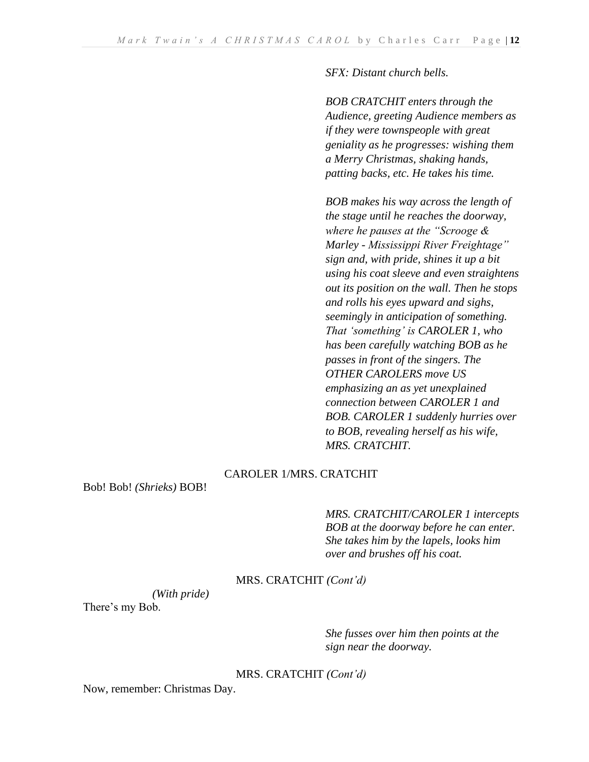*SFX: Distant church bells.*

*BOB CRATCHIT enters through the Audience, greeting Audience members as if they were townspeople with great geniality as he progresses: wishing them a Merry Christmas, shaking hands, patting backs, etc. He takes his time.*

*BOB makes his way across the length of the stage until he reaches the doorway, where he pauses at the "Scrooge & Marley - Mississippi River Freightage" sign and, with pride, shines it up a bit using his coat sleeve and even straightens out its position on the wall. Then he stops and rolls his eyes upward and sighs, seemingly in anticipation of something. That 'something' is CAROLER 1, who has been carefully watching BOB as he passes in front of the singers. The OTHER CAROLERS move US emphasizing an as yet unexplained connection between CAROLER 1 and BOB. CAROLER 1 suddenly hurries over to BOB, revealing herself as his wife, MRS. CRATCHIT.*

#### CAROLER 1/MRS. CRATCHIT

Bob! Bob! *(Shrieks)* BOB!

# *MRS. CRATCHIT/CAROLER 1 intercepts BOB at the doorway before he can enter. She takes him by the lapels, looks him over and brushes off his coat.*

#### MRS. CRATCHIT *(Cont'd)*

*(With pride)*

There's my Bob.

*She fusses over him then points at the sign near the doorway.*

MRS. CRATCHIT *(Cont'd)*

Now, remember: Christmas Day.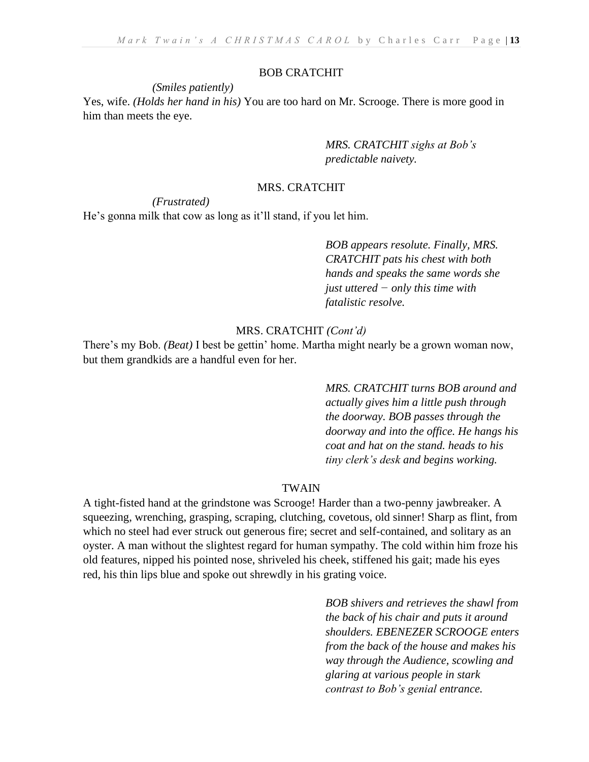#### BOB CRATCHIT

#### *(Smiles patiently)*

Yes, wife. *(Holds her hand in his)* You are too hard on Mr. Scrooge. There is more good in him than meets the eye.

> *MRS. CRATCHIT sighs at Bob's predictable naivety.*

#### MRS. CRATCHIT

#### *(Frustrated)*

He's gonna milk that cow as long as it'll stand, if you let him.

*BOB appears resolute. Finally, MRS. CRATCHIT pats his chest with both hands and speaks the same words she just uttered − only this time with fatalistic resolve.*

#### MRS. CRATCHIT *(Cont'd)*

There's my Bob. *(Beat)* I best be gettin' home. Martha might nearly be a grown woman now, but them grandkids are a handful even for her.

> *MRS. CRATCHIT turns BOB around and actually gives him a little push through the doorway. BOB passes through the doorway and into the office. He hangs his coat and hat on the stand. heads to his tiny clerk's desk and begins working.*

#### TWAIN

A tight-fisted hand at the grindstone was Scrooge! Harder than a two-penny jawbreaker. A squeezing, wrenching, grasping, scraping, clutching, covetous, old sinner! Sharp as flint, from which no steel had ever struck out generous fire; secret and self-contained, and solitary as an oyster. A man without the slightest regard for human sympathy. The cold within him froze his old features, nipped his pointed nose, shriveled his cheek, stiffened his gait; made his eyes red, his thin lips blue and spoke out shrewdly in his grating voice.

> *BOB shivers and retrieves the shawl from the back of his chair and puts it around shoulders. EBENEZER SCROOGE enters from the back of the house and makes his way through the Audience, scowling and glaring at various people in stark contrast to Bob's genial entrance.*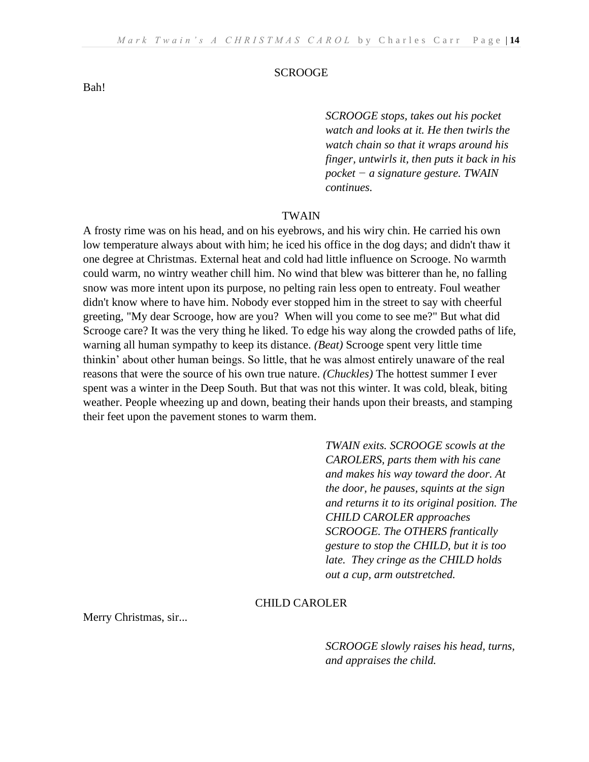*SCROOGE stops, takes out his pocket watch and looks at it. He then twirls the watch chain so that it wraps around his finger, untwirls it, then puts it back in his pocket − a signature gesture. TWAIN continues.*

#### TWAIN

A frosty rime was on his head, and on his eyebrows, and his wiry chin. He carried his own low temperature always about with him; he iced his office in the dog days; and didn't thaw it one degree at Christmas. External heat and cold had little influence on Scrooge. No warmth could warm, no wintry weather chill him. No wind that blew was bitterer than he, no falling snow was more intent upon its purpose, no pelting rain less open to entreaty. Foul weather didn't know where to have him. Nobody ever stopped him in the street to say with cheerful greeting, "My dear Scrooge, how are you? When will you come to see me?" But what did Scrooge care? It was the very thing he liked. To edge his way along the crowded paths of life, warning all human sympathy to keep its distance. *(Beat)* Scrooge spent very little time thinkin' about other human beings. So little, that he was almost entirely unaware of the real reasons that were the source of his own true nature. *(Chuckles)* The hottest summer I ever spent was a winter in the Deep South. But that was not this winter. It was cold, bleak, biting weather. People wheezing up and down, beating their hands upon their breasts, and stamping their feet upon the pavement stones to warm them.

> *TWAIN exits. SCROOGE scowls at the CAROLERS, parts them with his cane and makes his way toward the door. At the door, he pauses, squints at the sign and returns it to its original position. The CHILD CAROLER approaches SCROOGE. The OTHERS frantically gesture to stop the CHILD, but it is too late. They cringe as the CHILD holds out a cup, arm outstretched.*

#### CHILD CAROLER

Merry Christmas, sir...

*SCROOGE slowly raises his head, turns, and appraises the child.*

Bah!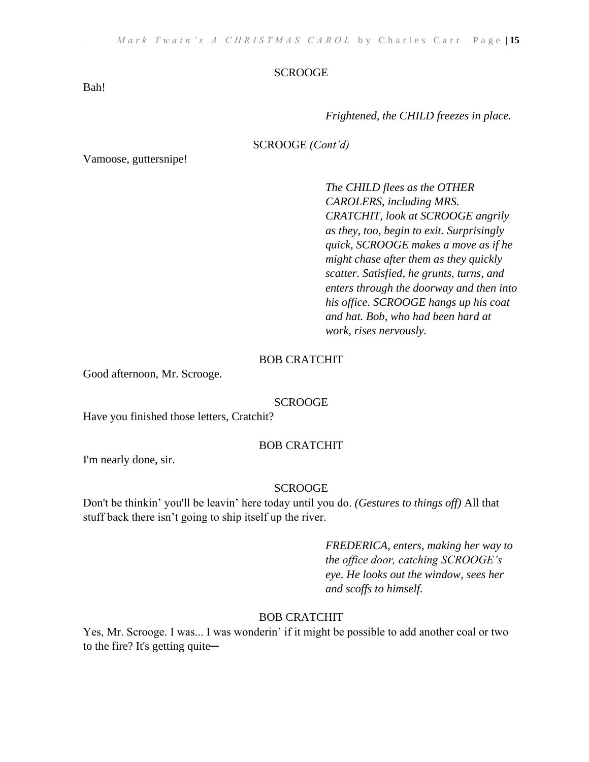Bah!

*Frightened, the CHILD freezes in place.*

#### SCROOGE *(Cont'd)*

Vamoose, guttersnipe!

*The CHILD flees as the OTHER CAROLERS, including MRS. CRATCHIT, look at SCROOGE angrily as they, too, begin to exit. Surprisingly quick, SCROOGE makes a move as if he might chase after them as they quickly scatter. Satisfied, he grunts, turns, and enters through the doorway and then into his office. SCROOGE hangs up his coat and hat. Bob, who had been hard at work, rises nervously.*

#### BOB CRATCHIT

Good afternoon, Mr. Scrooge.

#### SCROOGE

Have you finished those letters, Cratchit?

#### BOB CRATCHIT

I'm nearly done, sir.

#### SCROOGE

Don't be thinkin' you'll be leavin' here today until you do. *(Gestures to things off)* All that stuff back there isn't going to ship itself up the river.

> *FREDERICA, enters, making her way to the office door, catching SCROOGE's eye. He looks out the window, sees her and scoffs to himself.*

#### BOB CRATCHIT

Yes, Mr. Scrooge. I was... I was wonderin' if it might be possible to add another coal or two to the fire? It's getting quite—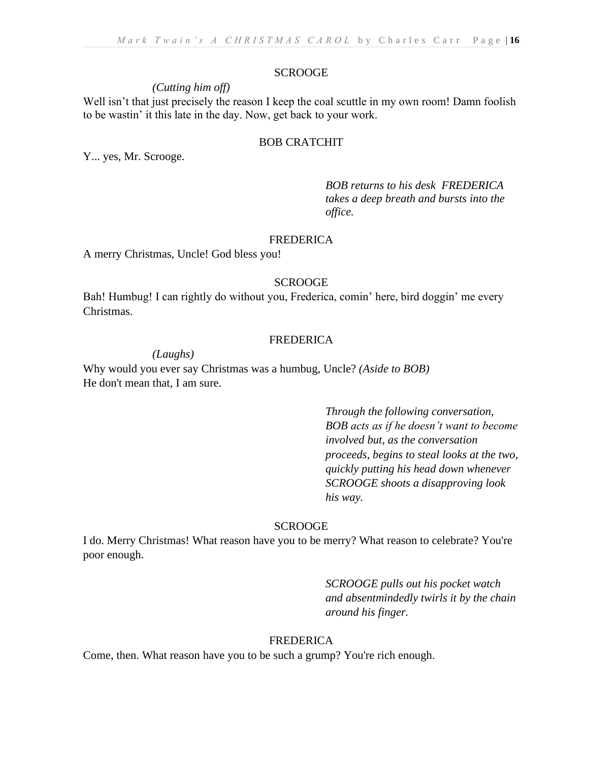# *(Cutting him off)*

Well isn't that just precisely the reason I keep the coal scuttle in my own room! Damn foolish to be wastin' it this late in the day. Now, get back to your work.

# BOB CRATCHIT

Y... yes, Mr. Scrooge.

*BOB returns to his desk FREDERICA takes a deep breath and bursts into the office.*

#### FREDERICA

A merry Christmas, Uncle! God bless you!

#### SCROOGE

Bah! Humbug! I can rightly do without you, Frederica, comin' here, bird doggin' me every Christmas.

#### FREDERICA

*(Laughs)* 

Why would you ever say Christmas was a humbug, Uncle? *(Aside to BOB)* He don't mean that, I am sure.

> *Through the following conversation, BOB acts as if he doesn't want to become involved but, as the conversation proceeds, begins to steal looks at the two, quickly putting his head down whenever SCROOGE shoots a disapproving look his way.*

#### SCROOGE

I do. Merry Christmas! What reason have you to be merry? What reason to celebrate? You're poor enough.

> *SCROOGE pulls out his pocket watch and absentmindedly twirls it by the chain around his finger.*

#### FREDERICA

Come, then. What reason have you to be such a grump? You're rich enough.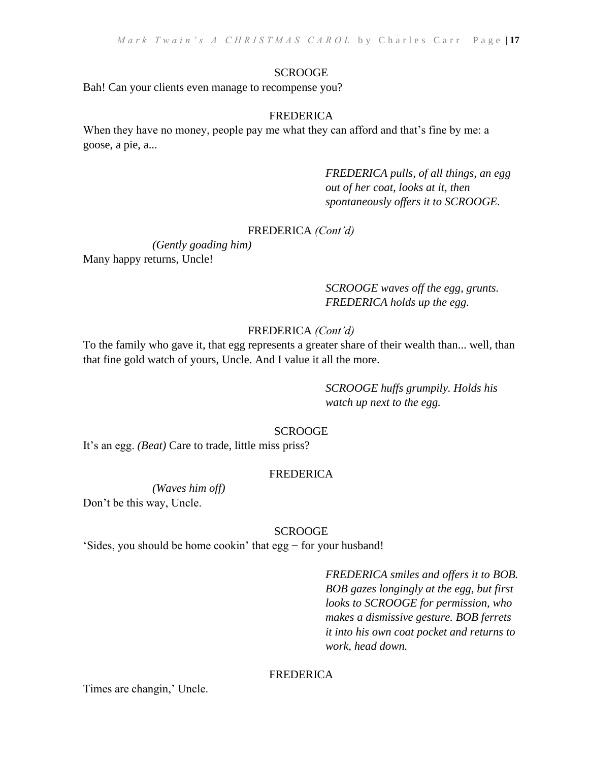Bah! Can your clients even manage to recompense you?

#### FREDERICA

When they have no money, people pay me what they can afford and that's fine by me: a goose, a pie, a...

> *FREDERICA pulls, of all things, an egg out of her coat, looks at it, then spontaneously offers it to SCROOGE.*

# FREDERICA *(Cont'd)*

*(Gently goading him)* Many happy returns, Uncle!

> *SCROOGE waves off the egg, grunts. FREDERICA holds up the egg.*

# FREDERICA *(Cont'd)*

To the family who gave it, that egg represents a greater share of their wealth than... well, than that fine gold watch of yours, Uncle. And I value it all the more.

> *SCROOGE huffs grumpily. Holds his watch up next to the egg.*

#### SCROOGE

It's an egg. *(Beat)* Care to trade, little miss priss?

#### FREDERICA

*(Waves him off)* 

Don't be this way, Uncle.

#### SCROOGE

'Sides, you should be home cookin' that egg − for your husband!

*FREDERICA smiles and offers it to BOB. BOB gazes longingly at the egg, but first looks to SCROOGE for permission, who makes a dismissive gesture. BOB ferrets it into his own coat pocket and returns to work, head down.*

#### FREDERICA

Times are changin,' Uncle.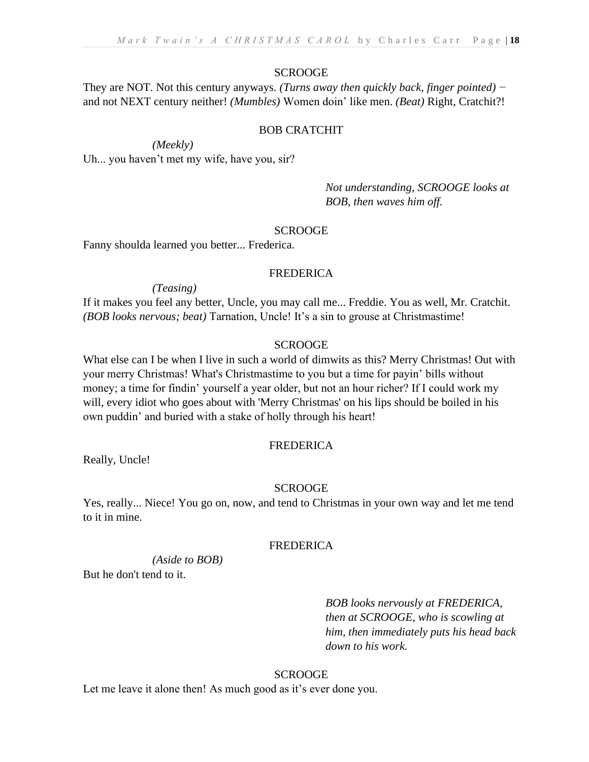They are NOT. Not this century anyways. *(Turns away then quickly back, finger pointed) −*  and not NEXT century neither! *(Mumbles)* Women doin' like men. *(Beat)* Right, Cratchit?!

# BOB CRATCHIT

*(Meekly)*  Uh... you haven't met my wife, have you, sir?

> *Not understanding, SCROOGE looks at BOB, then waves him off.*

#### SCROOGE

Fanny shoulda learned you better... Frederica.

# FREDERICA

*(Teasing)* 

If it makes you feel any better, Uncle, you may call me... Freddie. You as well, Mr. Cratchit. *(BOB looks nervous; beat)* Tarnation, Uncle! It's a sin to grouse at Christmastime!

# SCROOGE

What else can I be when I live in such a world of dimwits as this? Merry Christmas! Out with your merry Christmas! What's Christmastime to you but a time for payin' bills without money; a time for findin' yourself a year older, but not an hour richer? If I could work my will, every idiot who goes about with 'Merry Christmas' on his lips should be boiled in his own puddin' and buried with a stake of holly through his heart!

# FREDERICA

Really, Uncle!

# **SCROOGE**

Yes, really... Niece! You go on, now, and tend to Christmas in your own way and let me tend to it in mine.

# FREDERICA

*(Aside to BOB)*

But he don't tend to it.

*BOB looks nervously at FREDERICA, then at SCROOGE, who is scowling at him, then immediately puts his head back down to his work.*

# **SCROOGE**

Let me leave it alone then! As much good as it's ever done you.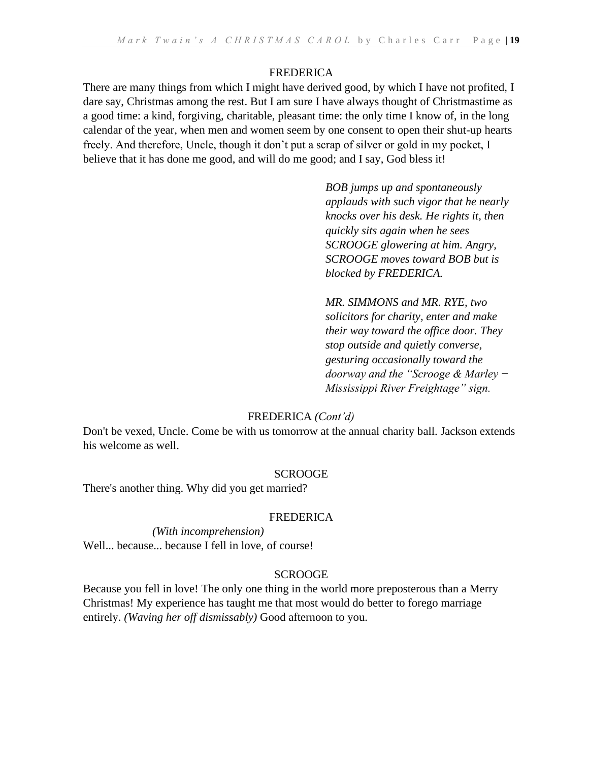# FREDERICA

There are many things from which I might have derived good, by which I have not profited, I dare say, Christmas among the rest. But I am sure I have always thought of Christmastime as a good time: a kind, forgiving, charitable, pleasant time: the only time I know of, in the long calendar of the year, when men and women seem by one consent to open their shut-up hearts freely. And therefore, Uncle, though it don't put a scrap of silver or gold in my pocket, I believe that it has done me good, and will do me good; and I say, God bless it!

> *BOB jumps up and spontaneously applauds with such vigor that he nearly knocks over his desk. He rights it, then quickly sits again when he sees SCROOGE glowering at him. Angry, SCROOGE moves toward BOB but is blocked by FREDERICA.*

> *MR. SIMMONS and MR. RYE, two solicitors for charity, enter and make their way toward the office door. They stop outside and quietly converse, gesturing occasionally toward the doorway and the "Scrooge & Marley − Mississippi River Freightage" sign.*

#### FREDERICA *(Cont'd)*

Don't be vexed, Uncle. Come be with us tomorrow at the annual charity ball. Jackson extends his welcome as well.

# **SCROOGE**

There's another thing. Why did you get married?

#### FREDERICA

*(With incomprehension)*  Well... because... because I fell in love, of course!

#### **SCROOGE**

Because you fell in love! The only one thing in the world more preposterous than a Merry Christmas! My experience has taught me that most would do better to forego marriage entirely. *(Waving her off dismissably)* Good afternoon to you.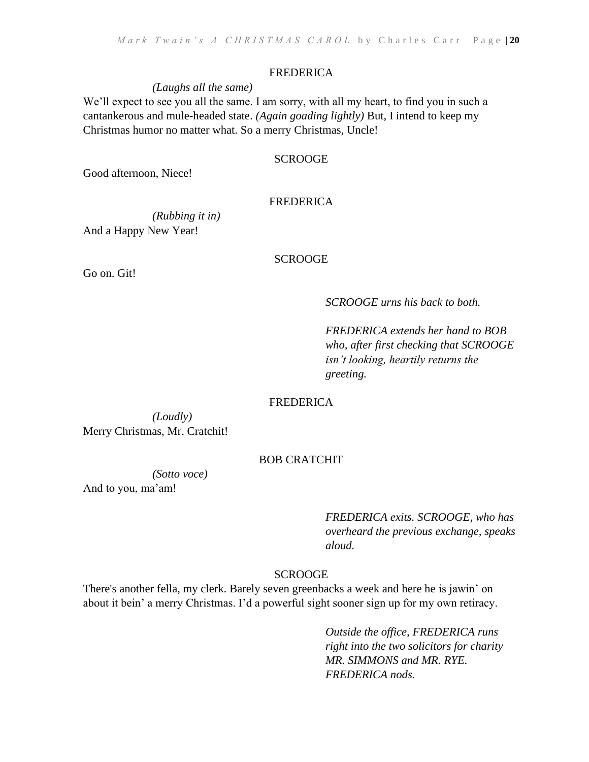#### FREDERICA

#### *(Laughs all the same)*

We'll expect to see you all the same. I am sorry, with all my heart, to find you in such a cantankerous and mule-headed state. *(Again goading lightly)* But, I intend to keep my Christmas humor no matter what. So a merry Christmas, Uncle!

#### **SCROOGE**

Good afternoon, Niece!

# FREDERICA

*(Rubbing it in)*  And a Happy New Year!

Go on. Git!

#### **SCROOGE**

*SCROOGE urns his back to both.*

*FREDERICA extends her hand to BOB who, after first checking that SCROOGE isn't looking, heartily returns the greeting.*

#### FREDERICA

*(Loudly)*  Merry Christmas, Mr. Cratchit!

#### BOB CRATCHIT

*(Sotto voce)* 

And to you, ma'am!

*FREDERICA exits. SCROOGE, who has overheard the previous exchange, speaks aloud.*

#### **SCROOGE**

There's another fella, my clerk. Barely seven greenbacks a week and here he is jawin' on about it bein' a merry Christmas. I'd a powerful sight sooner sign up for my own retiracy.

> *Outside the office, FREDERICA runs right into the two solicitors for charity MR. SIMMONS and MR. RYE. FREDERICA nods.*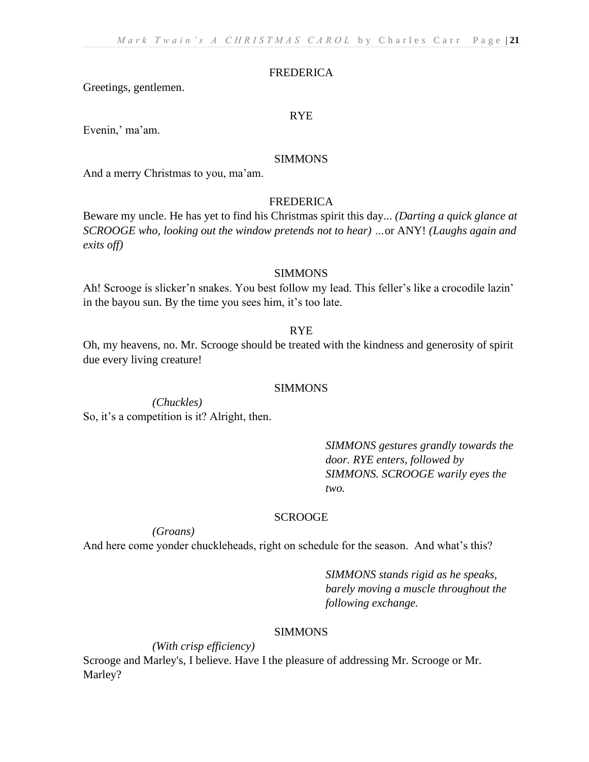#### FREDERICA

Greetings, gentlemen.

#### RYE

Evenin,' ma'am.

#### SIMMONS

And a merry Christmas to you, ma'am.

# FREDERICA

Beware my uncle. He has yet to find his Christmas spirit this day... *(Darting a quick glance at SCROOGE who, looking out the window pretends not to hear) …*or ANY! *(Laughs again and exits off)*

#### SIMMONS

Ah! Scrooge is slicker'n snakes. You best follow my lead. This feller's like a crocodile lazin' in the bayou sun. By the time you sees him, it's too late.

#### RYE

Oh, my heavens, no. Mr. Scrooge should be treated with the kindness and generosity of spirit due every living creature!

#### SIMMONS

*(Chuckles)*  So, it's a competition is it? Alright, then.

> *SIMMONS gestures grandly towards the door. RYE enters, followed by SIMMONS. SCROOGE warily eyes the two.*

#### SCROOGE

*(Groans)* 

And here come yonder chuckleheads, right on schedule for the season. And what's this?

*SIMMONS stands rigid as he speaks, barely moving a muscle throughout the following exchange.*

# SIMMONS

*(With crisp efficiency)* 

Scrooge and Marley's, I believe. Have I the pleasure of addressing Mr. Scrooge or Mr. Marley?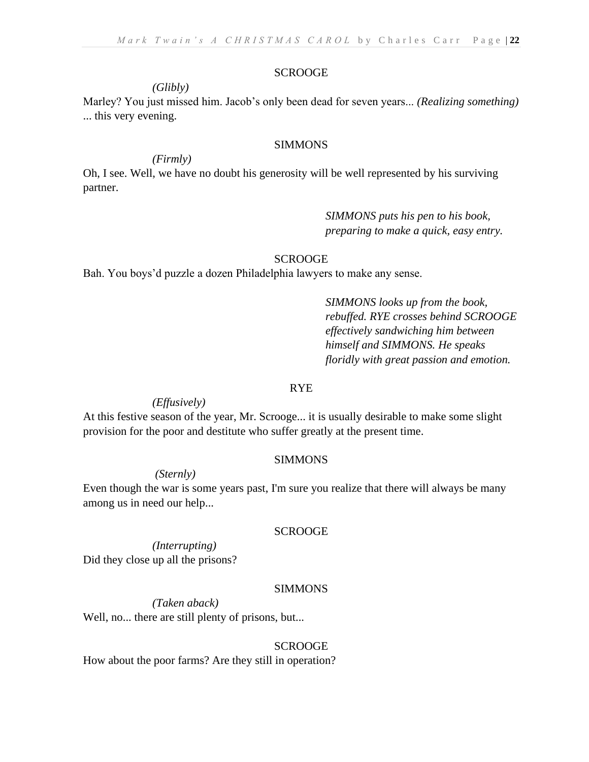# *(Glibly)*

Marley? You just missed him. Jacob's only been dead for seven years... *(Realizing something)* ... this very evening.

#### SIMMONS

#### *(Firmly)*

Oh, I see. Well, we have no doubt his generosity will be well represented by his surviving partner.

# *SIMMONS puts his pen to his book, preparing to make a quick, easy entry.*

# **SCROOGE**

Bah. You boys'd puzzle a dozen Philadelphia lawyers to make any sense.

*SIMMONS looks up from the book, rebuffed. RYE crosses behind SCROOGE effectively sandwiching him between himself and SIMMONS. He speaks floridly with great passion and emotion.*

#### RYE

#### *(Effusively)*

At this festive season of the year, Mr. Scrooge... it is usually desirable to make some slight provision for the poor and destitute who suffer greatly at the present time.

#### SIMMONS

# *(Sternly)*

Even though the war is some years past, I'm sure you realize that there will always be many among us in need our help...

#### SCROOGE

*(Interrupting)*  Did they close up all the prisons?

#### SIMMONS

*(Taken aback)*  Well, no... there are still plenty of prisons, but...

#### SCROOGE

How about the poor farms? Are they still in operation?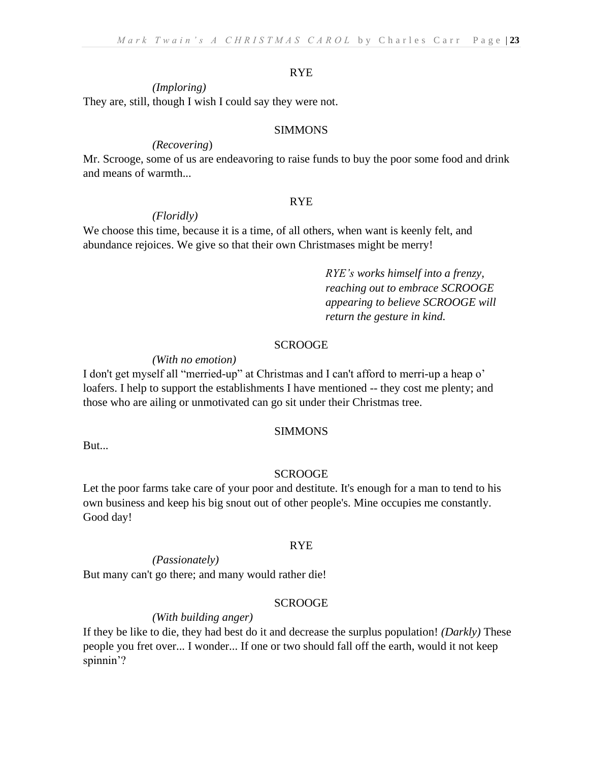#### RYE

#### *(Imploring)*

They are, still, though I wish I could say they were not.

#### SIMMONS

#### *(Recovering*)

Mr. Scrooge, some of us are endeavoring to raise funds to buy the poor some food and drink and means of warmth...

#### RYE

#### *(Floridly)*

We choose this time, because it is a time, of all others, when want is keenly felt, and abundance rejoices. We give so that their own Christmases might be merry!

> *RYE's works himself into a frenzy, reaching out to embrace SCROOGE appearing to believe SCROOGE will return the gesture in kind.*

#### SCROOGE

#### *(With no emotion)*

I don't get myself all "merried-up" at Christmas and I can't afford to merri-up a heap o' loafers. I help to support the establishments I have mentioned -- they cost me plenty; and those who are ailing or unmotivated can go sit under their Christmas tree.

#### SIMMONS

But...

#### **SCROOGE**

Let the poor farms take care of your poor and destitute. It's enough for a man to tend to his own business and keep his big snout out of other people's. Mine occupies me constantly. Good day!

#### RYE

#### *(Passionately)*

But many can't go there; and many would rather die!

#### **SCROOGE**

#### *(With building anger)*

If they be like to die, they had best do it and decrease the surplus population! *(Darkly)* These people you fret over... I wonder... If one or two should fall off the earth, would it not keep spinnin'?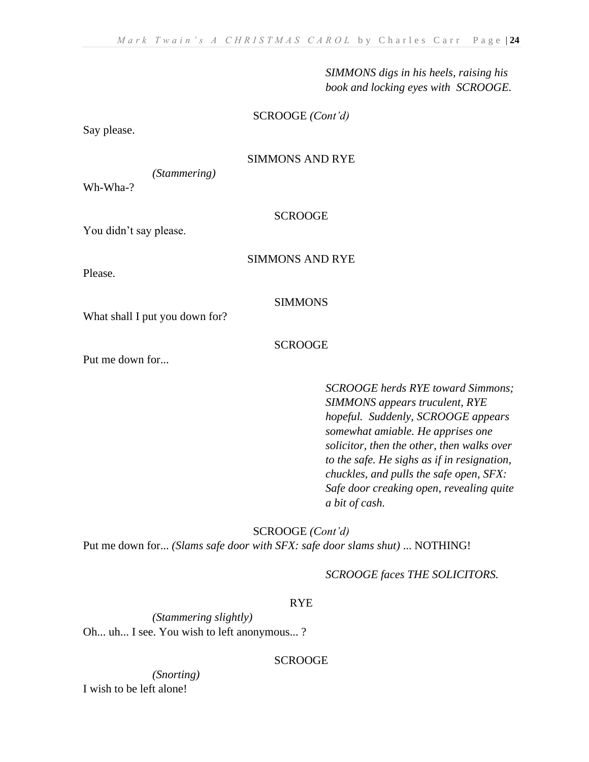*SIMMONS digs in his heels, raising his book and locking eyes with SCROOGE.*

#### SCROOGE *(Cont'd)*

Say please.

# SIMMONS AND RYE

*(Stammering)* 

Wh-Wha-?

# **SCROOGE**

You didn't say please.

#### SIMMONS AND RYE

Please.

## SIMMONS

What shall I put you down for?

#### SCROOGE

Put me down for...

*SCROOGE herds RYE toward Simmons; SIMMONS appears truculent, RYE hopeful. Suddenly, SCROOGE appears somewhat amiable. He apprises one solicitor, then the other, then walks over to the safe. He sighs as if in resignation, chuckles, and pulls the safe open, SFX: Safe door creaking open, revealing quite a bit of cash.*

SCROOGE *(Cont'd)* Put me down for... *(Slams safe door with SFX: safe door slams shut)* ... NOTHING!

*SCROOGE faces THE SOLICITORS.*

# RYE

*(Stammering slightly)*  Oh... uh... I see. You wish to left anonymous... ?

#### **SCROOGE**

*(Snorting)*  I wish to be left alone!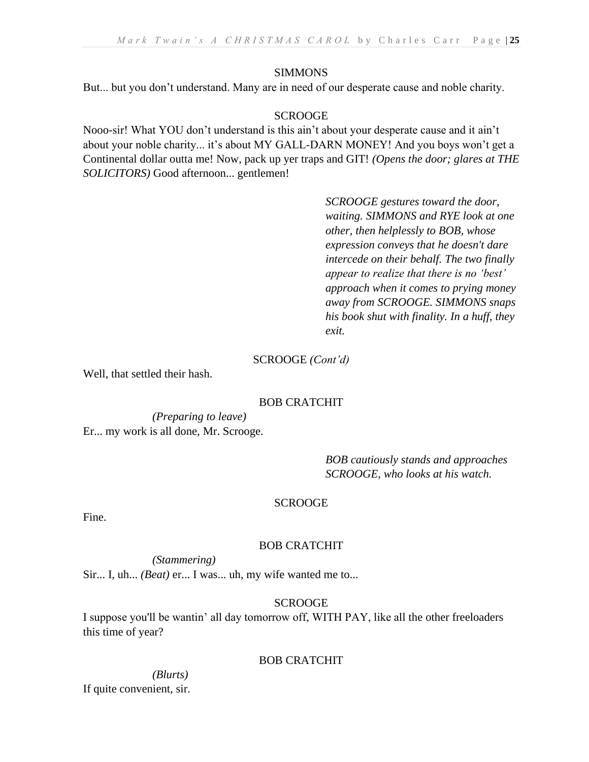# SIMMONS

But... but you don't understand. Many are in need of our desperate cause and noble charity.

# **SCROOGE**

Nooo-sir! What YOU don't understand is this ain't about your desperate cause and it ain't about your noble charity... it's about MY GALL-DARN MONEY! And you boys won't get a Continental dollar outta me! Now, pack up yer traps and GIT! *(Opens the door; glares at THE SOLICITORS)* Good afternoon... gentlemen!

> *SCROOGE gestures toward the door, waiting. SIMMONS and RYE look at one other, then helplessly to BOB, whose expression conveys that he doesn't dare intercede on their behalf. The two finally appear to realize that there is no 'best' approach when it comes to prying money away from SCROOGE. SIMMONS snaps his book shut with finality. In a huff, they exit.*

#### SCROOGE *(Cont'd)*

Well, that settled their hash.

# BOB CRATCHIT

*(Preparing to leave)* Er... my work is all done, Mr. Scrooge.

> *BOB cautiously stands and approaches SCROOGE, who looks at his watch.*

# **SCROOGE**

Fine.

# BOB CRATCHIT

*(Stammering)* 

Sir... I, uh... *(Beat)* er... I was... uh, my wife wanted me to...

# **SCROOGE**

I suppose you'll be wantin' all day tomorrow off, WITH PAY, like all the other freeloaders this time of year?

# BOB CRATCHIT

#### *(Blurts)*  If quite convenient, sir.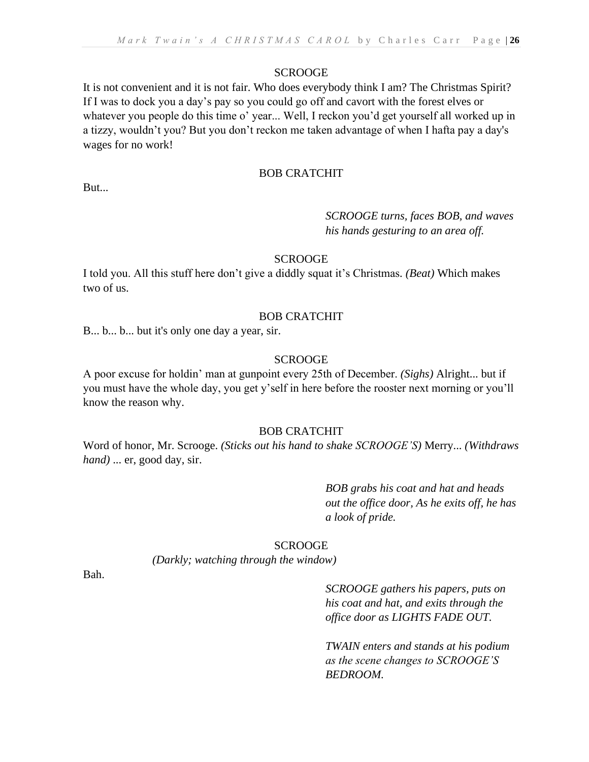It is not convenient and it is not fair. Who does everybody think I am? The Christmas Spirit? If I was to dock you a day's pay so you could go off and cavort with the forest elves or whatever you people do this time o' year... Well, I reckon you'd get yourself all worked up in a tizzy, wouldn't you? But you don't reckon me taken advantage of when I hafta pay a day's wages for no work!

# BOB CRATCHIT

But...

# *SCROOGE turns, faces BOB, and waves his hands gesturing to an area off.*

# **SCROOGE**

I told you. All this stuff here don't give a diddly squat it's Christmas*. (Beat)* Which makes two of us.

#### BOB CRATCHIT

B... b... b... but it's only one day a year, sir.

#### **SCROOGE**

A poor excuse for holdin' man at gunpoint every 25th of December. *(Sighs)* Alright... but if you must have the whole day, you get y'self in here before the rooster next morning or you'll know the reason why.

# BOB CRATCHIT

Word of honor, Mr. Scrooge. *(Sticks out his hand to shake SCROOGE'S)* Merry... *(Withdraws hand)* ... er, good day, sir.

> *BOB grabs his coat and hat and heads out the office door, As he exits off, he has a look of pride.*

# SCROOGE

*(Darkly; watching through the window)* 

Bah.

*SCROOGE gathers his papers, puts on his coat and hat, and exits through the office door as LIGHTS FADE OUT.*

*TWAIN enters and stands at his podium as the scene changes to SCROOGE'S BEDROOM.*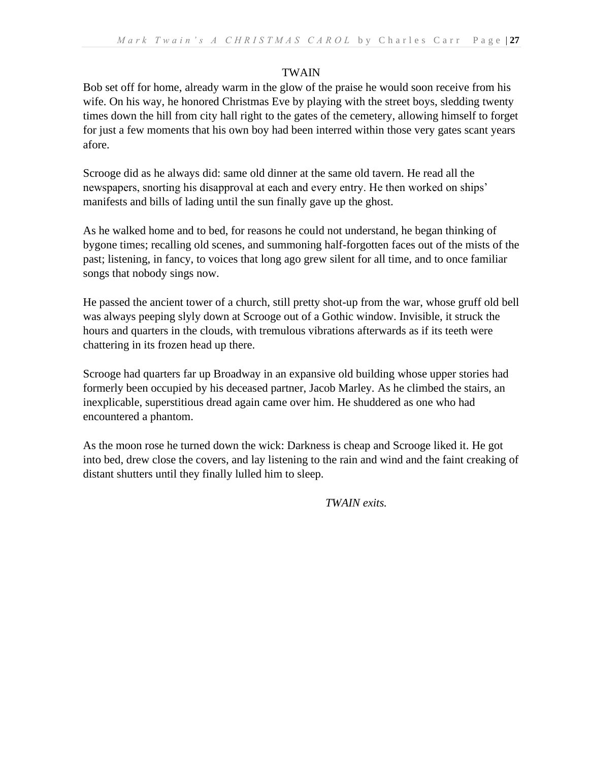# TWAIN

Bob set off for home, already warm in the glow of the praise he would soon receive from his wife. On his way, he honored Christmas Eve by playing with the street boys, sledding twenty times down the hill from city hall right to the gates of the cemetery, allowing himself to forget for just a few moments that his own boy had been interred within those very gates scant years afore.

Scrooge did as he always did: same old dinner at the same old tavern. He read all the newspapers, snorting his disapproval at each and every entry. He then worked on ships' manifests and bills of lading until the sun finally gave up the ghost.

As he walked home and to bed, for reasons he could not understand, he began thinking of bygone times; recalling old scenes, and summoning half-forgotten faces out of the mists of the past; listening, in fancy, to voices that long ago grew silent for all time, and to once familiar songs that nobody sings now.

He passed the ancient tower of a church, still pretty shot-up from the war, whose gruff old bell was always peeping slyly down at Scrooge out of a Gothic window. Invisible, it struck the hours and quarters in the clouds, with tremulous vibrations afterwards as if its teeth were chattering in its frozen head up there.

Scrooge had quarters far up Broadway in an expansive old building whose upper stories had formerly been occupied by his deceased partner, Jacob Marley. As he climbed the stairs, an inexplicable, superstitious dread again came over him. He shuddered as one who had encountered a phantom.

As the moon rose he turned down the wick: Darkness is cheap and Scrooge liked it. He got into bed, drew close the covers, and lay listening to the rain and wind and the faint creaking of distant shutters until they finally lulled him to sleep.

*TWAIN exits.*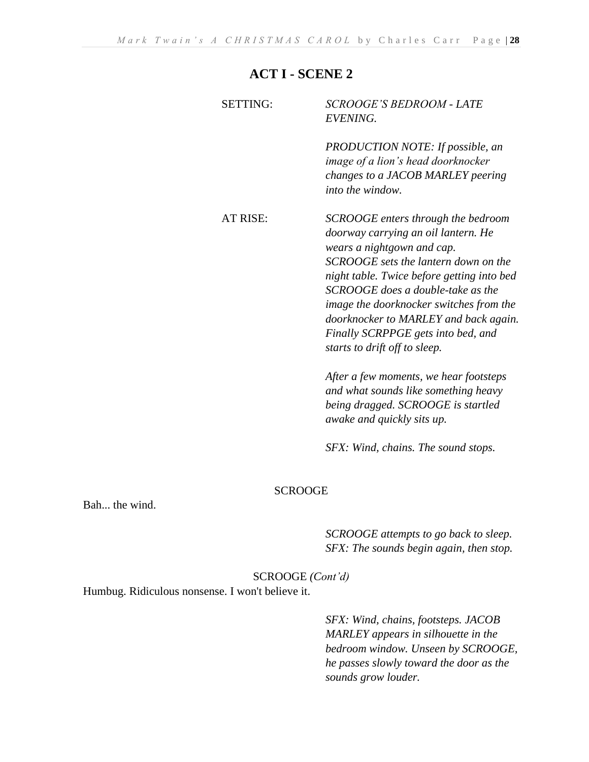# **ACT I - SCENE 2**

| <b>SETTING:</b> | <i>SCROOGE'S BEDROOM - LATE</i><br><i>EVENING.</i>                                                                                                                                                                                                                                                                                                                                            |
|-----------------|-----------------------------------------------------------------------------------------------------------------------------------------------------------------------------------------------------------------------------------------------------------------------------------------------------------------------------------------------------------------------------------------------|
|                 | <b>PRODUCTION NOTE:</b> If possible, an<br><i>image of a lion's head doorknocker</i><br>changes to a JACOB MARLEY peering<br>into the window.                                                                                                                                                                                                                                                 |
| AT RISE:        | SCROOGE enters through the bedroom<br>doorway carrying an oil lantern. He<br>wears a nightgown and cap.<br>SCROOGE sets the lantern down on the<br>night table. Twice before getting into bed<br>SCROOGE does a double-take as the<br>image the doorknocker switches from the<br>doorknocker to MARLEY and back again.<br>Finally SCRPPGE gets into bed, and<br>starts to drift off to sleep. |
|                 | After a few moments, we hear footsteps                                                                                                                                                                                                                                                                                                                                                        |

*and what sounds like something heavy being dragged. SCROOGE is startled awake and quickly sits up.*

*SFX: Wind, chains. The sound stops.*

#### SCROOGE

Bah... the wind.

*SCROOGE attempts to go back to sleep. SFX: The sounds begin again, then stop.*

# SCROOGE *(Cont'd)*

Humbug. Ridiculous nonsense. I won't believe it.

*SFX: Wind, chains, footsteps. JACOB MARLEY appears in silhouette in the bedroom window. Unseen by SCROOGE, he passes slowly toward the door as the sounds grow louder.*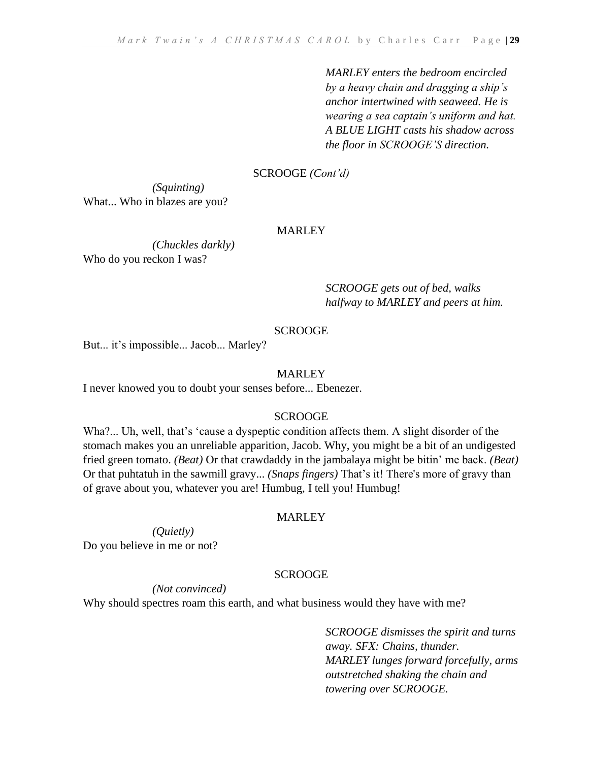*MARLEY enters the bedroom encircled by a heavy chain and dragging a ship's anchor intertwined with seaweed. He is wearing a sea captain's uniform and hat. A BLUE LIGHT casts his shadow across the floor in SCROOGE'S direction.* 

# SCROOGE *(Cont'd)*

*(Squinting)*  What... Who in blazes are you?

# MARLEY

*(Chuckles darkly)*  Who do you reckon I was?

> *SCROOGE gets out of bed, walks halfway to MARLEY and peers at him.*

# SCROOGE

But... it's impossible... Jacob... Marley?

# **MARLEY**

I never knowed you to doubt your senses before... Ebenezer.

# **SCROOGE**

Wha?... Uh, well, that's 'cause a dyspeptic condition affects them. A slight disorder of the stomach makes you an unreliable apparition, Jacob. Why, you might be a bit of an undigested fried green tomato. *(Beat)* Or that crawdaddy in the jambalaya might be bitin' me back. *(Beat)* Or that puhtatuh in the sawmill gravy... *(Snaps fingers)* That's it! There's more of gravy than of grave about you, whatever you are! Humbug, I tell you! Humbug!

# **MARLEY**

*(Quietly)*  Do you believe in me or not?

#### **SCROOGE**

*(Not convinced)* 

Why should spectres roam this earth, and what business would they have with me?

*SCROOGE dismisses the spirit and turns away. SFX: Chains, thunder. MARLEY lunges forward forcefully, arms outstretched shaking the chain and towering over SCROOGE.*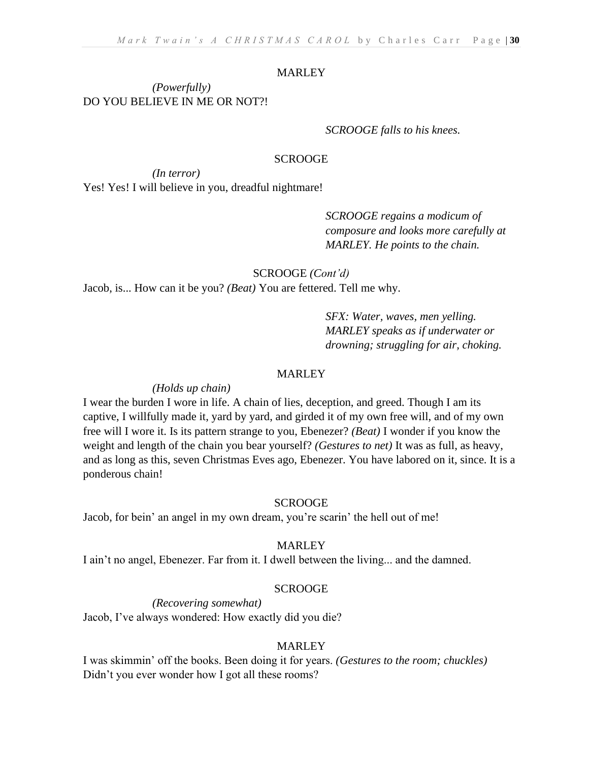#### **MARLEY**

*(Powerfully)* DO YOU BELIEVE IN ME OR NOT?!

#### *SCROOGE falls to his knees.*

#### **SCROOGE**

*(In terror)*  Yes! Yes! I will believe in you, dreadful nightmare!

> *SCROOGE regains a modicum of composure and looks more carefully at MARLEY. He points to the chain.*

SCROOGE *(Cont'd)*

Jacob, is... How can it be you? *(Beat)* You are fettered. Tell me why.

*SFX: Water, waves, men yelling. MARLEY speaks as if underwater or drowning; struggling for air, choking.*

#### **MARLEY**

#### *(Holds up chain)*

I wear the burden I wore in life. A chain of lies, deception, and greed. Though I am its captive, I willfully made it, yard by yard, and girded it of my own free will, and of my own free will I wore it. Is its pattern strange to you, Ebenezer? *(Beat)* I wonder if you know the weight and length of the chain you bear yourself? *(Gestures to net)* It was as full, as heavy, and as long as this, seven Christmas Eves ago, Ebenezer. You have labored on it, since. It is a ponderous chain!

#### **SCROOGE**

Jacob, for bein' an angel in my own dream, you're scarin' the hell out of me!

#### MARLEY

I ain't no angel, Ebenezer. Far from it. I dwell between the living... and the damned.

#### **SCROOGE**

*(Recovering somewhat)* 

Jacob, I've always wondered: How exactly did you die?

# MARLEY

I was skimmin' off the books. Been doing it for years. *(Gestures to the room; chuckles)*  Didn't you ever wonder how I got all these rooms?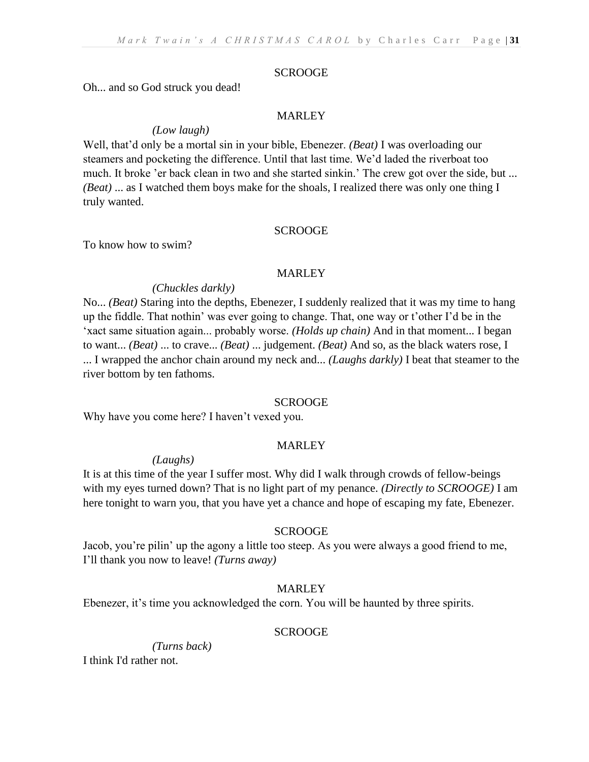Oh... and so God struck you dead!

#### MARLEY

#### *(Low laugh)*

Well, that'd only be a mortal sin in your bible, Ebenezer. *(Beat)* I was overloading our steamers and pocketing the difference. Until that last time. We'd laded the riverboat too much. It broke 'er back clean in two and she started sinkin.' The crew got over the side, but ... *(Beat)* ... as I watched them boys make for the shoals, I realized there was only one thing I truly wanted.

#### SCROOGE

To know how to swim?

#### MARLEY

#### *(Chuckles darkly)*

No... *(Beat)* Staring into the depths, Ebenezer, I suddenly realized that it was my time to hang up the fiddle. That nothin' was ever going to change. That, one way or t'other I'd be in the 'xact same situation again... probably worse. *(Holds up chain)* And in that moment... I began to want... *(Beat)* ... to crave... *(Beat)* ... judgement. *(Beat)* And so, as the black waters rose, I ... I wrapped the anchor chain around my neck and... *(Laughs darkly)* I beat that steamer to the river bottom by ten fathoms.

#### **SCROOGE**

Why have you come here? I haven't vexed you.

#### MARLEY

*(Laughs)*

It is at this time of the year I suffer most. Why did I walk through crowds of fellow-beings with my eyes turned down? That is no light part of my penance. *(Directly to SCROOGE)* I am here tonight to warn you, that you have yet a chance and hope of escaping my fate, Ebenezer.

#### **SCROOGE**

Jacob, you're pilin' up the agony a little too steep. As you were always a good friend to me, I'll thank you now to leave! *(Turns away)*

#### MARLEY

Ebenezer, it's time you acknowledged the corn. You will be haunted by three spirits.

#### **SCROOGE**

*(Turns back)* I think I'd rather not.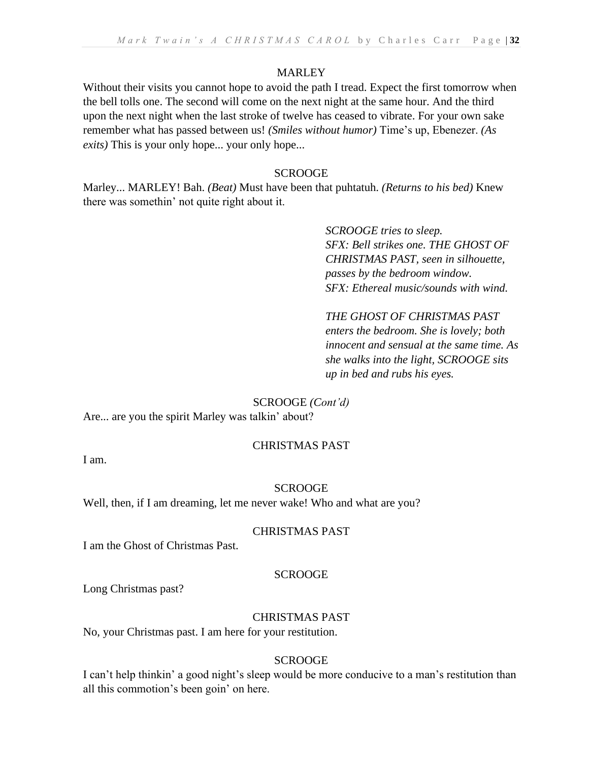# MARLEY

Without their visits you cannot hope to avoid the path I tread. Expect the first tomorrow when the bell tolls one. The second will come on the next night at the same hour. And the third upon the next night when the last stroke of twelve has ceased to vibrate. For your own sake remember what has passed between us! *(Smiles without humor)* Time's up, Ebenezer. *(As exits)* This is your only hope... your only hope...

# **SCROOGE**

Marley... MARLEY! Bah. *(Beat)* Must have been that puhtatuh. *(Returns to his bed)* Knew there was somethin' not quite right about it.

> *SCROOGE tries to sleep. SFX: Bell strikes one. THE GHOST OF CHRISTMAS PAST, seen in silhouette, passes by the bedroom window. SFX: Ethereal music/sounds with wind.*

# *THE GHOST OF CHRISTMAS PAST*

*enters the bedroom. She is lovely; both innocent and sensual at the same time. As she walks into the light, SCROOGE sits up in bed and rubs his eyes.*

# SCROOGE *(Cont'd)*

Are... are you the spirit Marley was talkin' about?

# CHRISTMAS PAST

I am.

# SCROOGE

Well, then, if I am dreaming, let me never wake! Who and what are you?

# CHRISTMAS PAST

I am the Ghost of Christmas Past.

# **SCROOGE**

Long Christmas past?

# CHRISTMAS PAST

No, your Christmas past. I am here for your restitution.

# **SCROOGE**

I can't help thinkin' a good night's sleep would be more conducive to a man's restitution than all this commotion's been goin' on here.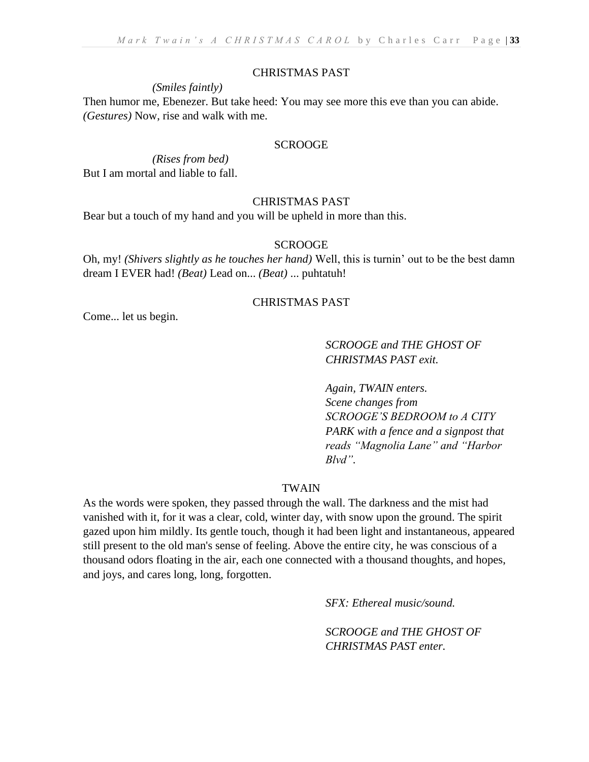#### CHRISTMAS PAST

#### *(Smiles faintly)*

Then humor me, Ebenezer. But take heed: You may see more this eve than you can abide. *(Gestures)* Now, rise and walk with me.

#### SCROOGE

*(Rises from bed)* But I am mortal and liable to fall.

#### CHRISTMAS PAST

Bear but a touch of my hand and you will be upheld in more than this.

# **SCROOGE**

Oh, my! *(Shivers slightly as he touches her hand)* Well, this is turnin' out to be the best damn dream I EVER had! *(Beat)* Lead on... *(Beat)* ... puhtatuh!

#### CHRISTMAS PAST

Come... let us begin.

*SCROOGE and THE GHOST OF CHRISTMAS PAST exit.*

*Again, TWAIN enters. Scene changes from SCROOGE'S BEDROOM to A CITY PARK with a fence and a signpost that reads "Magnolia Lane" and "Harbor Blvd".*

#### TWAIN

As the words were spoken, they passed through the wall. The darkness and the mist had vanished with it, for it was a clear, cold, winter day, with snow upon the ground. The spirit gazed upon him mildly. Its gentle touch, though it had been light and instantaneous, appeared still present to the old man's sense of feeling. Above the entire city, he was conscious of a thousand odors floating in the air, each one connected with a thousand thoughts, and hopes, and joys, and cares long, long, forgotten.

*SFX: Ethereal music/sound.* 

*SCROOGE and THE GHOST OF CHRISTMAS PAST enter.*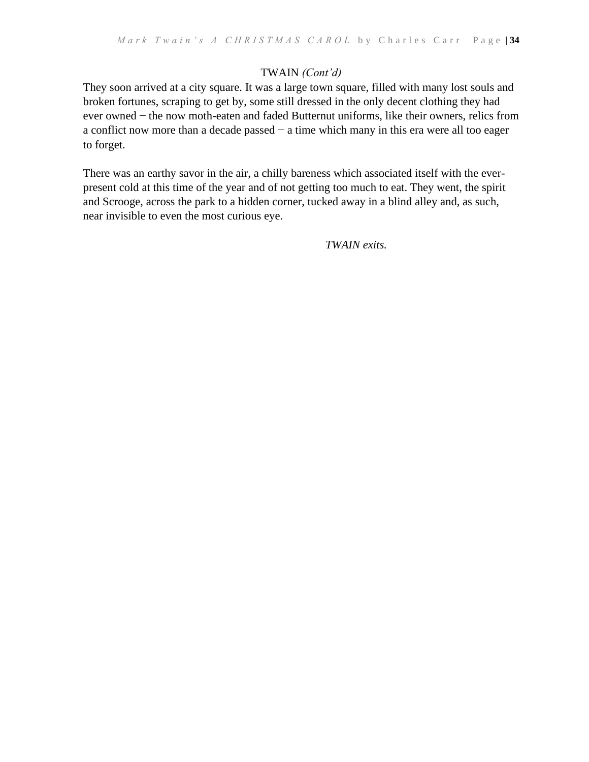# TWAIN *(Cont'd)*

They soon arrived at a city square. It was a large town square, filled with many lost souls and broken fortunes, scraping to get by, some still dressed in the only decent clothing they had ever owned − the now moth-eaten and faded Butternut uniforms, like their owners, relics from a conflict now more than a decade passed − a time which many in this era were all too eager to forget.

There was an earthy savor in the air, a chilly bareness which associated itself with the everpresent cold at this time of the year and of not getting too much to eat. They went, the spirit and Scrooge, across the park to a hidden corner, tucked away in a blind alley and, as such, near invisible to even the most curious eye.

*TWAIN exits.*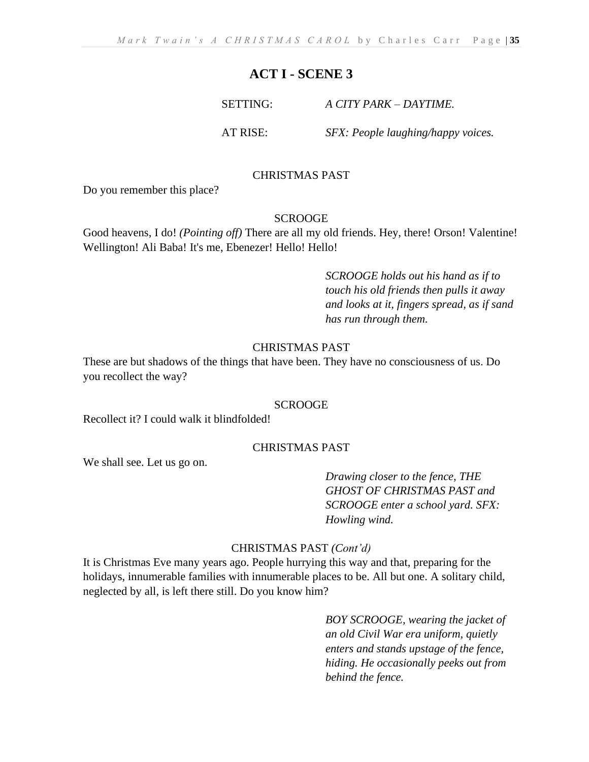# **ACT I - SCENE 3**

#### SETTING: *A CITY PARK – DAYTIME.*

AT RISE: *SFX: People laughing/happy voices.*

# CHRISTMAS PAST

Do you remember this place?

#### **SCROOGE**

Good heavens, I do! *(Pointing off)* There are all my old friends. Hey, there! Orson! Valentine! Wellington! Ali Baba! It's me, Ebenezer! Hello! Hello!

> *SCROOGE holds out his hand as if to touch his old friends then pulls it away and looks at it, fingers spread, as if sand has run through them.*

#### CHRISTMAS PAST

These are but shadows of the things that have been. They have no consciousness of us. Do you recollect the way?

#### SCROOGE

Recollect it? I could walk it blindfolded!

#### CHRISTMAS PAST

We shall see. Let us go on.

*Drawing closer to the fence, THE GHOST OF CHRISTMAS PAST and SCROOGE enter a school yard. SFX: Howling wind.*

#### CHRISTMAS PAST *(Cont'd)*

It is Christmas Eve many years ago. People hurrying this way and that, preparing for the holidays, innumerable families with innumerable places to be. All but one. A solitary child, neglected by all, is left there still. Do you know him?

> *BOY SCROOGE, wearing the jacket of an old Civil War era uniform, quietly enters and stands upstage of the fence, hiding. He occasionally peeks out from behind the fence.*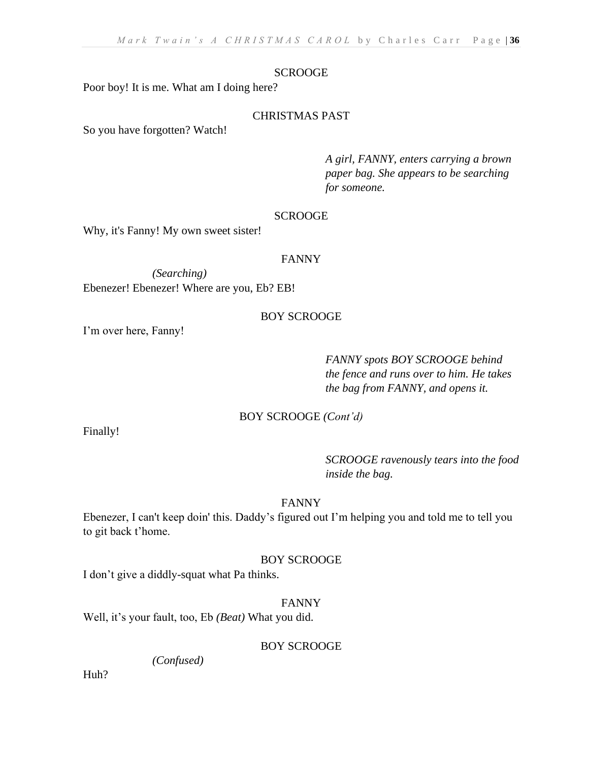Poor boy! It is me. What am I doing here?

# CHRISTMAS PAST

So you have forgotten? Watch!

*A girl, FANNY, enters carrying a brown paper bag. She appears to be searching for someone.*

#### **SCROOGE**

Why, it's Fanny! My own sweet sister!

#### FANNY

*(Searching)*  Ebenezer! Ebenezer! Where are you, Eb? EB!

# BOY SCROOGE

I'm over here, Fanny!

*FANNY spots BOY SCROOGE behind the fence and runs over to him. He takes the bag from FANNY, and opens it.* 

# BOY SCROOGE *(Cont'd)*

Finally!

*SCROOGE ravenously tears into the food inside the bag.*

# FANNY

Ebenezer, I can't keep doin' this. Daddy's figured out I'm helping you and told me to tell you to git back t'home.

# BOY SCROOGE

I don't give a diddly-squat what Pa thinks.

# FANNY

Well, it's your fault, too, Eb *(Beat)* What you did.

# BOY SCROOGE

*(Confused)* 

Huh?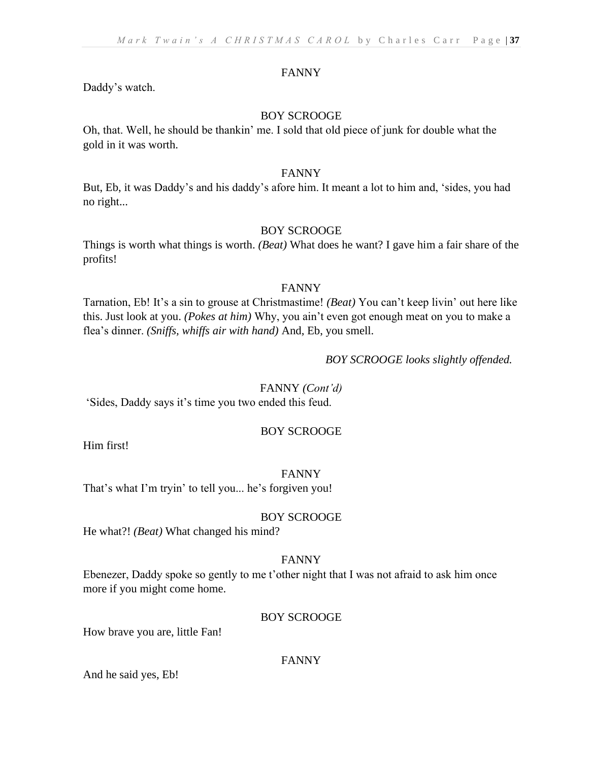# FANNY

Daddy's watch.

# BOY SCROOGE

Oh, that. Well, he should be thankin' me. I sold that old piece of junk for double what the gold in it was worth.

## FANNY

But, Eb, it was Daddy's and his daddy's afore him. It meant a lot to him and, 'sides, you had no right...

# BOY SCROOGE

Things is worth what things is worth. *(Beat)* What does he want? I gave him a fair share of the profits!

## FANNY

Tarnation, Eb! It's a sin to grouse at Christmastime! *(Beat)* You can't keep livin' out here like this. Just look at you. *(Pokes at him)* Why, you ain't even got enough meat on you to make a flea's dinner. *(Sniffs, whiffs air with hand)* And, Eb, you smell.

# *BOY SCROOGE looks slightly offended.*

FANNY *(Cont'd)* 'Sides, Daddy says it's time you two ended this feud.

# BOY SCROOGE

Him first!

# FANNY

That's what I'm tryin' to tell you... he's forgiven you!

# BOY SCROOGE

He what?! *(Beat)* What changed his mind?

## FANNY

Ebenezer, Daddy spoke so gently to me t'other night that I was not afraid to ask him once more if you might come home.

# BOY SCROOGE

How brave you are, little Fan!

### FANNY

And he said yes, Eb!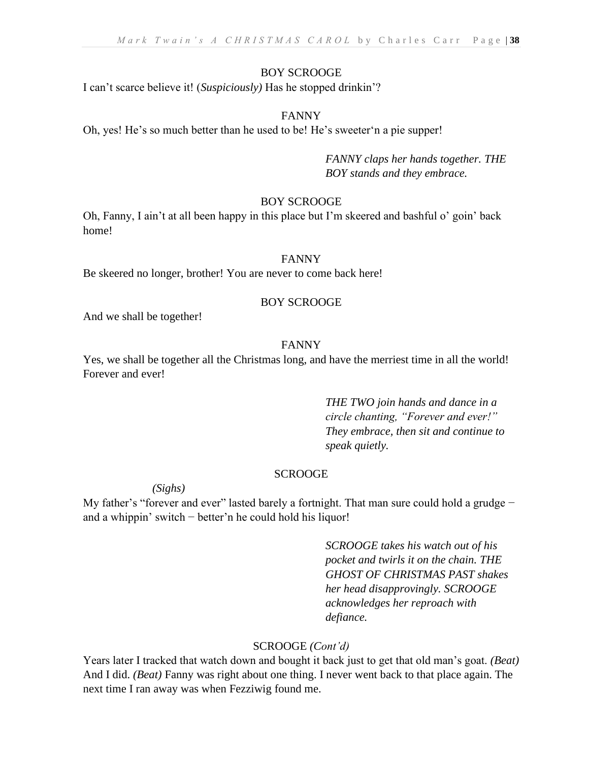## BOY SCROOGE

I can't scarce believe it! (*Suspiciously)* Has he stopped drinkin'?

## FANNY

Oh, yes! He's so much better than he used to be! He's sweeter'n a pie supper!

*FANNY claps her hands together. THE BOY stands and they embrace.*

## BOY SCROOGE

Oh, Fanny, I ain't at all been happy in this place but I'm skeered and bashful o' goin' back home!

#### FANNY

Be skeered no longer, brother! You are never to come back here!

## BOY SCROOGE

And we shall be together!

#### FANNY

Yes, we shall be together all the Christmas long, and have the merriest time in all the world! Forever and ever!

> *THE TWO join hands and dance in a circle chanting, "Forever and ever!" They embrace, then sit and continue to speak quietly.*

## **SCROOGE**

*(Sighs)* 

My father's "forever and ever" lasted barely a fortnight. That man sure could hold a grudge – and a whippin' switch − better'n he could hold his liquor!

> *SCROOGE takes his watch out of his pocket and twirls it on the chain. THE GHOST OF CHRISTMAS PAST shakes her head disapprovingly. SCROOGE acknowledges her reproach with defiance.*

## SCROOGE *(Cont'd)*

Years later I tracked that watch down and bought it back just to get that old man's goat. *(Beat)* And I did. *(Beat)* Fanny was right about one thing. I never went back to that place again. The next time I ran away was when Fezziwig found me.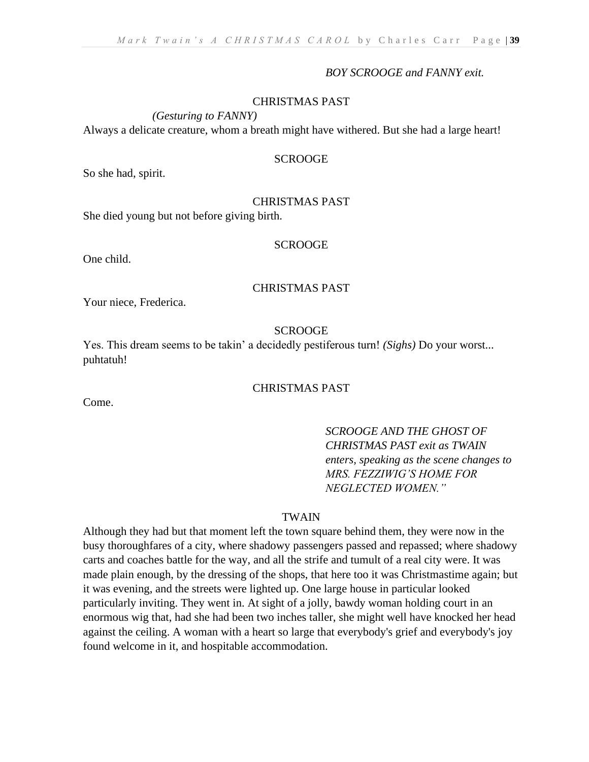#### *BOY SCROOGE and FANNY exit.*

#### CHRISTMAS PAST

*(Gesturing to FANNY)* 

Always a delicate creature, whom a breath might have withered. But she had a large heart!

## **SCROOGE**

So she had, spirit.

#### CHRISTMAS PAST

She died young but not before giving birth.

#### SCROOGE

One child.

#### CHRISTMAS PAST

Your niece, Frederica.

#### SCROOGE

Yes. This dream seems to be takin' a decidedly pestiferous turn! *(Sighs)* Do your worst... puhtatuh!

# CHRISTMAS PAST

Come.

# *SCROOGE AND THE GHOST OF CHRISTMAS PAST exit as TWAIN enters, speaking as the scene changes to MRS. FEZZIWIG'S HOME FOR NEGLECTED WOMEN."*

#### TWAIN

Although they had but that moment left the town square behind them, they were now in the busy thoroughfares of a city, where shadowy passengers passed and repassed; where shadowy carts and coaches battle for the way, and all the strife and tumult of a real city were. It was made plain enough, by the dressing of the shops, that here too it was Christmastime again; but it was evening, and the streets were lighted up. One large house in particular looked particularly inviting. They went in. At sight of a jolly, bawdy woman holding court in an enormous wig that, had she had been two inches taller, she might well have knocked her head against the ceiling. A woman with a heart so large that everybody's grief and everybody's joy found welcome in it, and hospitable accommodation.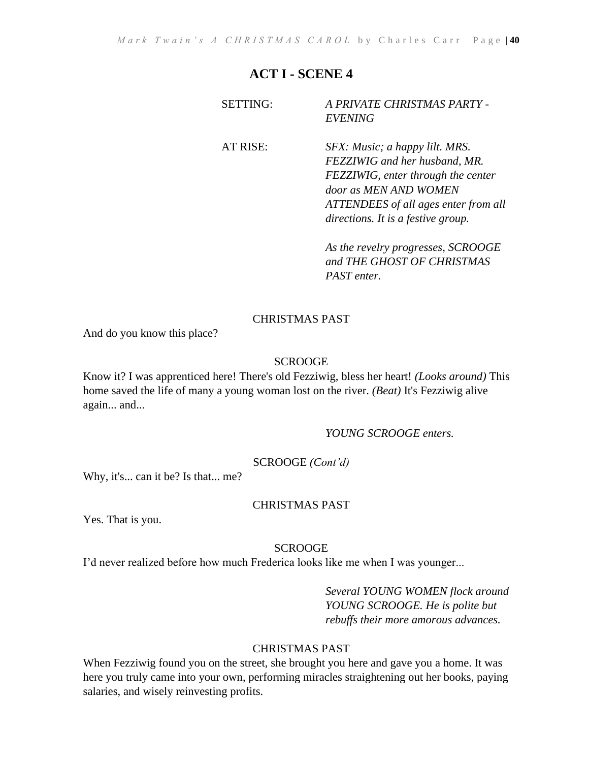# **ACT I - SCENE 4**

| <i>EVENING</i>                                                                                                                                                                     |
|------------------------------------------------------------------------------------------------------------------------------------------------------------------------------------|
| AT RISE:<br>SFX: Music; a happy lilt. MRS.<br>FEZZIWIG and her husband, MR.<br>FEZZIWIG, enter through the center<br>door as MEN AND WOMEN<br>ATTENDEES of all ages enter from all |

*As the revelry progresses, SCROOGE and THE GHOST OF CHRISTMAS PAST enter.*

*directions. It is a festive group.*

# CHRISTMAS PAST

And do you know this place?

# **SCROOGE**

Know it? I was apprenticed here! There's old Fezziwig, bless her heart! *(Looks around)* This home saved the life of many a young woman lost on the river. *(Beat)* It's Fezziwig alive again... and...

### *YOUNG SCROOGE enters.*

# SCROOGE *(Cont'd)*

Why, it's... can it be? Is that... me?

# CHRISTMAS PAST

Yes. That is you.

# SCROOGE

I'd never realized before how much Frederica looks like me when I was younger...

*Several YOUNG WOMEN flock around YOUNG SCROOGE. He is polite but rebuffs their more amorous advances.*

# CHRISTMAS PAST

When Fezziwig found you on the street, she brought you here and gave you a home. It was here you truly came into your own, performing miracles straightening out her books, paying salaries, and wisely reinvesting profits.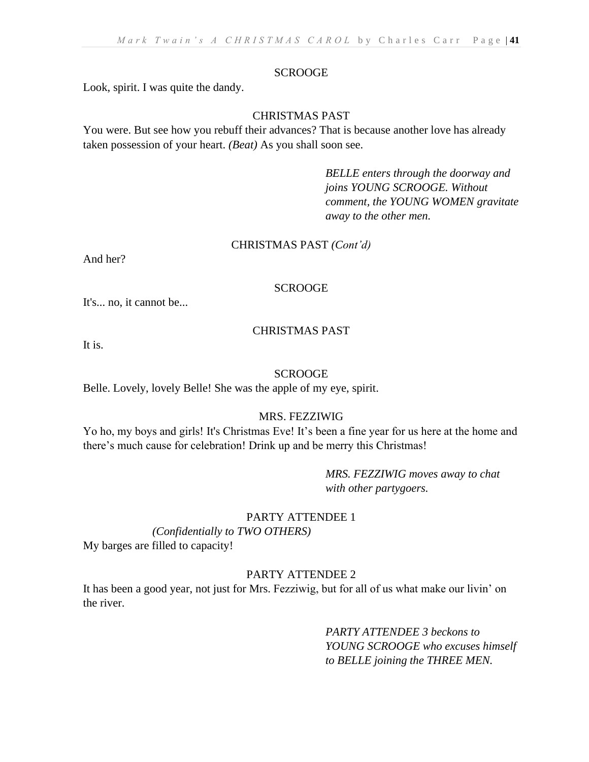#### **SCROOGE**

Look, spirit. I was quite the dandy.

## CHRISTMAS PAST

You were. But see how you rebuff their advances? That is because another love has already taken possession of your heart. *(Beat)* As you shall soon see.

> *BELLE enters through the doorway and joins YOUNG SCROOGE. Without comment, the YOUNG WOMEN gravitate away to the other men.*

#### CHRISTMAS PAST *(Cont'd)*

And her?

#### SCROOGE

It's... no, it cannot be...

## CHRISTMAS PAST

It is.

#### SCROOGE

Belle. Lovely, lovely Belle! She was the apple of my eye, spirit.

#### MRS. FEZZIWIG

Yo ho, my boys and girls! It's Christmas Eve! It's been a fine year for us here at the home and there's much cause for celebration! Drink up and be merry this Christmas!

> *MRS. FEZZIWIG moves away to chat with other partygoers.*

#### PARTY ATTENDEE 1

*(Confidentially to TWO OTHERS)* 

My barges are filled to capacity!

# PARTY ATTENDEE 2

It has been a good year, not just for Mrs. Fezziwig, but for all of us what make our livin' on the river.

> *PARTY ATTENDEE 3 beckons to YOUNG SCROOGE who excuses himself to BELLE joining the THREE MEN.*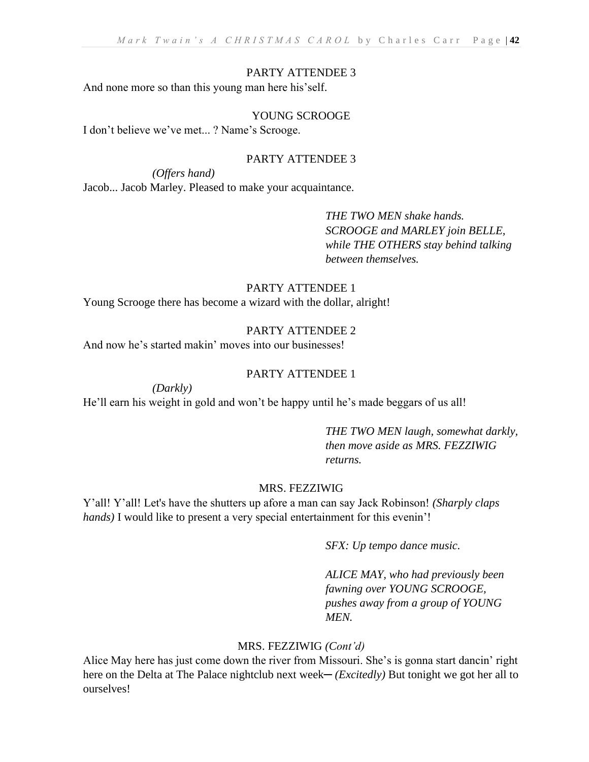## PARTY ATTENDEE 3

And none more so than this young man here his'self.

# YOUNG SCROOGE

I don't believe we've met... ? Name's Scrooge.

# PARTY ATTENDEE 3

*(Offers hand)* 

Jacob... Jacob Marley. Pleased to make your acquaintance.

*THE TWO MEN shake hands. SCROOGE and MARLEY join BELLE, while THE OTHERS stay behind talking between themselves.*

# PARTY ATTENDEE 1

Young Scrooge there has become a wizard with the dollar, alright!

# PARTY ATTENDEE 2

And now he's started makin' moves into our businesses!

### PARTY ATTENDEE 1

*(Darkly)* 

He'll earn his weight in gold and won't be happy until he's made beggars of us all!

*THE TWO MEN laugh, somewhat darkly, then move aside as MRS. FEZZIWIG returns.*

## MRS. FEZZIWIG

Y'all! Y'all! Let's have the shutters up afore a man can say Jack Robinson! *(Sharply claps hands)* I would like to present a very special entertainment for this evenin'!

*SFX: Up tempo dance music.*

*ALICE MAY, who had previously been fawning over YOUNG SCROOGE, pushes away from a group of YOUNG MEN.*

# MRS. FEZZIWIG *(Cont'd)*

Alice May here has just come down the river from Missouri. She's is gonna start dancin' right here on the Delta at The Palace nightclub next week— *(Excitedly)* But tonight we got her all to ourselves!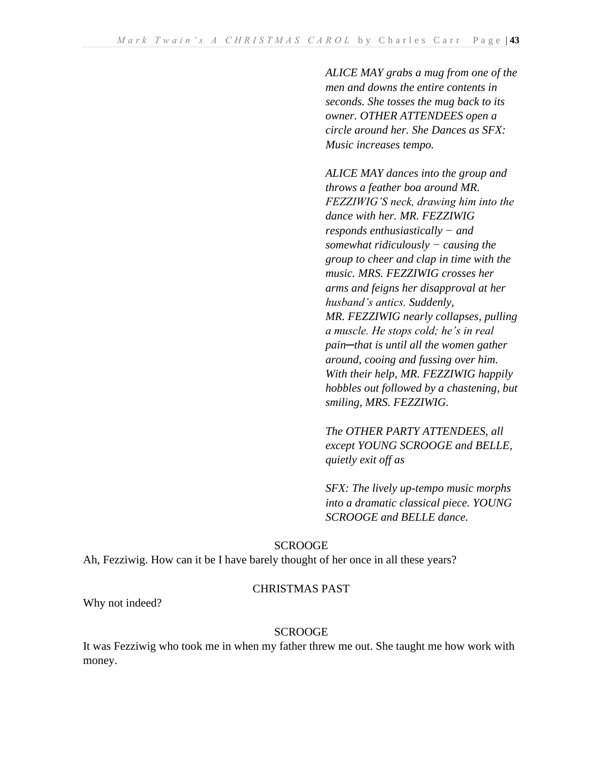*ALICE MAY grabs a mug from one of the men and downs the entire contents in seconds. She tosses the mug back to its owner. OTHER ATTENDEES open a circle around her. She Dances as SFX: Music increases tempo.*

*ALICE MAY dances into the group and throws a feather boa around MR. FEZZIWIG'S neck, drawing him into the dance with her. MR. FEZZIWIG responds enthusiastically − and somewhat ridiculously − causing the group to cheer and clap in time with the music. MRS. FEZZIWIG crosses her arms and feigns her disapproval at her husband's antics. Suddenly, MR. FEZZIWIG nearly collapses, pulling a muscle. He stops cold; he's in real pain─that is until all the women gather around, cooing and fussing over him. With their help, MR. FEZZIWIG happily hobbles out followed by a chastening, but smiling, MRS. FEZZIWIG.*

*The OTHER PARTY ATTENDEES, all except YOUNG SCROOGE and BELLE, quietly exit off as* 

*SFX: The lively up-tempo music morphs into a dramatic classical piece. YOUNG SCROOGE and BELLE dance.*

### SCROOGE

Ah, Fezziwig. How can it be I have barely thought of her once in all these years?

### CHRISTMAS PAST

Why not indeed?

### **SCROOGE**

It was Fezziwig who took me in when my father threw me out. She taught me how work with money.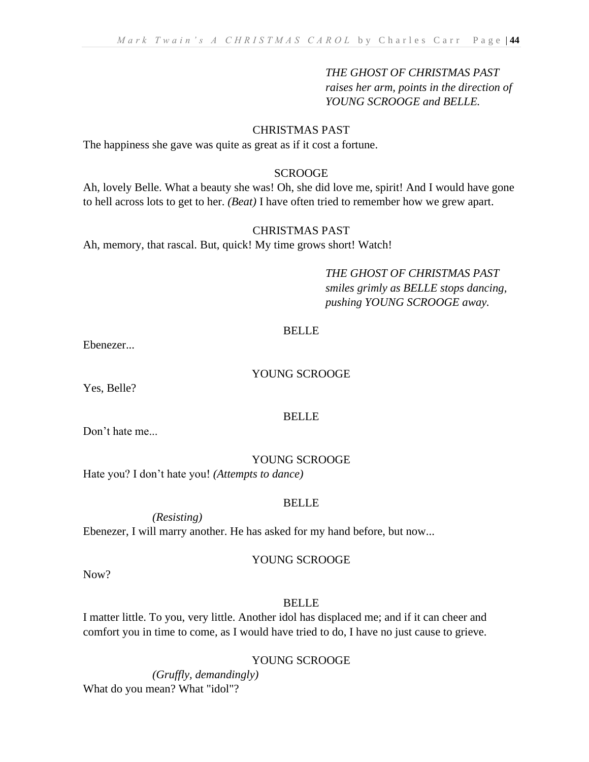# *THE GHOST OF CHRISTMAS PAST*

*raises her arm, points in the direction of YOUNG SCROOGE and BELLE.*

## CHRISTMAS PAST

The happiness she gave was quite as great as if it cost a fortune.

## **SCROOGE**

Ah, lovely Belle. What a beauty she was! Oh, she did love me, spirit! And I would have gone to hell across lots to get to her. *(Beat)* I have often tried to remember how we grew apart.

### CHRISTMAS PAST

Ah, memory, that rascal. But, quick! My time grows short! Watch!

*THE GHOST OF CHRISTMAS PAST smiles grimly as BELLE stops dancing, pushing YOUNG SCROOGE away.*

### BELLE

Ebenezer...

# YOUNG SCROOGE

Yes, Belle?

### BELLE

Don't hate me...

### YOUNG SCROOGE

Hate you? I don't hate you! *(Attempts to dance)*

### BELLE

*(Resisting)*  Ebenezer, I will marry another. He has asked for my hand before, but now...

## YOUNG SCROOGE

Now?

# BELLE

I matter little. To you, very little. Another idol has displaced me; and if it can cheer and comfort you in time to come, as I would have tried to do, I have no just cause to grieve.

# YOUNG SCROOGE

*(Gruffly, demandingly)*  What do you mean? What "idol"?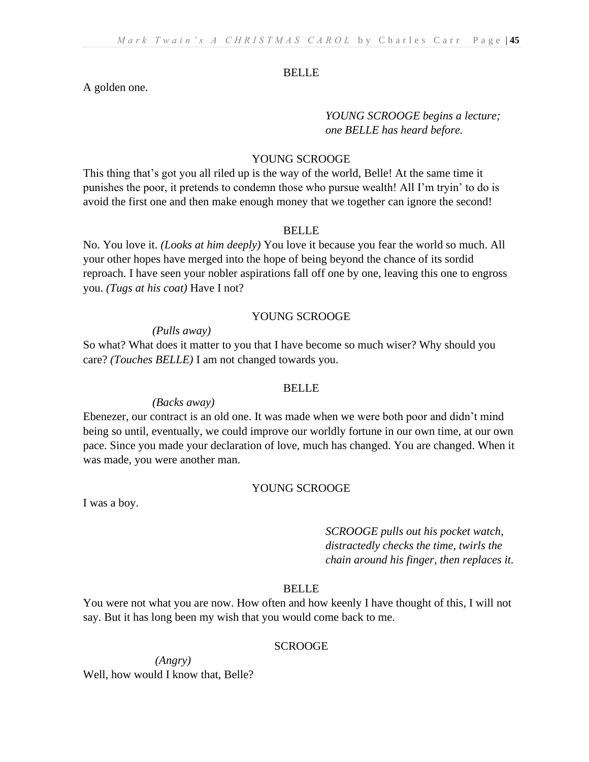#### BELLE

A golden one.

*YOUNG SCROOGE begins a lecture; one BELLE has heard before.*

# YOUNG SCROOGE

This thing that's got you all riled up is the way of the world, Belle! At the same time it punishes the poor, it pretends to condemn those who pursue wealth! All I'm tryin' to do is avoid the first one and then make enough money that we together can ignore the second!

#### BELLE

No. You love it. *(Looks at him deeply)* You love it because you fear the world so much. All your other hopes have merged into the hope of being beyond the chance of its sordid reproach. I have seen your nobler aspirations fall off one by one, leaving this one to engross you. *(Tugs at his coat)* Have I not?

#### YOUNG SCROOGE

#### *(Pulls away)*

So what? What does it matter to you that I have become so much wiser? Why should you care? *(Touches BELLE)* I am not changed towards you.

#### **BELLE**

#### *(Backs away)*

Ebenezer, our contract is an old one. It was made when we were both poor and didn't mind being so until, eventually, we could improve our worldly fortune in our own time, at our own pace. Since you made your declaration of love, much has changed. You are changed. When it was made, you were another man.

#### YOUNG SCROOGE

I was a boy.

*SCROOGE pulls out his pocket watch, distractedly checks the time, twirls the chain around his finger, then replaces it.*

# BELLE

You were not what you are now. How often and how keenly I have thought of this, I will not say. But it has long been my wish that you would come back to me.

# **SCROOGE**

*(Angry)*  Well, how would I know that, Belle?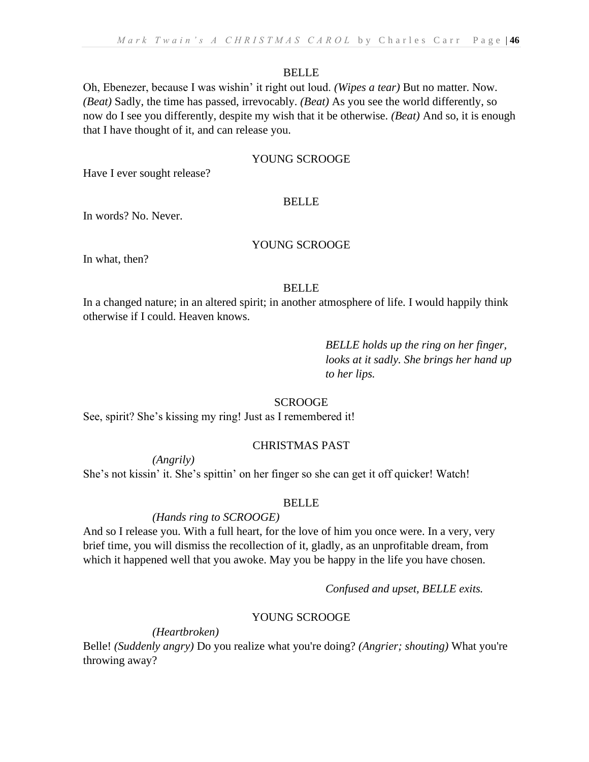#### BELLE

Oh, Ebenezer, because I was wishin' it right out loud. *(Wipes a tear)* But no matter. Now. *(Beat)* Sadly, the time has passed, irrevocably. *(Beat)* As you see the world differently, so now do I see you differently, despite my wish that it be otherwise. *(Beat)* And so, it is enough that I have thought of it, and can release you.

## YOUNG SCROOGE

Have I ever sought release?

#### BELLE

In words? No. Never.

# YOUNG SCROOGE

In what, then?

#### BELLE

In a changed nature; in an altered spirit; in another atmosphere of life. I would happily think otherwise if I could. Heaven knows.

> *BELLE holds up the ring on her finger, looks at it sadly. She brings her hand up to her lips.*

### **SCROOGE**

See, spirit? She's kissing my ring! Just as I remembered it!

## CHRISTMAS PAST

*(Angrily)* 

She's not kissin' it. She's spittin' on her finger so she can get it off quicker! Watch!

### BELLE

### *(Hands ring to SCROOGE)*

And so I release you. With a full heart, for the love of him you once were. In a very, very brief time, you will dismiss the recollection of it, gladly, as an unprofitable dream, from which it happened well that you awoke. May you be happy in the life you have chosen.

*Confused and upset, BELLE exits.*

### YOUNG SCROOGE

*(Heartbroken)* 

Belle! *(Suddenly angry)* Do you realize what you're doing? *(Angrier; shouting)* What you're throwing away?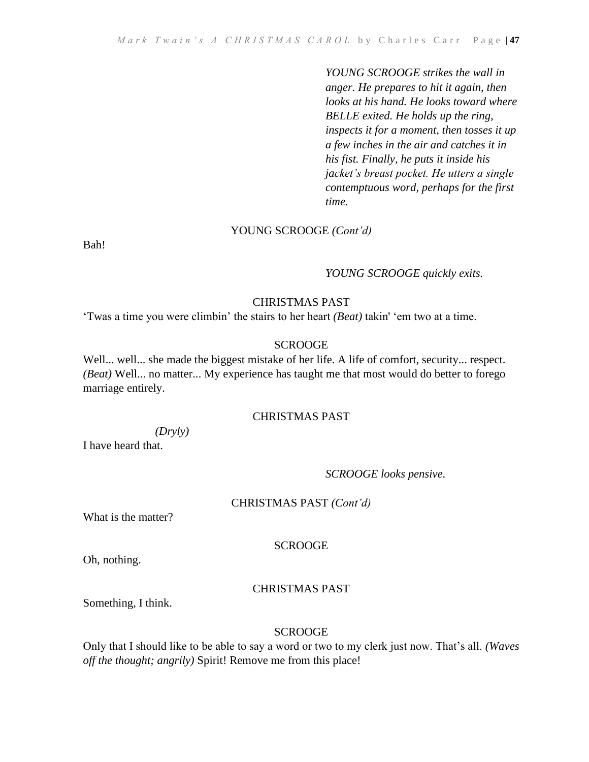*YOUNG SCROOGE strikes the wall in anger. He prepares to hit it again, then looks at his hand. He looks toward where BELLE exited. He holds up the ring, inspects it for a moment, then tosses it up a few inches in the air and catches it in his fist. Finally, he puts it inside his jacket's breast pocket. He utters a single contemptuous word, perhaps for the first time.*

### YOUNG SCROOGE *(Cont'd)*

Bah!

### *YOUNG SCROOGE quickly exits.*

## CHRISTMAS PAST

'Twas a time you were climbin' the stairs to her heart *(Beat)* takin' 'em two at a time.

## SCROOGE

Well... well... she made the biggest mistake of her life. A life of comfort, security... respect. *(Beat)* Well... no matter... My experience has taught me that most would do better to forego marriage entirely.

## CHRISTMAS PAST

#### *(Dryly)*

I have heard that.

# *SCROOGE looks pensive.*

### CHRISTMAS PAST *(Cont'd)*

What is the matter?

# SCROOGE

Oh, nothing.

# CHRISTMAS PAST

Something, I think.

## SCROOGE

Only that I should like to be able to say a word or two to my clerk just now. That's all. *(Waves off the thought; angrily)* Spirit! Remove me from this place!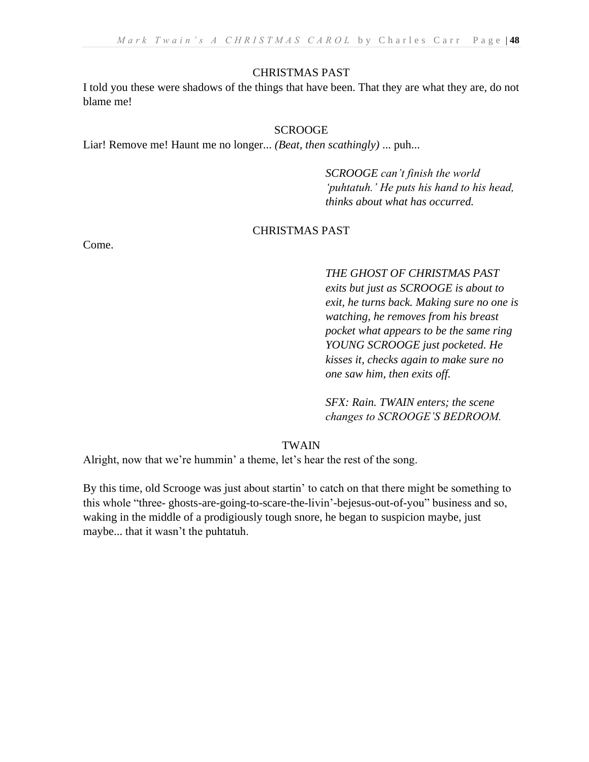#### CHRISTMAS PAST

I told you these were shadows of the things that have been. That they are what they are, do not blame me!

#### SCROOGE

Liar! Remove me! Haunt me no longer... *(Beat, then scathingly)* ... puh...

*SCROOGE can't finish the world 'puhtatuh.' He puts his hand to his head, thinks about what has occurred.*

#### CHRISTMAS PAST

Come.

*THE GHOST OF CHRISTMAS PAST exits but just as SCROOGE is about to exit, he turns back. Making sure no one is watching, he removes from his breast pocket what appears to be the same ring YOUNG SCROOGE just pocketed. He kisses it, checks again to make sure no one saw him, then exits off.*

*SFX: Rain. TWAIN enters; the scene changes to SCROOGE'S BEDROOM.*

# TWAIN

Alright, now that we're hummin' a theme, let's hear the rest of the song.

By this time, old Scrooge was just about startin' to catch on that there might be something to this whole "three- ghosts-are-going-to-scare-the-livin'-bejesus-out-of-you" business and so, waking in the middle of a prodigiously tough snore, he began to suspicion maybe, just maybe... that it wasn't the puhtatuh.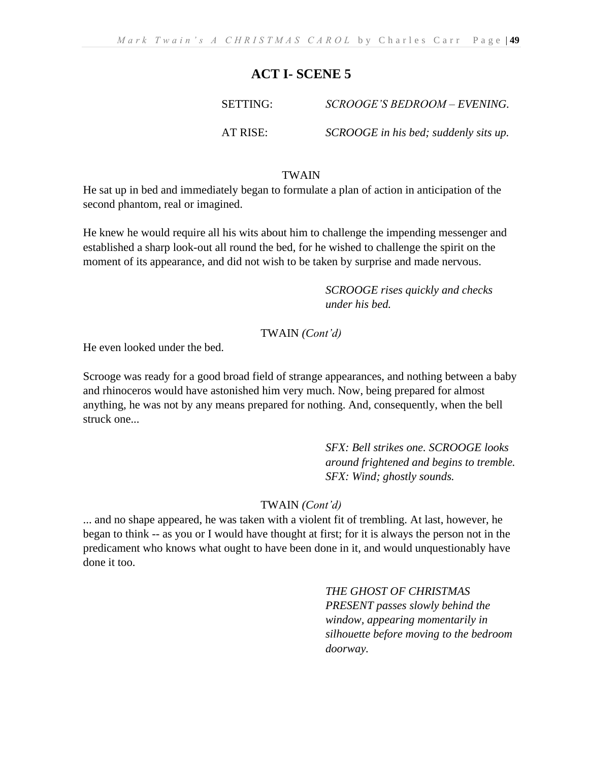# **ACT I- SCENE 5**

SETTING: *SCROOGE'S BEDROOM – EVENING.*

AT RISE: *SCROOGE in his bed; suddenly sits up.*

## TWAIN

He sat up in bed and immediately began to formulate a plan of action in anticipation of the second phantom, real or imagined.

He knew he would require all his wits about him to challenge the impending messenger and established a sharp look-out all round the bed, for he wished to challenge the spirit on the moment of its appearance, and did not wish to be taken by surprise and made nervous.

> *SCROOGE rises quickly and checks under his bed.*

# TWAIN *(Cont'd)*

He even looked under the bed.

Scrooge was ready for a good broad field of strange appearances, and nothing between a baby and rhinoceros would have astonished him very much. Now, being prepared for almost anything, he was not by any means prepared for nothing. And, consequently, when the bell struck one...

> *SFX: Bell strikes one. SCROOGE looks around frightened and begins to tremble. SFX: Wind; ghostly sounds.*

TWAIN *(Cont'd)*

... and no shape appeared, he was taken with a violent fit of trembling. At last, however, he began to think -- as you or I would have thought at first; for it is always the person not in the predicament who knows what ought to have been done in it, and would unquestionably have done it too.

> *THE GHOST OF CHRISTMAS PRESENT passes slowly behind the window, appearing momentarily in silhouette before moving to the bedroom doorway.*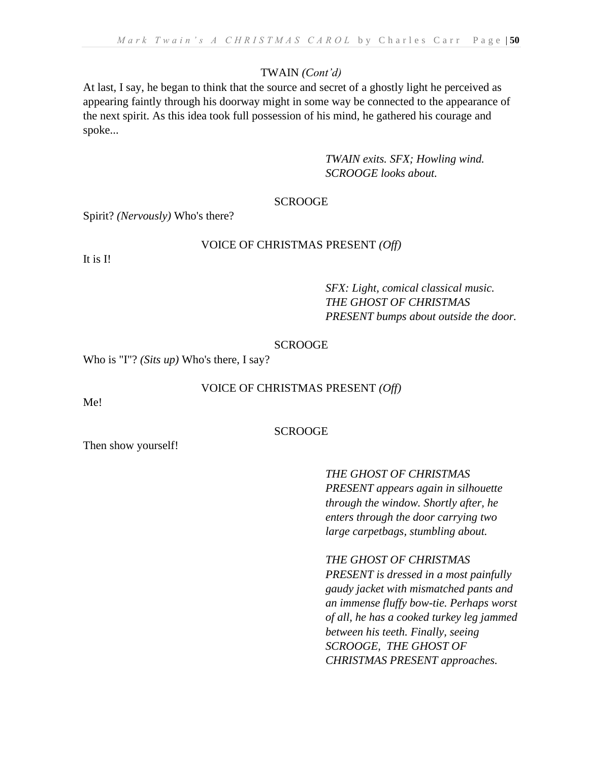# TWAIN *(Cont'd)*

At last, I say, he began to think that the source and secret of a ghostly light he perceived as appearing faintly through his doorway might in some way be connected to the appearance of the next spirit. As this idea took full possession of his mind, he gathered his courage and spoke...

> *TWAIN exits. SFX; Howling wind. SCROOGE looks about.*

## **SCROOGE**

Spirit? *(Nervously)* Who's there?

## VOICE OF CHRISTMAS PRESENT *(Off)*

It is I!

*SFX: Light, comical classical music. THE GHOST OF CHRISTMAS PRESENT bumps about outside the door.*

#### SCROOGE

Who is "I"? *(Sits up)* Who's there, I say?

### VOICE OF CHRISTMAS PRESENT *(Off)*

Me!

### SCROOGE

Then show yourself!

*THE GHOST OF CHRISTMAS PRESENT appears again in silhouette through the window. Shortly after, he enters through the door carrying two large carpetbags, stumbling about.* 

*THE GHOST OF CHRISTMAS* 

*PRESENT is dressed in a most painfully gaudy jacket with mismatched pants and an immense fluffy bow-tie. Perhaps worst of all, he has a cooked turkey leg jammed between his teeth. Finally, seeing SCROOGE, THE GHOST OF CHRISTMAS PRESENT approaches.*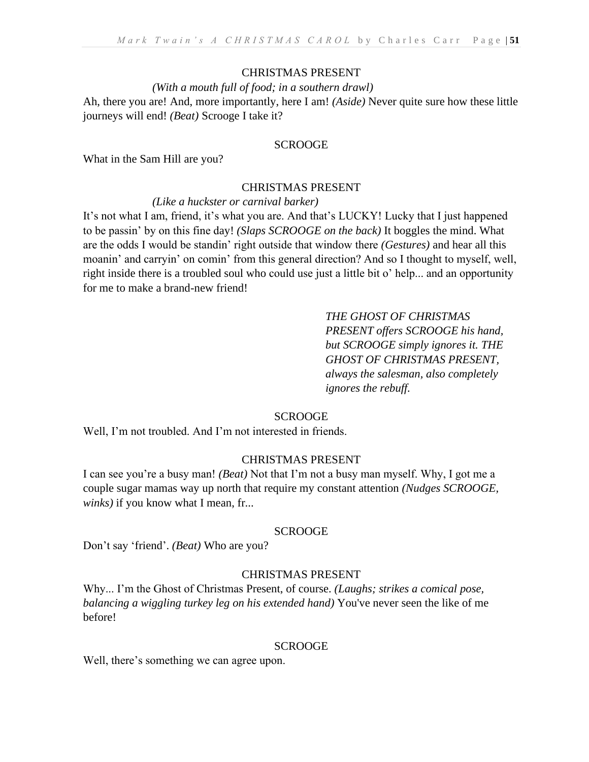## CHRISTMAS PRESENT

### *(With a mouth full of food; in a southern drawl)*

Ah, there you are! And, more importantly, here I am! *(Aside)* Never quite sure how these little journeys will end! *(Beat)* Scrooge I take it?

### SCROOGE

What in the Sam Hill are you?

# CHRISTMAS PRESENT

### *(Like a huckster or carnival barker)*

It's not what I am, friend, it's what you are. And that's LUCKY! Lucky that I just happened to be passin' by on this fine day! *(Slaps SCROOGE on the back)* It boggles the mind. What are the odds I would be standin' right outside that window there *(Gestures)* and hear all this moanin' and carryin' on comin' from this general direction? And so I thought to myself, well, right inside there is a troubled soul who could use just a little bit o' help... and an opportunity for me to make a brand-new friend!

> *THE GHOST OF CHRISTMAS PRESENT offers SCROOGE his hand, but SCROOGE simply ignores it. THE GHOST OF CHRISTMAS PRESENT, always the salesman, also completely ignores the rebuff.*

### **SCROOGE**

Well, I'm not troubled. And I'm not interested in friends.

# CHRISTMAS PRESENT

I can see you're a busy man! *(Beat)* Not that I'm not a busy man myself. Why, I got me a couple sugar mamas way up north that require my constant attention *(Nudges SCROOGE, winks)* if you know what I mean, fr...

### SCROOGE

Don't say 'friend'. *(Beat)* Who are you?

# CHRISTMAS PRESENT

Why... I'm the Ghost of Christmas Present, of course. *(Laughs; strikes a comical pose, balancing a wiggling turkey leg on his extended hand)* You've never seen the like of me before!

### SCROOGE

Well, there's something we can agree upon.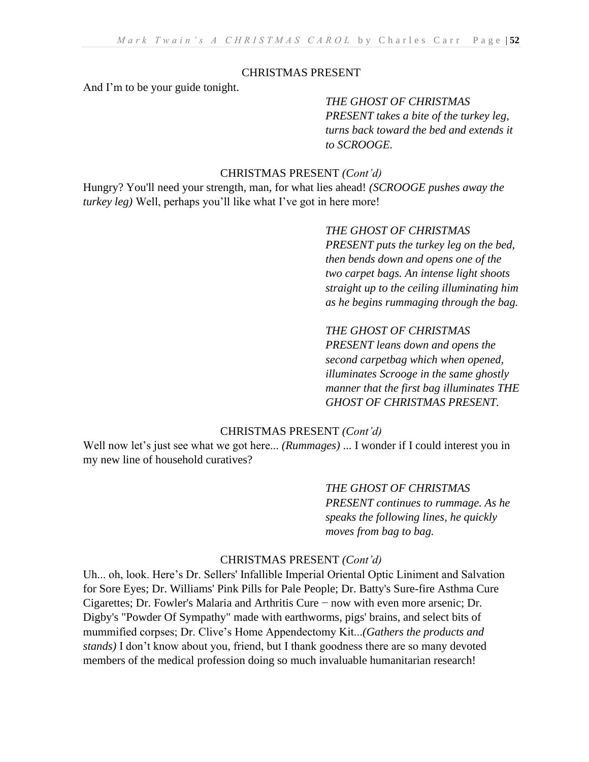# CHRISTMAS PRESENT

And I'm to be your guide tonight.

*THE GHOST OF CHRISTMAS PRESENT takes a bite of the turkey leg, turns back toward the bed and extends it to SCROOGE.*

## CHRISTMAS PRESENT *(Cont'd)*

Hungry? You'll need your strength, man, for what lies ahead! *(SCROOGE pushes away the turkey leg)* Well, perhaps you'll like what I've got in here more!

> *THE GHOST OF CHRISTMAS PRESENT puts the turkey leg on the bed, then bends down and opens one of the two carpet bags. An intense light shoots straight up to the ceiling illuminating him as he begins rummaging through the bag.*

# *THE GHOST OF CHRISTMAS*

*PRESENT leans down and opens the second carpetbag which when opened, illuminates Scrooge in the same ghostly manner that the first bag illuminates THE GHOST OF CHRISTMAS PRESENT.*

# CHRISTMAS PRESENT *(Cont'd)*

Well now let's just see what we got here... *(Rummages)* ... I wonder if I could interest you in my new line of household curatives?

> *THE GHOST OF CHRISTMAS PRESENT continues to rummage. As he speaks the following lines, he quickly moves from bag to bag.*

## CHRISTMAS PRESENT *(Cont'd)*

Uh... oh, look. Here's Dr. Sellers' Infallible Imperial Oriental Optic Liniment and Salvation for Sore Eyes; Dr. Williams' Pink Pills for Pale People; Dr. Batty's Sure-fire Asthma Cure Cigarettes; Dr. Fowler's Malaria and Arthritis Cure − now with even more arsenic; Dr. Digby's "Powder Of Sympathy" made with earthworms, pigs' brains, and select bits of mummified corpses; Dr. Clive's Home Appendectomy Kit...*(Gathers the products and stands)* I don't know about you, friend, but I thank goodness there are so many devoted members of the medical profession doing so much invaluable humanitarian research!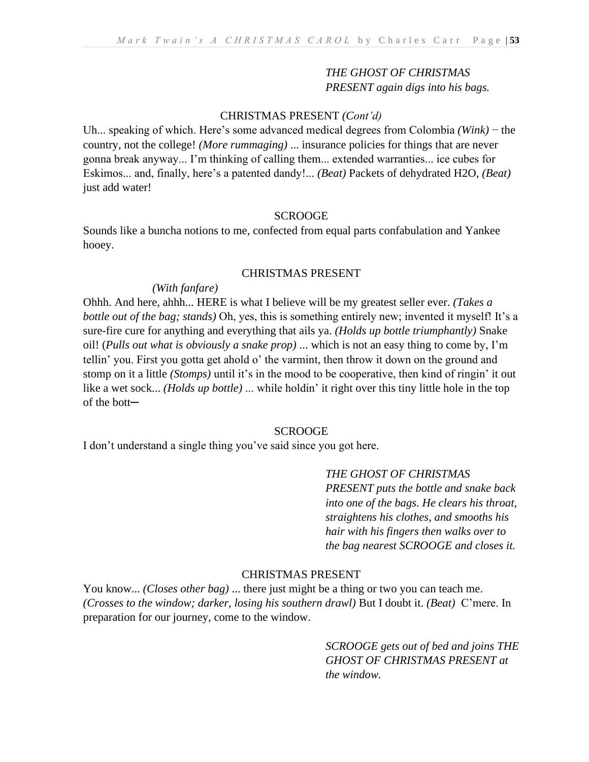## *THE GHOST OF CHRISTMAS PRESENT again digs into his bags.*

## CHRISTMAS PRESENT *(Cont'd)*

Uh... speaking of which. Here's some advanced medical degrees from Colombia *(Wink)* − the country, not the college! *(More rummaging)* ... insurance policies for things that are never gonna break anyway... I'm thinking of calling them... extended warranties... ice cubes for Eskimos... and, finally, here's a patented dandy!... *(Beat)* Packets of dehydrated H2O, *(Beat)* just add water!

#### **SCROOGE**

Sounds like a buncha notions to me, confected from equal parts confabulation and Yankee hooey.

#### CHRISTMAS PRESENT

## *(With fanfare)*

Ohhh. And here, ahhh... HERE is what I believe will be my greatest seller ever. *(Takes a bottle out of the bag; stands)* Oh, yes, this is something entirely new; invented it myself! It's a sure-fire cure for anything and everything that ails ya. *(Holds up bottle triumphantly)* Snake oil! (*Pulls out what is obviously a snake prop)* ... which is not an easy thing to come by, I'm tellin' you. First you gotta get ahold o' the varmint, then throw it down on the ground and stomp on it a little *(Stomps)* until it's in the mood to be cooperative, then kind of ringin' it out like a wet sock... *(Holds up bottle)* ... while holdin' it right over this tiny little hole in the top of the bott─

#### SCROOGE

I don't understand a single thing you've said since you got here.

*THE GHOST OF CHRISTMAS PRESENT puts the bottle and snake back into one of the bags. He clears his throat, straightens his clothes, and smooths his hair with his fingers then walks over to the bag nearest SCROOGE and closes it.* 

## CHRISTMAS PRESENT

You know... *(Closes other bag)* ... there just might be a thing or two you can teach me. *(Crosses to the window; darker, losing his southern drawl)* But I doubt it. *(Beat)* C'mere. In preparation for our journey, come to the window.

> *SCROOGE gets out of bed and joins THE GHOST OF CHRISTMAS PRESENT at the window.*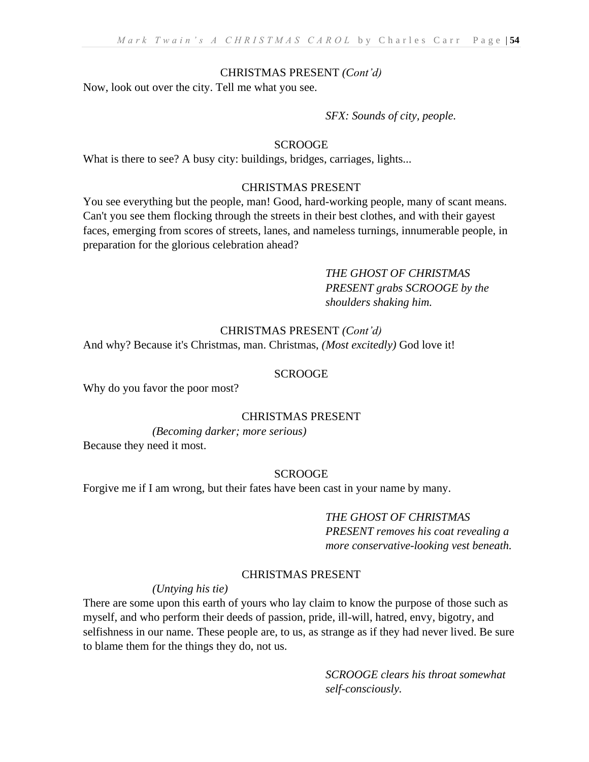## CHRISTMAS PRESENT *(Cont'd)*

Now, look out over the city. Tell me what you see.

## *SFX: Sounds of city, people.*

## SCROOGE

What is there to see? A busy city: buildings, bridges, carriages, lights...

# CHRISTMAS PRESENT

You see everything but the people, man! Good, hard-working people, many of scant means. Can't you see them flocking through the streets in their best clothes, and with their gayest faces, emerging from scores of streets, lanes, and nameless turnings, innumerable people, in preparation for the glorious celebration ahead?

# *THE GHOST OF CHRISTMAS PRESENT grabs SCROOGE by the shoulders shaking him.*

## CHRISTMAS PRESENT *(Cont'd)*

And why? Because it's Christmas, man. Christmas, *(Most excitedly)* God love it!

## **SCROOGE**

Why do you favor the poor most?

### CHRISTMAS PRESENT

*(Becoming darker; more serious)* Because they need it most.

### **SCROOGE**

Forgive me if I am wrong, but their fates have been cast in your name by many.

# *THE GHOST OF CHRISTMAS*

*PRESENT removes his coat revealing a more conservative-looking vest beneath.* 

# CHRISTMAS PRESENT

*(Untying his tie)*

There are some upon this earth of yours who lay claim to know the purpose of those such as myself, and who perform their deeds of passion, pride, ill-will, hatred, envy, bigotry, and selfishness in our name. These people are, to us, as strange as if they had never lived. Be sure to blame them for the things they do, not us.

> *SCROOGE clears his throat somewhat self-consciously.*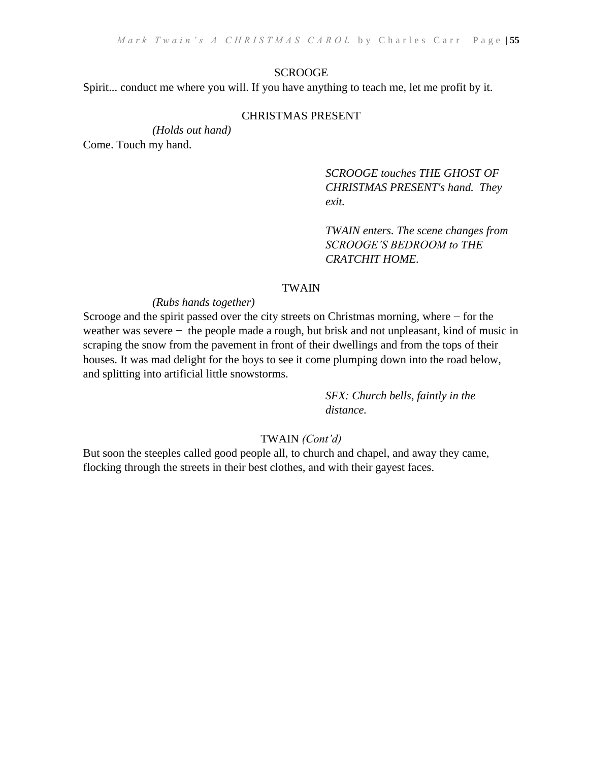#### **SCROOGE**

Spirit... conduct me where you will. If you have anything to teach me, let me profit by it.

### CHRISTMAS PRESENT

*(Holds out hand)* 

Come. Touch my hand.

*SCROOGE touches THE GHOST OF CHRISTMAS PRESENT's hand. They exit.*

*TWAIN enters. The scene changes from SCROOGE'S BEDROOM to THE CRATCHIT HOME.*

# TWAIN

## *(Rubs hands together)*

Scrooge and the spirit passed over the city streets on Christmas morning, where − for the weather was severe − the people made a rough, but brisk and not unpleasant, kind of music in scraping the snow from the pavement in front of their dwellings and from the tops of their houses. It was mad delight for the boys to see it come plumping down into the road below, and splitting into artificial little snowstorms.

> *SFX: Church bells, faintly in the distance.*

## TWAIN *(Cont'd)*

But soon the steeples called good people all, to church and chapel, and away they came, flocking through the streets in their best clothes, and with their gayest faces.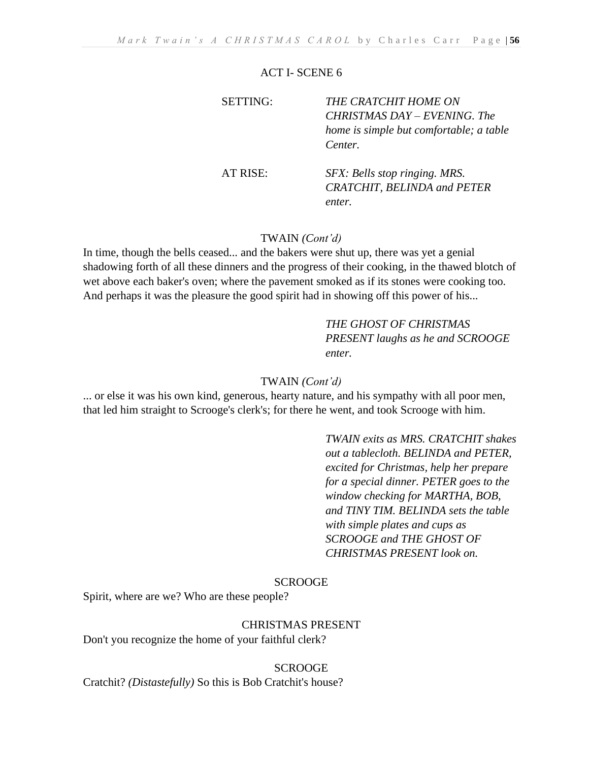#### ACT I- SCENE 6

| <b>SETTING:</b> | THE CRATCHIT HOME ON<br>CHRISTMAS DAY – EVENING. The<br>home is simple but comfortable; a table<br>Center. |
|-----------------|------------------------------------------------------------------------------------------------------------|
| AT RISE:        | SFX: Bells stop ringing. MRS.<br><b>CRATCHIT, BELINDA and PETER</b><br>enter.                              |

## TWAIN *(Cont'd)*

In time, though the bells ceased... and the bakers were shut up, there was yet a genial shadowing forth of all these dinners and the progress of their cooking, in the thawed blotch of wet above each baker's oven; where the pavement smoked as if its stones were cooking too. And perhaps it was the pleasure the good spirit had in showing off this power of his...

> *THE GHOST OF CHRISTMAS PRESENT laughs as he and SCROOGE enter.*

#### TWAIN *(Cont'd)*

... or else it was his own kind, generous, hearty nature, and his sympathy with all poor men, that led him straight to Scrooge's clerk's; for there he went, and took Scrooge with him.

> *TWAIN exits as MRS. CRATCHIT shakes out a tablecloth. BELINDA and PETER, excited for Christmas, help her prepare for a special dinner. PETER goes to the window checking for MARTHA, BOB, and TINY TIM. BELINDA sets the table with simple plates and cups as SCROOGE and THE GHOST OF CHRISTMAS PRESENT look on.*

#### **SCROOGE**

Spirit, where are we? Who are these people?

CHRISTMAS PRESENT

Don't you recognize the home of your faithful clerk?

#### **SCROOGE**

Cratchit? *(Distastefully)* So this is Bob Cratchit's house?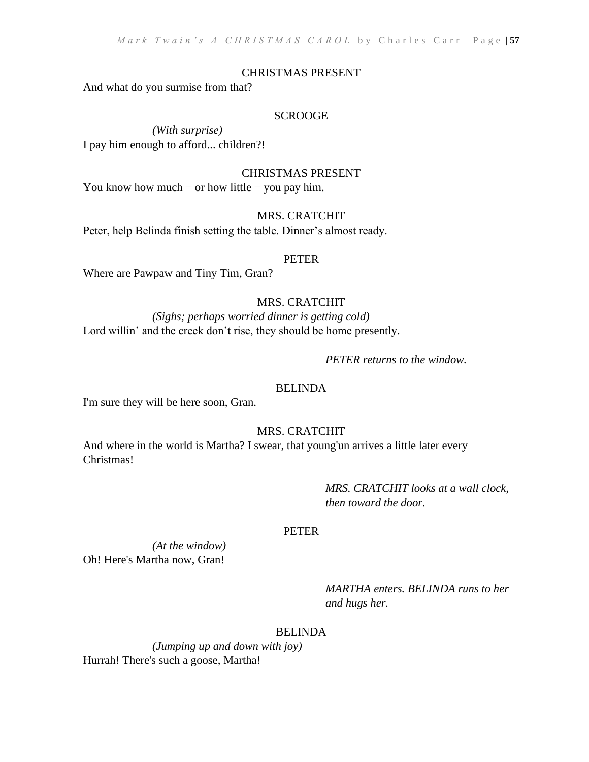## CHRISTMAS PRESENT

And what do you surmise from that?

## SCROOGE

*(With surprise)*  I pay him enough to afford... children?!

#### CHRISTMAS PRESENT

You know how much – or how little – you pay him.

### MRS. CRATCHIT

Peter, help Belinda finish setting the table. Dinner's almost ready.

#### PETER

Where are Pawpaw and Tiny Tim, Gran?

# MRS. CRATCHIT

*(Sighs; perhaps worried dinner is getting cold)* Lord willin' and the creek don't rise, they should be home presently.

## *PETER returns to the window.*

## BELINDA

I'm sure they will be here soon, Gran.

# MRS. CRATCHIT

And where in the world is Martha? I swear, that young'un arrives a little later every Christmas!

> *MRS. CRATCHIT looks at a wall clock, then toward the door.*

### PETER

*(At the window)*  Oh! Here's Martha now, Gran!

> *MARTHA enters. BELINDA runs to her and hugs her.*

# BELINDA

*(Jumping up and down with joy)*  Hurrah! There's such a goose, Martha!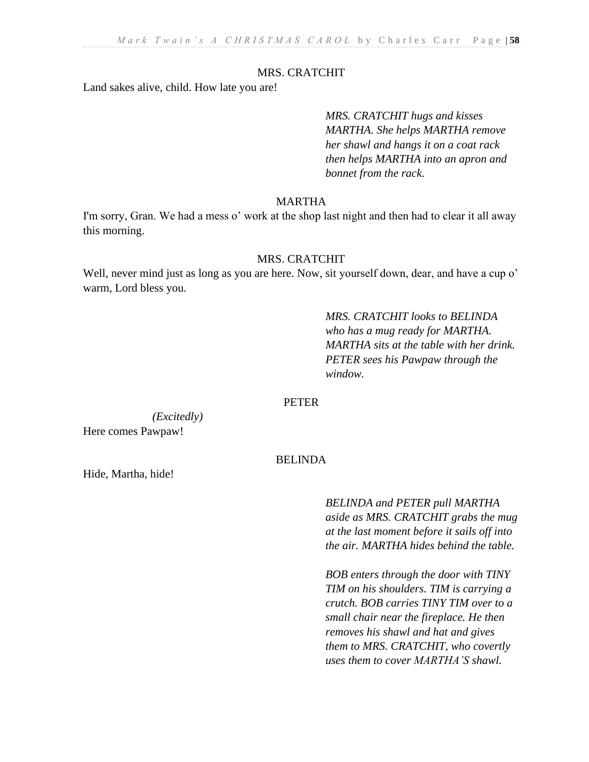#### MRS. CRATCHIT

Land sakes alive, child. How late you are!

*MRS. CRATCHIT hugs and kisses MARTHA. She helps MARTHA remove her shawl and hangs it on a coat rack then helps MARTHA into an apron and bonnet from the rack.*

#### MARTHA

I'm sorry, Gran. We had a mess o' work at the shop last night and then had to clear it all away this morning.

#### MRS. CRATCHIT

Well, never mind just as long as you are here. Now, sit yourself down, dear, and have a cup o' warm, Lord bless you.

> *MRS. CRATCHIT looks to BELINDA who has a mug ready for MARTHA. MARTHA sits at the table with her drink. PETER sees his Pawpaw through the window.*

# PETER

*(Excitedly)* Here comes Pawpaw!

## BELINDA

Hide, Martha, hide!

*BELINDA and PETER pull MARTHA aside as MRS. CRATCHIT grabs the mug at the last moment before it sails off into the air. MARTHA hides behind the table.*

*BOB enters through the door with TINY TIM on his shoulders. TIM is carrying a crutch. BOB carries TINY TIM over to a small chair near the fireplace. He then removes his shawl and hat and gives them to MRS. CRATCHIT, who covertly uses them to cover MARTHA'S shawl.*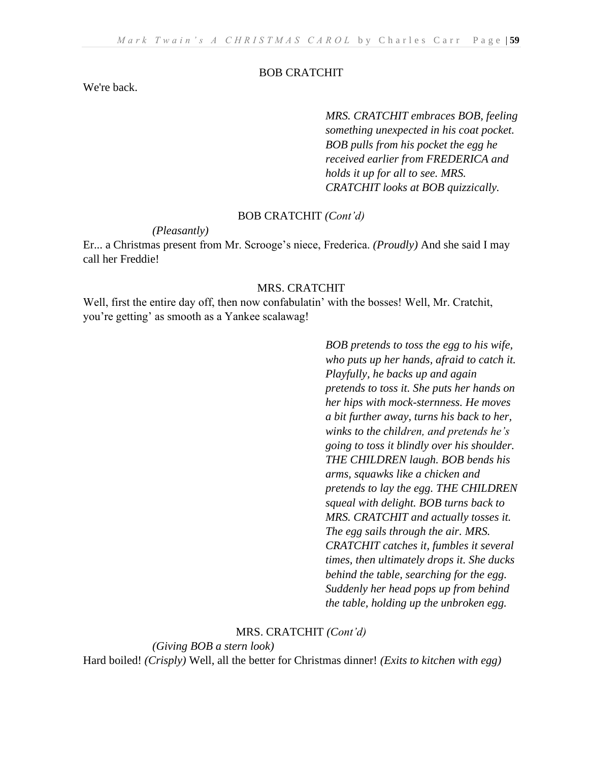## BOB CRATCHIT

We're back.

*MRS. CRATCHIT embraces BOB, feeling something unexpected in his coat pocket. BOB pulls from his pocket the egg he received earlier from FREDERICA and holds it up for all to see. MRS. CRATCHIT looks at BOB quizzically.*

## BOB CRATCHIT *(Cont'd)*

*(Pleasantly)*

Er... a Christmas present from Mr. Scrooge's niece, Frederica. *(Proudly)* And she said I may call her Freddie!

#### MRS. CRATCHIT

Well, first the entire day off, then now confabulatin' with the bosses! Well, Mr. Cratchit, you're getting' as smooth as a Yankee scalawag!

> *BOB pretends to toss the egg to his wife, who puts up her hands, afraid to catch it. Playfully, he backs up and again pretends to toss it. She puts her hands on her hips with mock-sternness. He moves a bit further away, turns his back to her, winks to the children, and pretends he's going to toss it blindly over his shoulder. THE CHILDREN laugh. BOB bends his arms, squawks like a chicken and pretends to lay the egg. THE CHILDREN squeal with delight. BOB turns back to MRS. CRATCHIT and actually tosses it. The egg sails through the air. MRS. CRATCHIT catches it, fumbles it several times, then ultimately drops it. She ducks behind the table, searching for the egg. Suddenly her head pops up from behind the table, holding up the unbroken egg.*

#### MRS. CRATCHIT *(Cont'd)*

*(Giving BOB a stern look)*

Hard boiled! *(Crisply)* Well, all the better for Christmas dinner! *(Exits to kitchen with egg)*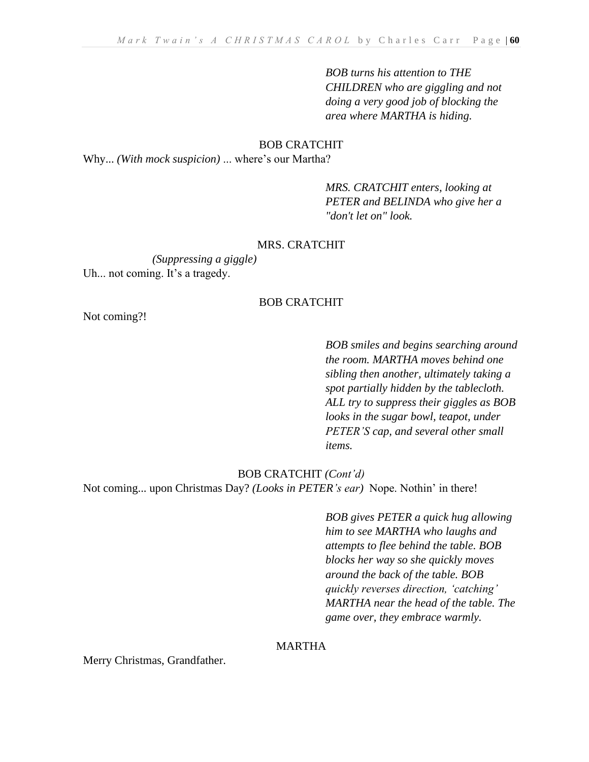*BOB turns his attention to THE CHILDREN who are giggling and not doing a very good job of blocking the area where MARTHA is hiding.*

### BOB CRATCHIT

Why... *(With mock suspicion)* ... where's our Martha?

*MRS. CRATCHIT enters, looking at PETER and BELINDA who give her a "don't let on" look.*

#### MRS. CRATCHIT

*(Suppressing a giggle)*  Uh... not coming. It's a tragedy.

# BOB CRATCHIT

Not coming?!

*BOB smiles and begins searching around the room. MARTHA moves behind one sibling then another, ultimately taking a spot partially hidden by the tablecloth. ALL try to suppress their giggles as BOB looks in the sugar bowl, teapot, under PETER'S cap, and several other small items.*

#### BOB CRATCHIT *(Cont'd)*

Not coming... upon Christmas Day? *(Looks in PETER's ear)* Nope. Nothin' in there!

*BOB gives PETER a quick hug allowing him to see MARTHA who laughs and attempts to flee behind the table. BOB blocks her way so she quickly moves around the back of the table. BOB quickly reverses direction, 'catching' MARTHA near the head of the table. The game over, they embrace warmly.*

# MARTHA

Merry Christmas, Grandfather.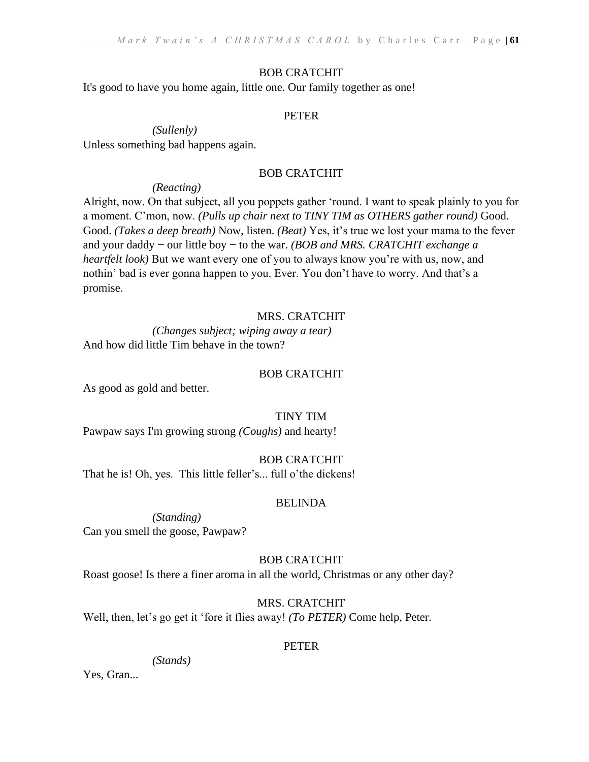## BOB CRATCHIT

It's good to have you home again, little one. Our family together as one!

## PETER

*(Sullenly)* 

Unless something bad happens again.

## BOB CRATCHIT

## *(Reacting)*

Alright, now. On that subject, all you poppets gather 'round. I want to speak plainly to you for a moment. C'mon, now. *(Pulls up chair next to TINY TIM as OTHERS gather round)* Good. Good. *(Takes a deep breath)* Now, listen. *(Beat)* Yes, it's true we lost your mama to the fever and your daddy − our little boy − to the war. *(BOB and MRS. CRATCHIT exchange a heartfelt look)* But we want every one of you to always know you're with us, now, and nothin' bad is ever gonna happen to you. Ever. You don't have to worry. And that's a promise.

# MRS. CRATCHIT

*(Changes subject; wiping away a tear)* And how did little Tim behave in the town?

# BOB CRATCHIT

As good as gold and better.

# TINY TIM

Pawpaw says I'm growing strong *(Coughs)* and hearty!

# BOB CRATCHIT

That he is! Oh, yes. This little feller's... full o'the dickens!

# BELINDA

*(Standing)* Can you smell the goose, Pawpaw?

# BOB CRATCHIT

Roast goose! Is there a finer aroma in all the world, Christmas or any other day?

# MRS. CRATCHIT

Well, then, let's go get it 'fore it flies away! *(To PETER)* Come help, Peter.

# PETER

*(Stands)*

Yes, Gran...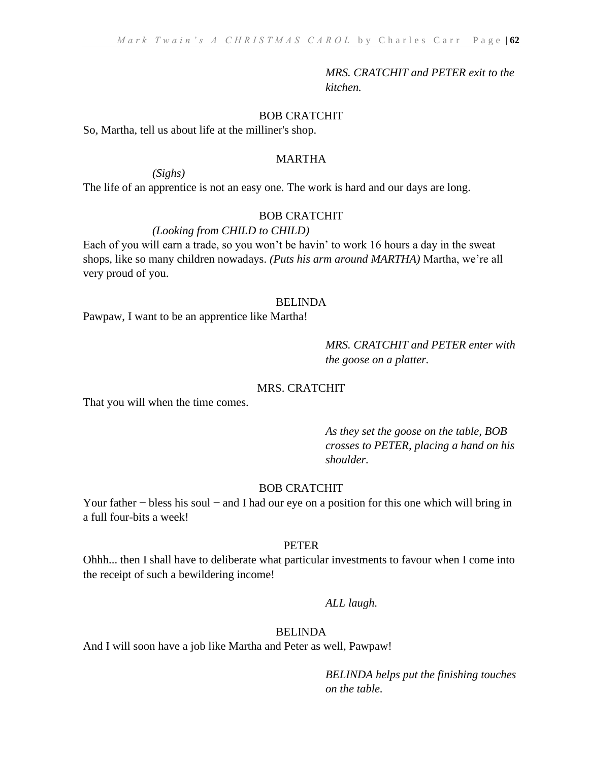*MRS. CRATCHIT and PETER exit to the kitchen.*

## BOB CRATCHIT

So, Martha, tell us about life at the milliner's shop.

*(Sighs)* 

# MARTHA

The life of an apprentice is not an easy one. The work is hard and our days are long.

#### BOB CRATCHIT

## *(Looking from CHILD to CHILD)*

Each of you will earn a trade, so you won't be havin' to work 16 hours a day in the sweat shops, like so many children nowadays. *(Puts his arm around MARTHA)* Martha, we're all very proud of you.

#### BELINDA

Pawpaw, I want to be an apprentice like Martha!

# *MRS. CRATCHIT and PETER enter with the goose on a platter.*

# MRS. CRATCHIT

That you will when the time comes.

*As they set the goose on the table, BOB crosses to PETER, placing a hand on his shoulder.*

## BOB CRATCHIT

Your father − bless his soul − and I had our eye on a position for this one which will bring in a full four-bits a week!

## PETER

Ohhh... then I shall have to deliberate what particular investments to favour when I come into the receipt of such a bewildering income!

*ALL laugh.*

#### BELINDA

And I will soon have a job like Martha and Peter as well, Pawpaw!

*BELINDA helps put the finishing touches on the table.*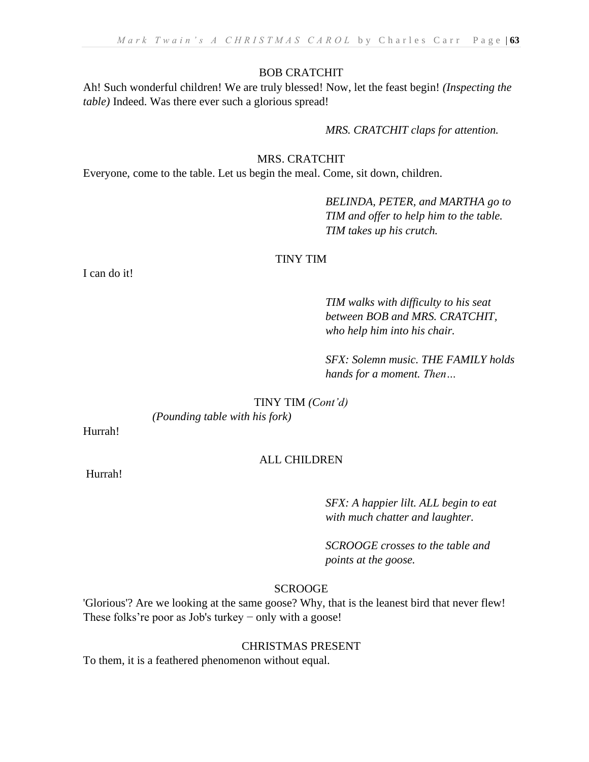#### BOB CRATCHIT

Ah! Such wonderful children! We are truly blessed! Now, let the feast begin! *(Inspecting the table)* Indeed. Was there ever such a glorious spread!

*MRS. CRATCHIT claps for attention.*

# MRS. CRATCHIT

Everyone, come to the table. Let us begin the meal. Come, sit down, children.

*BELINDA, PETER, and MARTHA go to TIM and offer to help him to the table. TIM takes up his crutch.*

# TINY TIM

I can do it!

*TIM walks with difficulty to his seat between BOB and MRS. CRATCHIT, who help him into his chair.*

*SFX: Solemn music. THE FAMILY holds hands for a moment. Then…*

TINY TIM *(Cont'd)*

*(Pounding table with his fork)* 

Hurrah!

## ALL CHILDREN

Hurrah!

*SFX: A happier lilt. ALL begin to eat with much chatter and laughter.*

*SCROOGE crosses to the table and points at the goose.* 

# **SCROOGE**

'Glorious'? Are we looking at the same goose? Why, that is the leanest bird that never flew! These folks're poor as Job's turkey – only with a goose!

CHRISTMAS PRESENT

To them, it is a feathered phenomenon without equal.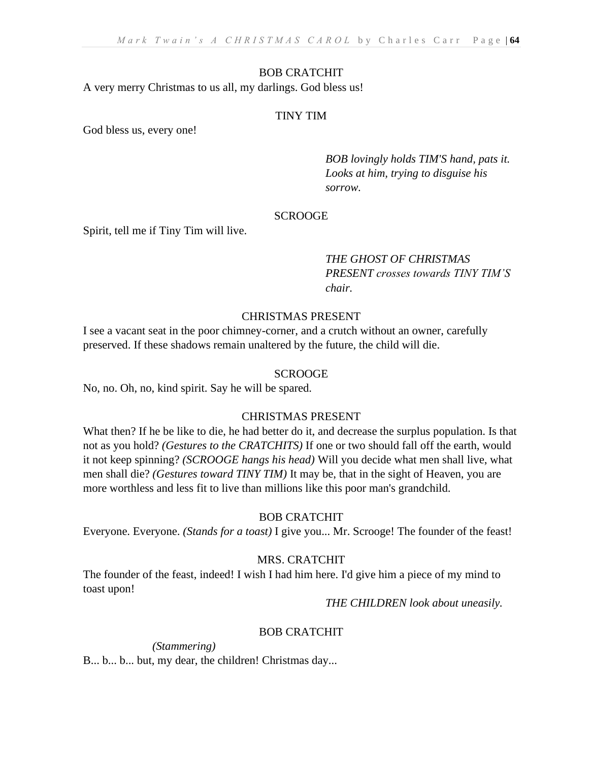## BOB CRATCHIT

A very merry Christmas to us all, my darlings. God bless us!

## TINY TIM

God bless us, every one!

*BOB lovingly holds TIM'S hand, pats it. Looks at him, trying to disguise his sorrow.*

## SCROOGE

Spirit, tell me if Tiny Tim will live.

# *THE GHOST OF CHRISTMAS PRESENT crosses towards TINY TIM'S chair.*

# CHRISTMAS PRESENT

I see a vacant seat in the poor chimney-corner, and a crutch without an owner, carefully preserved. If these shadows remain unaltered by the future, the child will die.

## **SCROOGE**

No, no. Oh, no, kind spirit. Say he will be spared.

### CHRISTMAS PRESENT

What then? If he be like to die, he had better do it, and decrease the surplus population. Is that not as you hold? *(Gestures to the CRATCHITS)* If one or two should fall off the earth, would it not keep spinning? *(SCROOGE hangs his head)* Will you decide what men shall live, what men shall die? *(Gestures toward TINY TIM)* It may be, that in the sight of Heaven, you are more worthless and less fit to live than millions like this poor man's grandchild.

### BOB CRATCHIT

Everyone. Everyone. *(Stands for a toast)* I give you... Mr. Scrooge! The founder of the feast!

### MRS. CRATCHIT

The founder of the feast, indeed! I wish I had him here. I'd give him a piece of my mind to toast upon!

*THE CHILDREN look about uneasily.*

# BOB CRATCHIT

*(Stammering)* 

B... b... b... but, my dear, the children! Christmas day...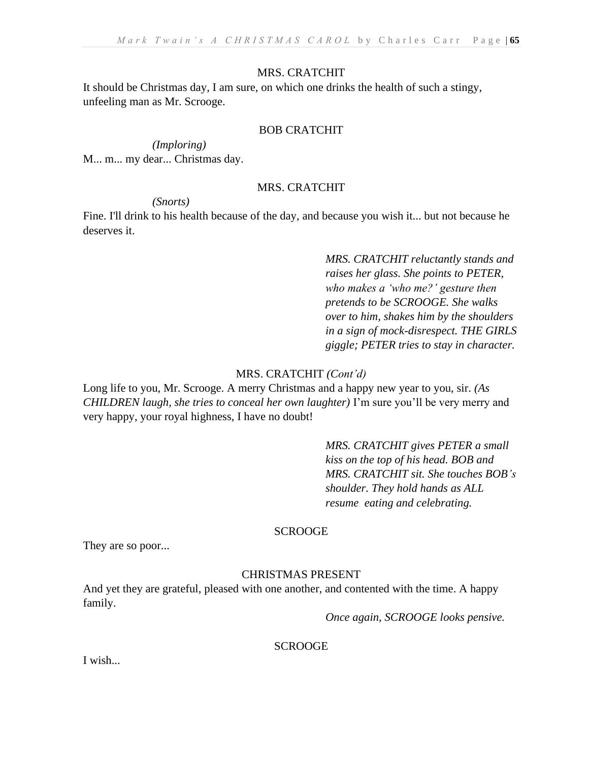# MRS. CRATCHIT

It should be Christmas day, I am sure, on which one drinks the health of such a stingy, unfeeling man as Mr. Scrooge.

## BOB CRATCHIT

*(Imploring)*  M... m... my dear... Christmas day.

## MRS. CRATCHIT

*(Snorts)* 

Fine. I'll drink to his health because of the day, and because you wish it... but not because he deserves it.

> *MRS. CRATCHIT reluctantly stands and raises her glass. She points to PETER, who makes a 'who me?' gesture then pretends to be SCROOGE. She walks over to him, shakes him by the shoulders in a sign of mock-disrespect. THE GIRLS giggle; PETER tries to stay in character.*

# MRS. CRATCHIT *(Cont'd)*

Long life to you, Mr. Scrooge. A merry Christmas and a happy new year to you, sir. *(As CHILDREN laugh, she tries to conceal her own laughter*) I'm sure you'll be very merry and very happy, your royal highness, I have no doubt!

> *MRS. CRATCHIT gives PETER a small kiss on the top of his head. BOB and MRS. CRATCHIT sit. She touches BOB's shoulder. They hold hands as ALL resume eating and celebrating.*

# SCROOGE

They are so poor...

# CHRISTMAS PRESENT

And yet they are grateful, pleased with one another, and contented with the time. A happy family.

*Once again, SCROOGE looks pensive.*

**SCROOGE** 

I wish...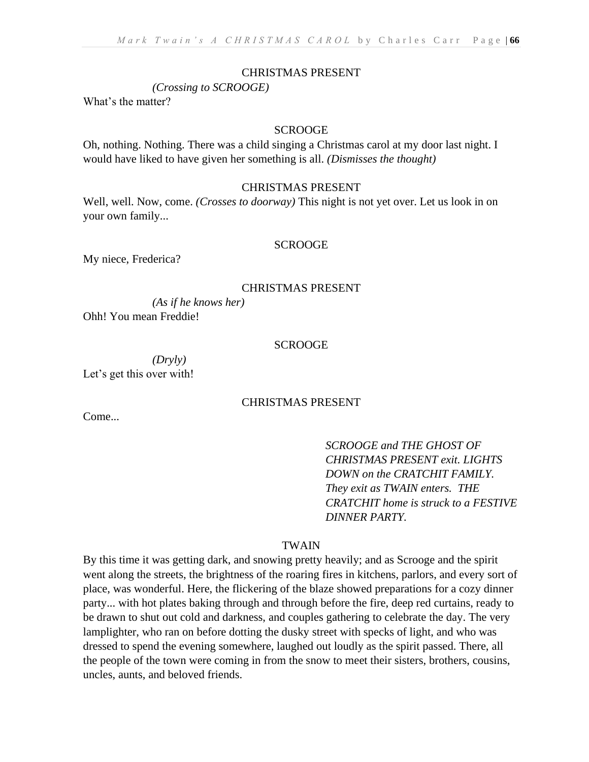#### CHRISTMAS PRESENT

*(Crossing to SCROOGE)*

What's the matter?

#### SCROOGE

Oh, nothing. Nothing. There was a child singing a Christmas carol at my door last night. I would have liked to have given her something is all. *(Dismisses the thought)*

## CHRISTMAS PRESENT

Well, well. Now, come. *(Crosses to doorway)* This night is not yet over. Let us look in on your own family...

#### SCROOGE

My niece, Frederica?

#### CHRISTMAS PRESENT

*(As if he knows her)*  Ohh! You mean Freddie!

#### SCROOGE

*(Dryly)* Let's get this over with!

## CHRISTMAS PRESENT

Come...

*SCROOGE and THE GHOST OF CHRISTMAS PRESENT exit. LIGHTS DOWN on the CRATCHIT FAMILY. They exit as TWAIN enters. THE CRATCHIT home is struck to a FESTIVE DINNER PARTY.* 

## TWAIN

By this time it was getting dark, and snowing pretty heavily; and as Scrooge and the spirit went along the streets, the brightness of the roaring fires in kitchens, parlors, and every sort of place, was wonderful. Here, the flickering of the blaze showed preparations for a cozy dinner party... with hot plates baking through and through before the fire, deep red curtains, ready to be drawn to shut out cold and darkness, and couples gathering to celebrate the day. The very lamplighter, who ran on before dotting the dusky street with specks of light, and who was dressed to spend the evening somewhere, laughed out loudly as the spirit passed. There, all the people of the town were coming in from the snow to meet their sisters, brothers, cousins, uncles, aunts, and beloved friends.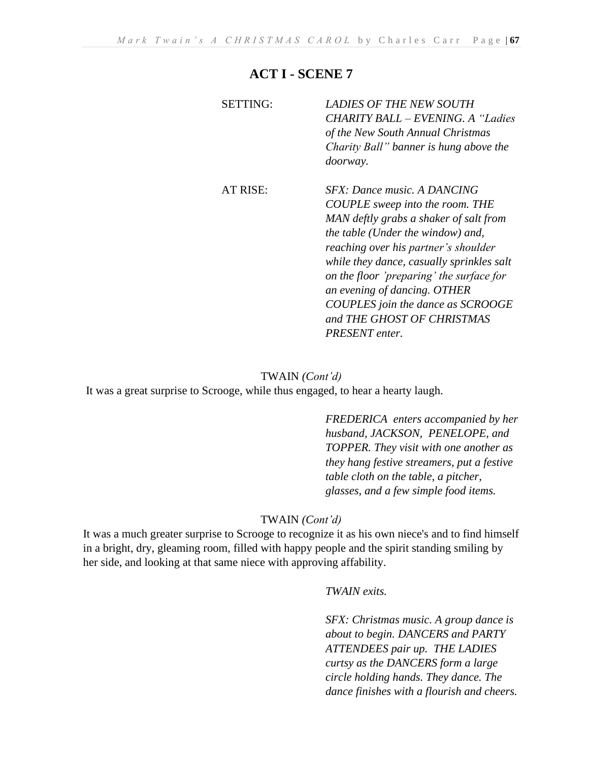# **ACT I - SCENE 7**

| <b>SETTING:</b> | <b>LADIES OF THE NEW SOUTH</b><br><b>CHARITY BALL - EVENING. A "Ladies"</b><br>of the New South Annual Christmas<br>Charity Ball" banner is hung above the<br><i>doorway.</i>                                                                                                                                                                                                                              |
|-----------------|------------------------------------------------------------------------------------------------------------------------------------------------------------------------------------------------------------------------------------------------------------------------------------------------------------------------------------------------------------------------------------------------------------|
| AT RISE:        | SFX: Dance music. A DANCING<br><b>COUPLE</b> sweep into the room. THE<br>MAN deftly grabs a shaker of salt from<br>the table (Under the window) and,<br>reaching over his partner's shoulder<br>while they dance, casually sprinkles salt<br>on the floor 'preparing' the surface for<br>an evening of dancing. OTHER<br>COUPLES join the dance as SCROOGE<br>and THE GHOST OF CHRISTMAS<br>PRESENT enter. |

# TWAIN *(Cont'd)*

It was a great surprise to Scrooge, while thus engaged, to hear a hearty laugh.

*FREDERICA enters accompanied by her husband, JACKSON, PENELOPE, and TOPPER. They visit with one another as they hang festive streamers, put a festive table cloth on the table, a pitcher, glasses, and a few simple food items.*

# TWAIN *(Cont'd)*

It was a much greater surprise to Scrooge to recognize it as his own niece's and to find himself in a bright, dry, gleaming room, filled with happy people and the spirit standing smiling by her side, and looking at that same niece with approving affability.

### *TWAIN exits.*

*SFX: Christmas music. A group dance is about to begin. DANCERS and PARTY ATTENDEES pair up. THE LADIES curtsy as the DANCERS form a large circle holding hands. They dance. The dance finishes with a flourish and cheers.*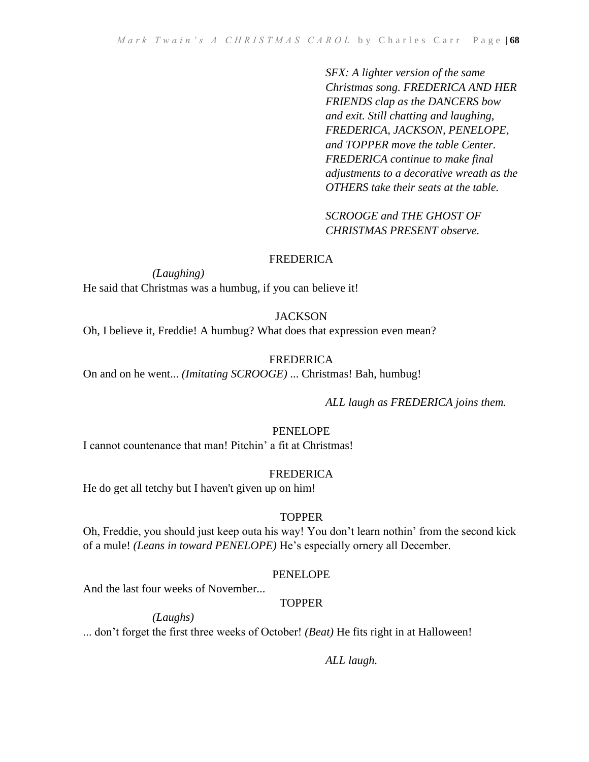*SFX: A lighter version of the same Christmas song. FREDERICA AND HER FRIENDS clap as the DANCERS bow and exit. Still chatting and laughing, FREDERICA, JACKSON, PENELOPE, and TOPPER move the table Center. FREDERICA continue to make final adjustments to a decorative wreath as the OTHERS take their seats at the table.*

*SCROOGE and THE GHOST OF CHRISTMAS PRESENT observe.*

## FREDERICA

*(Laughing)* 

He said that Christmas was a humbug, if you can believe it!

# **JACKSON**

Oh, I believe it, Freddie! A humbug? What does that expression even mean?

# FREDERICA

On and on he went... *(Imitating SCROOGE)* ... Christmas! Bah, humbug!

*ALL laugh as FREDERICA joins them.*

# PENELOPE

I cannot countenance that man! Pitchin' a fit at Christmas!

### FREDERICA

He do get all tetchy but I haven't given up on him!

### TOPPER

Oh, Freddie, you should just keep outa his way! You don't learn nothin' from the second kick of a mule! *(Leans in toward PENELOPE)* He's especially ornery all December.

# PENELOPE

And the last four weeks of November...

# TOPPER

*(Laughs)* 

... don't forget the first three weeks of October! *(Beat)* He fits right in at Halloween!

*ALL laugh.*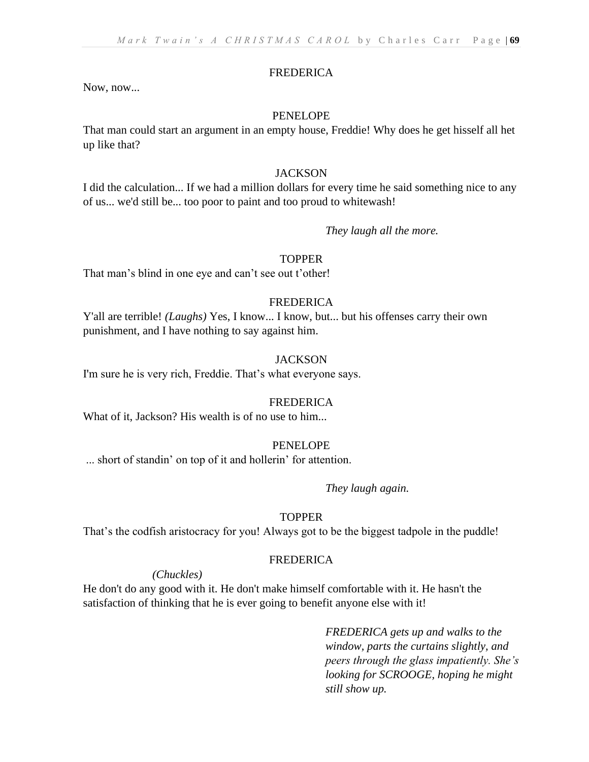#### FREDERICA

Now, now...

#### PENELOPE

That man could start an argument in an empty house, Freddie! Why does he get hisself all het up like that?

#### **JACKSON**

I did the calculation... If we had a million dollars for every time he said something nice to any of us... we'd still be... too poor to paint and too proud to whitewash!

#### *They laugh all the more.*

## **TOPPER**

That man's blind in one eye and can't see out t'other!

#### FREDERICA

Y'all are terrible! *(Laughs)* Yes, I know... I know, but... but his offenses carry their own punishment, and I have nothing to say against him.

#### **JACKSON**

I'm sure he is very rich, Freddie. That's what everyone says.

#### FREDERICA

What of it, Jackson? His wealth is of no use to him...

## PENELOPE

... short of standin' on top of it and hollerin' for attention.

#### *They laugh again.*

#### TOPPER

That's the codfish aristocracy for you! Always got to be the biggest tadpole in the puddle!

#### **FREDERICA**

#### *(Chuckles)*

He don't do any good with it. He don't make himself comfortable with it. He hasn't the satisfaction of thinking that he is ever going to benefit anyone else with it!

> *FREDERICA gets up and walks to the window, parts the curtains slightly, and peers through the glass impatiently. She's looking for SCROOGE, hoping he might still show up.*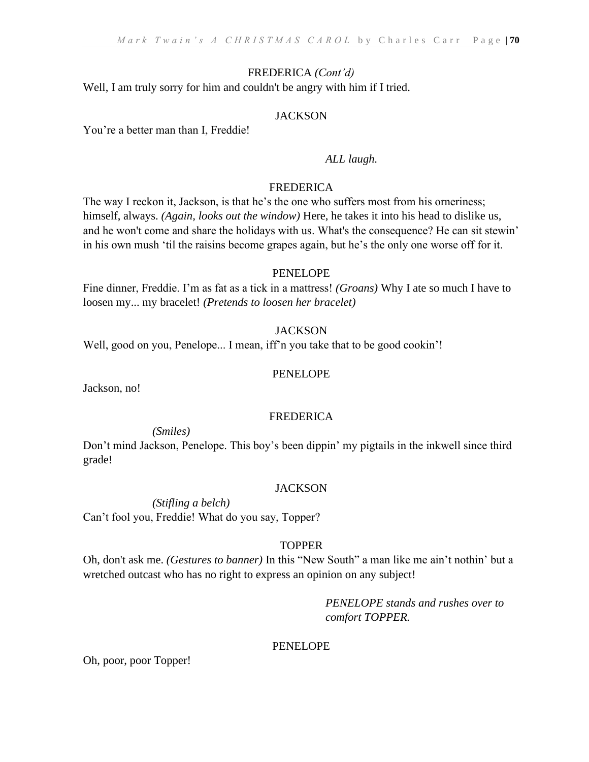# FREDERICA *(Cont'd)*

Well, I am truly sorry for him and couldn't be angry with him if I tried.

# **JACKSON**

You're a better man than I, Freddie!

## *ALL laugh.*

## FREDERICA

The way I reckon it, Jackson, is that he's the one who suffers most from his orneriness; himself, always. *(Again, looks out the window)* Here, he takes it into his head to dislike us, and he won't come and share the holidays with us. What's the consequence? He can sit stewin' in his own mush 'til the raisins become grapes again, but he's the only one worse off for it.

### PENELOPE

Fine dinner, Freddie. I'm as fat as a tick in a mattress! *(Groans)* Why I ate so much I have to loosen my... my bracelet! *(Pretends to loosen her bracelet)*

# **JACKSON**

Well, good on you, Penelope... I mean, iff'n you take that to be good cookin'!

## PENELOPE

Jackson, no!

### FREDERICA

*(Smiles)* 

Don't mind Jackson, Penelope. This boy's been dippin' my pigtails in the inkwell since third grade!

### **JACKSON**

*(Stifling a belch)* Can't fool you, Freddie! What do you say, Topper?

# TOPPER

Oh, don't ask me. *(Gestures to banner)* In this "New South" a man like me ain't nothin' but a wretched outcast who has no right to express an opinion on any subject!

> *PENELOPE stands and rushes over to comfort TOPPER.*

# PENELOPE

Oh, poor, poor Topper!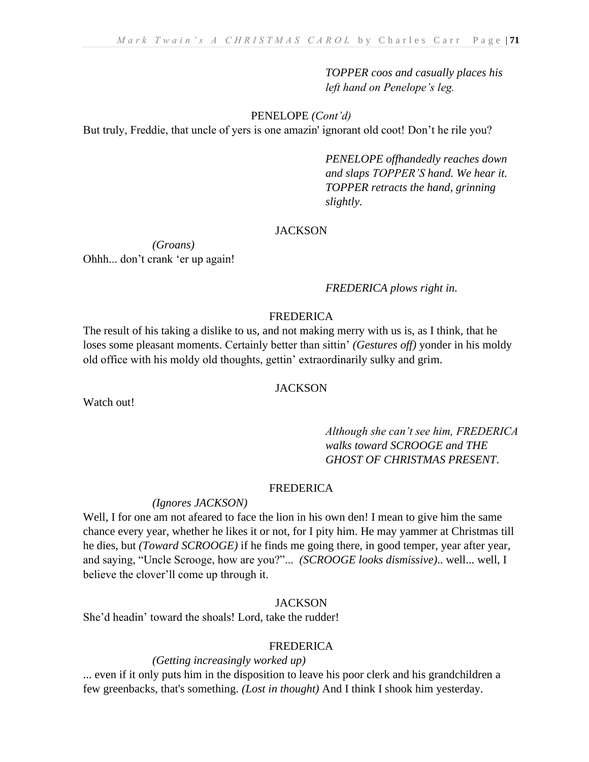*TOPPER coos and casually places his left hand on Penelope's leg.* 

PENELOPE *(Cont'd)*

But truly, Freddie, that uncle of yers is one amazin' ignorant old coot! Don't he rile you?

*PENELOPE offhandedly reaches down and slaps TOPPER'S hand. We hear it. TOPPER retracts the hand, grinning slightly.*

### **JACKSON**

*(Groans)*  Ohhh... don't crank 'er up again!

*FREDERICA plows right in.*

## FREDERICA

The result of his taking a dislike to us, and not making merry with us is, as I think, that he loses some pleasant moments. Certainly better than sittin' *(Gestures off)* yonder in his moldy old office with his moldy old thoughts, gettin' extraordinarily sulky and grim.

### **JACKSON**

Watch out!

# *Although she can't see him, FREDERICA walks toward SCROOGE and THE GHOST OF CHRISTMAS PRESENT*.

#### FREDERICA

#### *(Ignores JACKSON)*

Well, I for one am not afeared to face the lion in his own den! I mean to give him the same chance every year, whether he likes it or not, for I pity him. He may yammer at Christmas till he dies, but *(Toward SCROOGE)* if he finds me going there, in good temper, year after year, and saying, "Uncle Scrooge, how are you?"... *(SCROOGE looks dismissive)*.. well... well, I believe the clover'll come up through it.

### **JACKSON**

She'd headin' toward the shoals! Lord, take the rudder!

# FREDERICA

## *(Getting increasingly worked up)*

... even if it only puts him in the disposition to leave his poor clerk and his grandchildren a few greenbacks, that's something. *(Lost in thought)* And I think I shook him yesterday.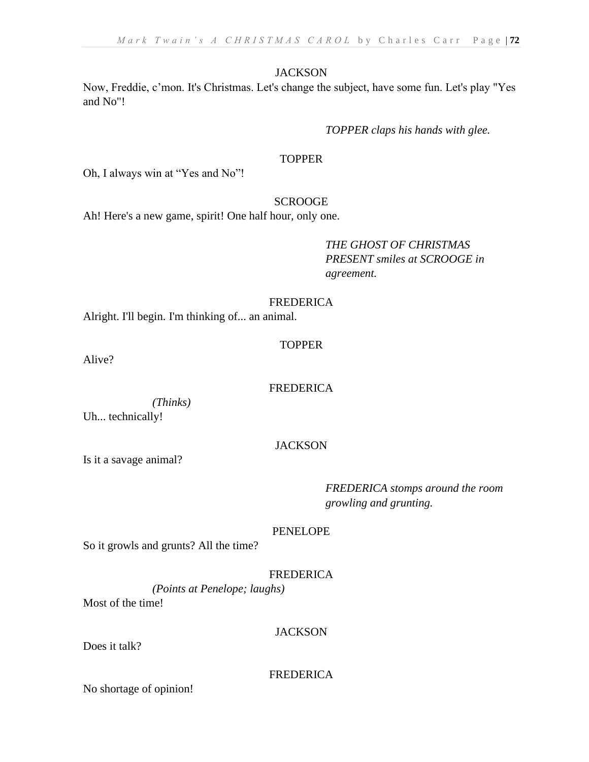## **JACKSON**

Now, Freddie, c'mon. It's Christmas. Let's change the subject, have some fun. Let's play "Yes and No"!

*TOPPER claps his hands with glee.*

# **TOPPER**

Oh, I always win at "Yes and No"!

# **SCROOGE**

Ah! Here's a new game, spirit! One half hour, only one.

*THE GHOST OF CHRISTMAS PRESENT smiles at SCROOGE in agreement.*

## FREDERICA

Alright. I'll begin. I'm thinking of... an animal.

### TOPPER

Alive?

### FREDERICA

*(Thinks)* Uh... technically!

# **JACKSON**

Is it a savage animal?

*FREDERICA stomps around the room growling and grunting.*

### PENELOPE

So it growls and grunts? All the time?

# FREDERICA

*(Points at Penelope; laughs)* Most of the time!

# **JACKSON**

Does it talk?

# FREDERICA

No shortage of opinion!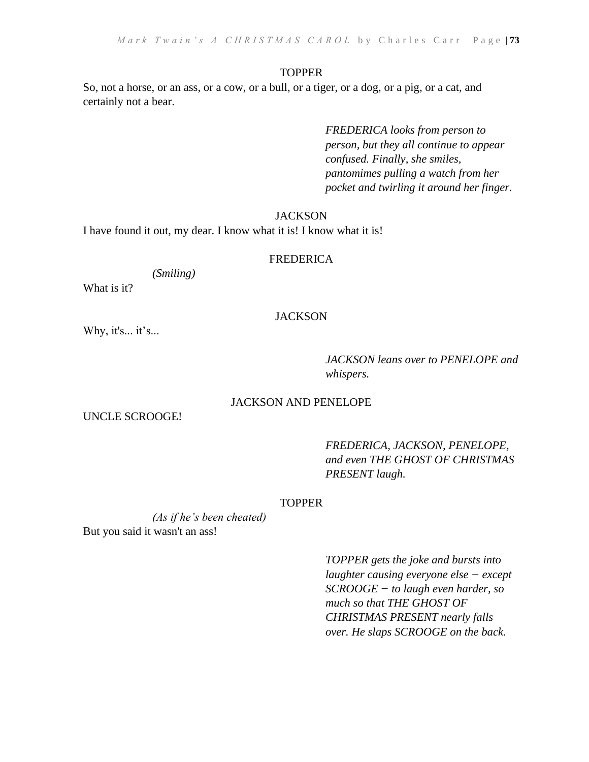#### **TOPPER**

So, not a horse, or an ass, or a cow, or a bull, or a tiger, or a dog, or a pig, or a cat, and certainly not a bear.

> *FREDERICA looks from person to person, but they all continue to appear confused. Finally, she smiles, pantomimes pulling a watch from her pocket and twirling it around her finger.*

#### **JACKSON**

I have found it out, my dear. I know what it is! I know what it is!

#### FREDERICA

*(Smiling)* 

What is it?

### **JACKSON**

Why, it's... it's...

*JACKSON leans over to PENELOPE and whispers.*

### JACKSON AND PENELOPE

UNCLE SCROOGE!

*FREDERICA, JACKSON, PENELOPE, and even THE GHOST OF CHRISTMAS PRESENT laugh.*

### TOPPER

*(As if he's been cheated)* But you said it wasn't an ass!

> *TOPPER gets the joke and bursts into laughter causing everyone else − except SCROOGE − to laugh even harder, so much so that THE GHOST OF CHRISTMAS PRESENT nearly falls over. He slaps SCROOGE on the back.*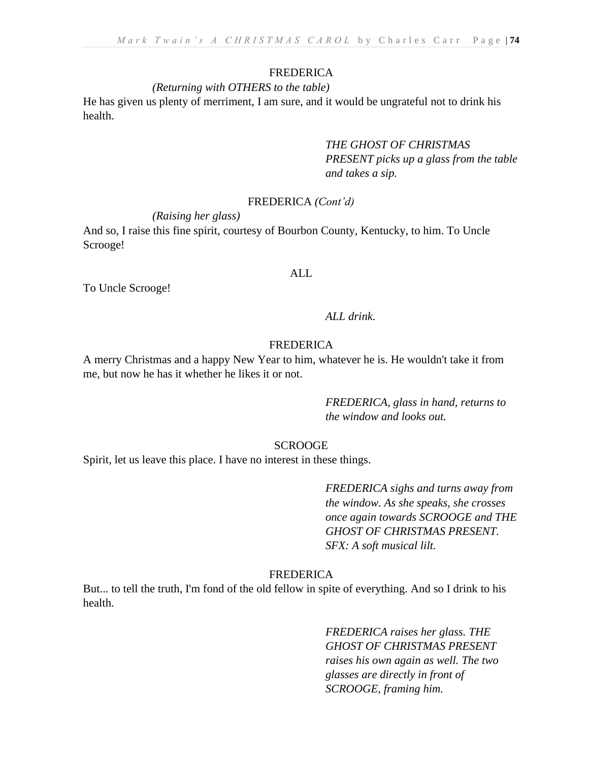#### FREDERICA

#### *(Returning with OTHERS to the table)*

He has given us plenty of merriment, I am sure, and it would be ungrateful not to drink his health.

> *THE GHOST OF CHRISTMAS PRESENT picks up a glass from the table and takes a sip.*

#### FREDERICA *(Cont'd)*

*(Raising her glass)*

And so, I raise this fine spirit, courtesy of Bourbon County, Kentucky, to him. To Uncle Scrooge!

#### ALL

To Uncle Scrooge!

#### *ALL drink.*

#### FREDERICA

A merry Christmas and a happy New Year to him, whatever he is. He wouldn't take it from me, but now he has it whether he likes it or not.

> *FREDERICA, glass in hand, returns to the window and looks out.*

# **SCROOGE**

Spirit, let us leave this place. I have no interest in these things.

*FREDERICA sighs and turns away from the window. As she speaks, she crosses once again towards SCROOGE and THE GHOST OF CHRISTMAS PRESENT. SFX: A soft musical lilt.*

#### FREDERICA

But... to tell the truth, I'm fond of the old fellow in spite of everything. And so I drink to his health.

> *FREDERICA raises her glass. THE GHOST OF CHRISTMAS PRESENT raises his own again as well. The two glasses are directly in front of SCROOGE, framing him.*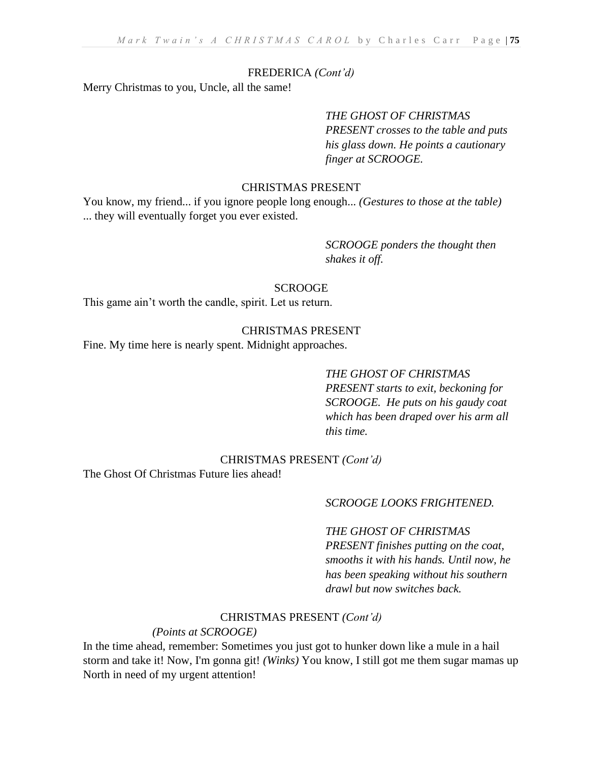# FREDERICA *(Cont'd)*

Merry Christmas to you, Uncle, all the same!

# *THE GHOST OF CHRISTMAS PRESENT crosses to the table and puts his glass down. He points a cautionary finger at SCROOGE.*

# CHRISTMAS PRESENT

You know, my friend... if you ignore people long enough... *(Gestures to those at the table)* ... they will eventually forget you ever existed.

> *SCROOGE ponders the thought then shakes it off.*

#### SCROOGE

This game ain't worth the candle, spirit. Let us return.

# CHRISTMAS PRESENT

Fine. My time here is nearly spent. Midnight approaches.

#### *THE GHOST OF CHRISTMAS*

*PRESENT starts to exit, beckoning for SCROOGE. He puts on his gaudy coat which has been draped over his arm all this time.*

# CHRISTMAS PRESENT *(Cont'd)*

The Ghost Of Christmas Future lies ahead!

# *SCROOGE LOOKS FRIGHTENED.*

# *THE GHOST OF CHRISTMAS*

*PRESENT finishes putting on the coat, smooths it with his hands. Until now, he has been speaking without his southern drawl but now switches back.*

#### CHRISTMAS PRESENT *(Cont'd)*

*(Points at SCROOGE)*

In the time ahead, remember: Sometimes you just got to hunker down like a mule in a hail storm and take it! Now, I'm gonna git! *(Winks)* You know, I still got me them sugar mamas up North in need of my urgent attention!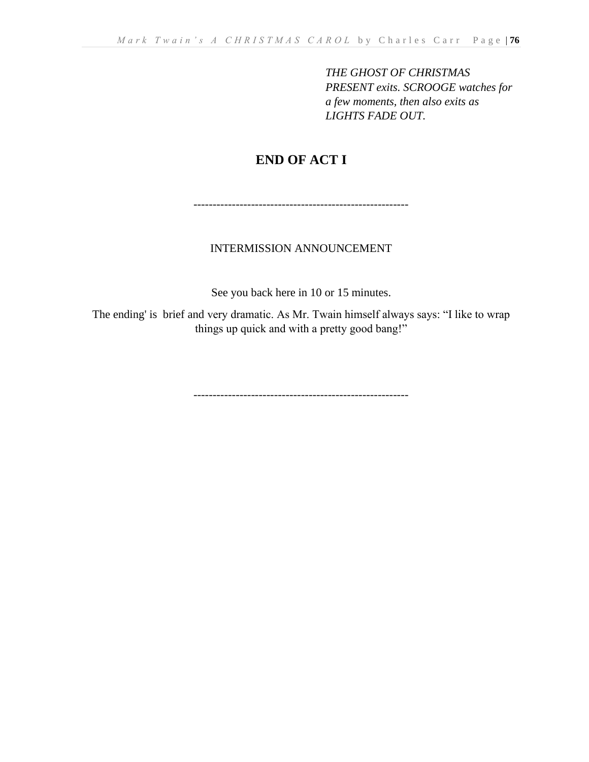*THE GHOST OF CHRISTMAS PRESENT exits. SCROOGE watches for a few moments, then also exits as LIGHTS FADE OUT.*

# **END OF ACT I**

--------------------------------------------------------

# INTERMISSION ANNOUNCEMENT

See you back here in 10 or 15 minutes.

The ending' is brief and very dramatic. As Mr. Twain himself always says: "I like to wrap things up quick and with a pretty good bang!"

--------------------------------------------------------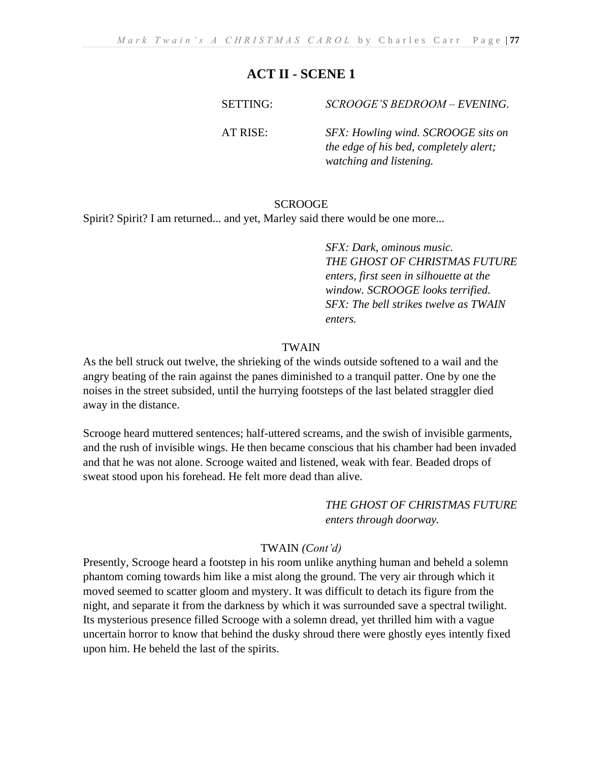SETTING: *SCROOGE'S BEDROOM – EVENING.*

AT RISE: *SFX: Howling wind. SCROOGE sits on the edge of his bed, completely alert; watching and listening.*

# **SCROOGE**

Spirit? Spirit? I am returned... and yet, Marley said there would be one more...

*SFX: Dark, ominous music. THE GHOST OF CHRISTMAS FUTURE enters, first seen in silhouette at the window. SCROOGE looks terrified. SFX: The bell strikes twelve as TWAIN enters.*

# TWAIN

As the bell struck out twelve, the shrieking of the winds outside softened to a wail and the angry beating of the rain against the panes diminished to a tranquil patter. One by one the noises in the street subsided, until the hurrying footsteps of the last belated straggler died away in the distance.

Scrooge heard muttered sentences; half-uttered screams, and the swish of invisible garments, and the rush of invisible wings. He then became conscious that his chamber had been invaded and that he was not alone. Scrooge waited and listened, weak with fear. Beaded drops of sweat stood upon his forehead. He felt more dead than alive.

> *THE GHOST OF CHRISTMAS FUTURE enters through doorway.*

# TWAIN *(Cont'd)*

Presently, Scrooge heard a footstep in his room unlike anything human and beheld a solemn phantom coming towards him like a mist along the ground. The very air through which it moved seemed to scatter gloom and mystery. It was difficult to detach its figure from the night, and separate it from the darkness by which it was surrounded save a spectral twilight. Its mysterious presence filled Scrooge with a solemn dread, yet thrilled him with a vague uncertain horror to know that behind the dusky shroud there were ghostly eyes intently fixed upon him. He beheld the last of the spirits.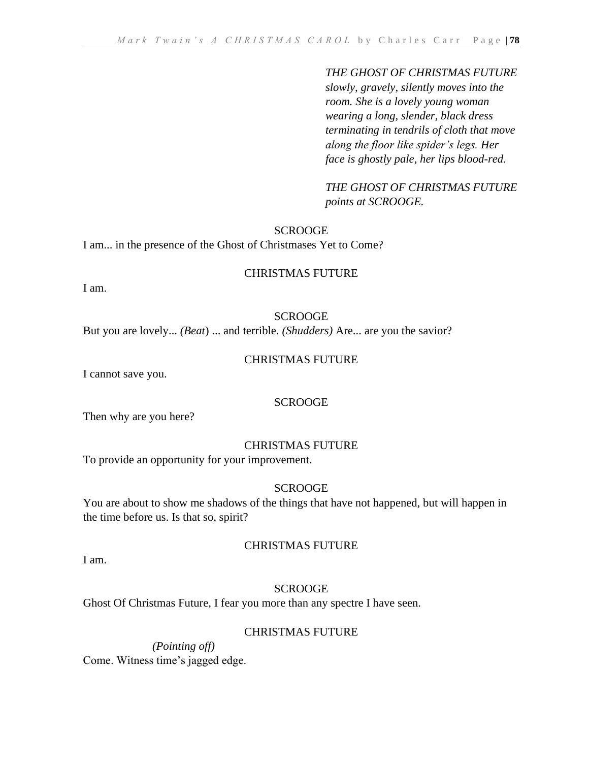#### *THE GHOST OF CHRISTMAS FUTURE*

*slowly, gravely, silently moves into the room. She is a lovely young woman wearing a long, slender, black dress terminating in tendrils of cloth that move along the floor like spider's legs. Her face is ghostly pale, her lips blood-red.*

*THE GHOST OF CHRISTMAS FUTURE points at SCROOGE.*

#### SCROOGE

I am... in the presence of the Ghost of Christmases Yet to Come?

#### CHRISTMAS FUTURE

I am.

#### SCROOGE

But you are lovely... *(Beat*) ... and terrible. *(Shudders)* Are... are you the savior?

#### CHRISTMAS FUTURE

I cannot save you.

# **SCROOGE**

Then why are you here?

#### CHRISTMAS FUTURE

To provide an opportunity for your improvement.

#### SCROOGE

You are about to show me shadows of the things that have not happened, but will happen in the time before us. Is that so, spirit?

### CHRISTMAS FUTURE

I am.

### **SCROOGE**

Ghost Of Christmas Future, I fear you more than any spectre I have seen.

# CHRISTMAS FUTURE

*(Pointing off)* Come. Witness time's jagged edge.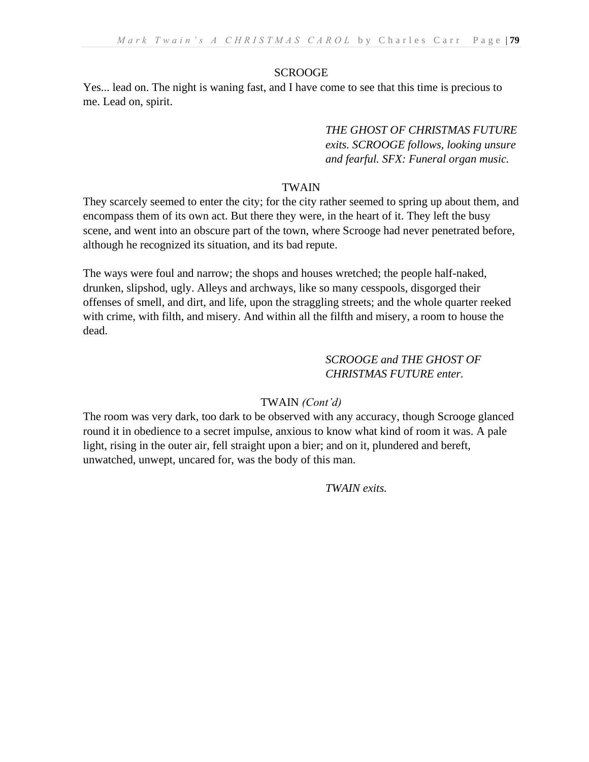# **SCROOGE**

Yes... lead on. The night is waning fast, and I have come to see that this time is precious to me. Lead on, spirit.

> *THE GHOST OF CHRISTMAS FUTURE exits. SCROOGE follows, looking unsure and fearful. SFX: Funeral organ music.*

# TWAIN

They scarcely seemed to enter the city; for the city rather seemed to spring up about them, and encompass them of its own act. But there they were, in the heart of it. They left the busy scene, and went into an obscure part of the town, where Scrooge had never penetrated before, although he recognized its situation, and its bad repute.

The ways were foul and narrow; the shops and houses wretched; the people half-naked, drunken, slipshod, ugly. Alleys and archways, like so many cesspools, disgorged their offenses of smell, and dirt, and life, upon the straggling streets; and the whole quarter reeked with crime, with filth, and misery. And within all the filfth and misery, a room to house the dead.

# *SCROOGE and THE GHOST OF CHRISTMAS FUTURE enter.*

# TWAIN *(Cont'd)*

The room was very dark, too dark to be observed with any accuracy, though Scrooge glanced round it in obedience to a secret impulse, anxious to know what kind of room it was. A pale light, rising in the outer air, fell straight upon a bier; and on it, plundered and bereft, unwatched, unwept, uncared for, was the body of this man.

*TWAIN exits.*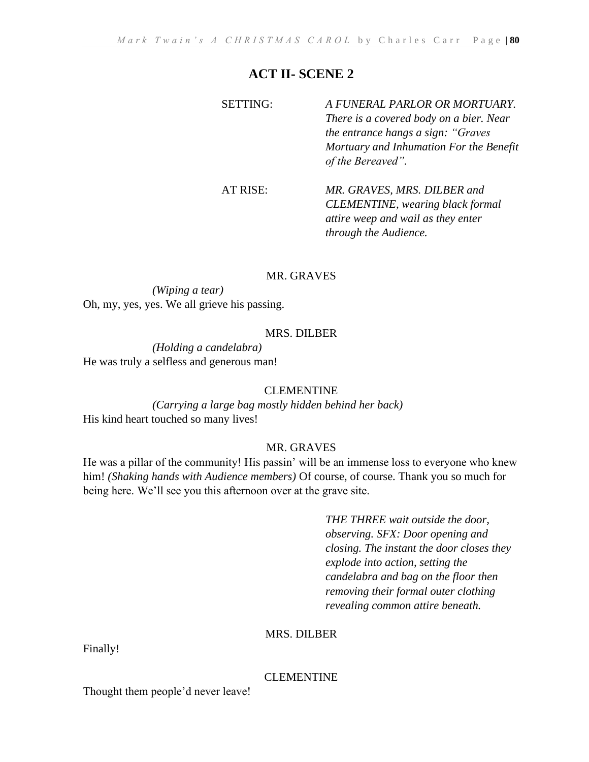SETTING: *A FUNERAL PARLOR OR MORTUARY. There is a covered body on a bier. Near the entrance hangs a sign: "Graves Mortuary and Inhumation For the Benefit of the Bereaved".* AT RISE: *MR. GRAVES, MRS. DILBER and CLEMENTINE, wearing black formal* 

*attire weep and wail as they enter through the Audience.* 

# MR. GRAVES

*(Wiping a tear)*  Oh, my, yes, yes. We all grieve his passing.

# MRS. DILBER

*(Holding a candelabra)*  He was truly a selfless and generous man!

#### CLEMENTINE

*(Carrying a large bag mostly hidden behind her back)* His kind heart touched so many lives!

#### MR. GRAVES

He was a pillar of the community! His passin' will be an immense loss to everyone who knew him! *(Shaking hands with Audience members)* Of course, of course. Thank you so much for being here. We'll see you this afternoon over at the grave site.

> *THE THREE wait outside the door, observing. SFX: Door opening and closing. The instant the door closes they explode into action, setting the candelabra and bag on the floor then removing their formal outer clothing revealing common attire beneath.*

#### MRS. DILBER

Finally!

# CLEMENTINE

Thought them people'd never leave!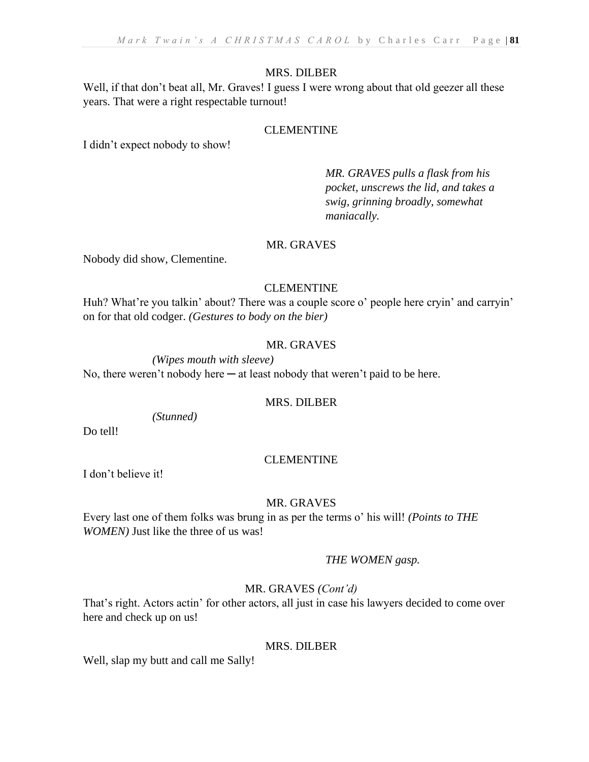# MRS. DILBER

Well, if that don't beat all, Mr. Graves! I guess I were wrong about that old geezer all these years. That were a right respectable turnout!

# CLEMENTINE

I didn't expect nobody to show!

*MR. GRAVES pulls a flask from his pocket, unscrews the lid, and takes a swig, grinning broadly, somewhat maniacally.* 

# MR. GRAVES

Nobody did show, Clementine.

# CLEMENTINE

Huh? What're you talkin' about? There was a couple score o' people here cryin' and carryin' on for that old codger. *(Gestures to body on the bier)*

# MR. GRAVES

*(Wipes mouth with sleeve)*  No, there weren't nobody here  $-$  at least nobody that weren't paid to be here.

# MRS. DILBER

*(Stunned)*

Do tell!

# CLEMENTINE

I don't believe it!

# MR. GRAVES

Every last one of them folks was brung in as per the terms o' his will! *(Points to THE WOMEN)* Just like the three of us was!

# *THE WOMEN gasp.*

# MR. GRAVES *(Cont'd)*

That's right. Actors actin' for other actors, all just in case his lawyers decided to come over here and check up on us!

# MRS. DILBER

Well, slap my butt and call me Sally!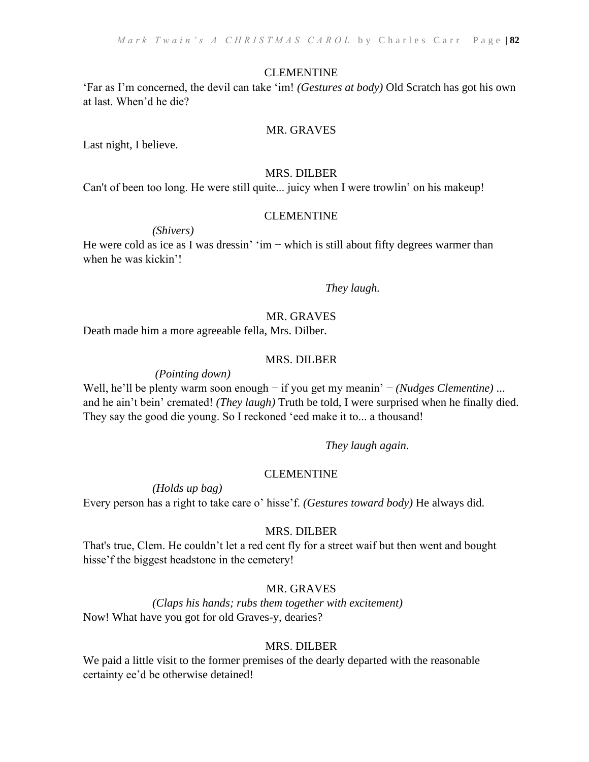#### CLEMENTINE

'Far as I'm concerned, the devil can take 'im! *(Gestures at body)* Old Scratch has got his own at last. When'd he die?

#### MR. GRAVES

Last night, I believe.

#### MRS. DILBER

Can't of been too long. He were still quite... juicy when I were trowlin' on his makeup!

#### CLEMENTINE

*(Shivers)* 

He were cold as ice as I was dressin'  $\cdot$ im – which is still about fifty degrees warmer than when he was kickin'!

*They laugh.*

### MR. GRAVES

Death made him a more agreeable fella, Mrs. Dilber.

#### MRS. DILBER

*(Pointing down)* 

Well, he'll be plenty warm soon enough − if you get my meanin' − *(Nudges Clementine)* ... and he ain't bein' cremated! *(They laugh)* Truth be told, I were surprised when he finally died. They say the good die young. So I reckoned 'eed make it to... a thousand!

*They laugh again.*

#### CLEMENTINE

*(Holds up bag)* 

Every person has a right to take care o' hisse'f. *(Gestures toward body)* He always did.

#### MRS. DILBER

That's true, Clem. He couldn't let a red cent fly for a street waif but then went and bought hisse'f the biggest headstone in the cemetery!

# MR. GRAVES

*(Claps his hands; rubs them together with excitement)* Now! What have you got for old Graves-y, dearies?

### MRS. DILBER

We paid a little visit to the former premises of the dearly departed with the reasonable certainty ee'd be otherwise detained!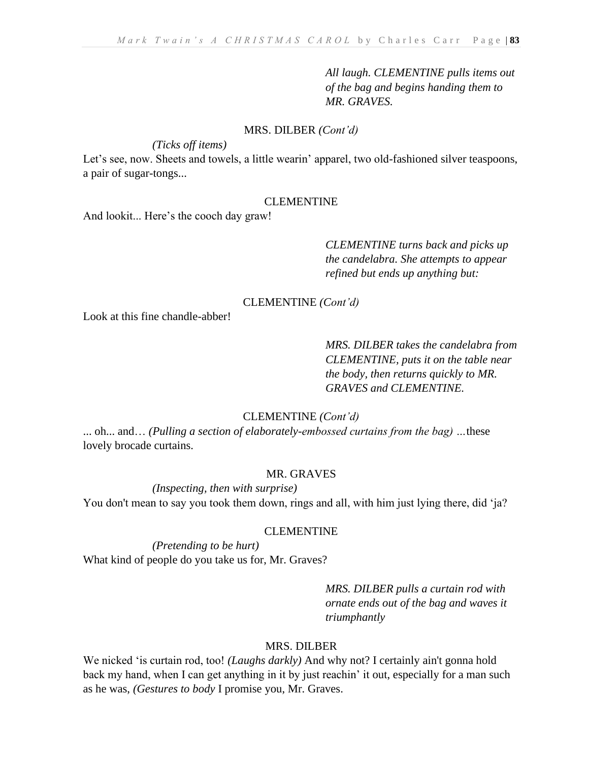*All laugh. CLEMENTINE pulls items out of the bag and begins handing them to MR. GRAVES.*

#### MRS. DILBER *(Cont'd)*

*(Ticks off items)* 

Let's see, now. Sheets and towels, a little wearin' apparel, two old-fashioned silver teaspoons, a pair of sugar-tongs...

#### **CLEMENTINE**

And lookit... Here's the cooch day graw!

*CLEMENTINE turns back and picks up the candelabra. She attempts to appear refined but ends up anything but:*

#### CLEMENTINE *(Cont'd)*

Look at this fine chandle-abber!

# *MRS. DILBER takes the candelabra from CLEMENTINE, puts it on the table near the body, then returns quickly to MR. GRAVES and CLEMENTINE.*

#### CLEMENTINE *(Cont'd)*

... oh... and… *(Pulling a section of elaborately-embossed curtains from the bag) …*these lovely brocade curtains.

#### MR. GRAVES

*(Inspecting, then with surprise)*  You don't mean to say you took them down, rings and all, with him just lying there, did 'ja?

#### CLEMENTINE

*(Pretending to be hurt)*  What kind of people do you take us for, Mr. Graves?

> *MRS. DILBER pulls a curtain rod with ornate ends out of the bag and waves it triumphantly*

# MRS. DILBER

We nicked 'is curtain rod, too! *(Laughs darkly)* And why not? I certainly ain't gonna hold back my hand, when I can get anything in it by just reachin' it out, especially for a man such as he was, *(Gestures to body* I promise you, Mr. Graves.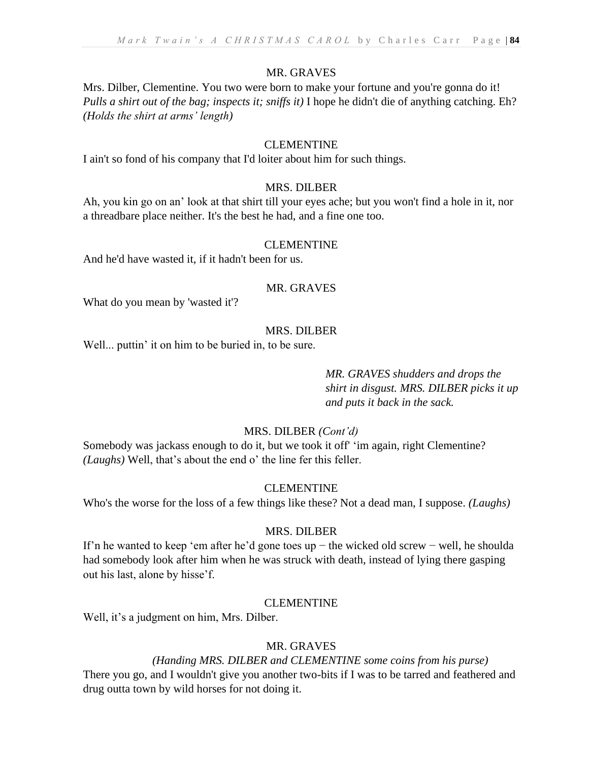# MR. GRAVES

Mrs. Dilber, Clementine. You two were born to make your fortune and you're gonna do it! *Pulls a shirt out of the bag; inspects it; sniffs it)* I hope he didn't die of anything catching. Eh? *(Holds the shirt at arms' length)*

### CLEMENTINE

I ain't so fond of his company that I'd loiter about him for such things.

### MRS. DILBER

Ah, you kin go on an' look at that shirt till your eyes ache; but you won't find a hole in it, nor a threadbare place neither. It's the best he had, and a fine one too.

### CLEMENTINE

And he'd have wasted it, if it hadn't been for us.

#### MR. GRAVES

What do you mean by 'wasted it'?

### MRS. DILBER

Well... puttin' it on him to be buried in, to be sure.

*MR. GRAVES shudders and drops the shirt in disgust. MRS. DILBER picks it up and puts it back in the sack.*

# MRS. DILBER *(Cont'd)*

Somebody was jackass enough to do it, but we took it off' 'im again, right Clementine? *(Laughs)* Well, that's about the end o' the line fer this feller.

#### CLEMENTINE

Who's the worse for the loss of a few things like these? Not a dead man, I suppose. *(Laughs)*

#### MRS. DILBER

If'n he wanted to keep 'em after he'd gone toes up − the wicked old screw − well, he shoulda had somebody look after him when he was struck with death, instead of lying there gasping out his last, alone by hisse'f.

# **CLEMENTINE**

Well, it's a judgment on him, Mrs. Dilber.

# MR. GRAVES

# *(Handing MRS. DILBER and CLEMENTINE some coins from his purse)*

There you go, and I wouldn't give you another two-bits if I was to be tarred and feathered and drug outta town by wild horses for not doing it.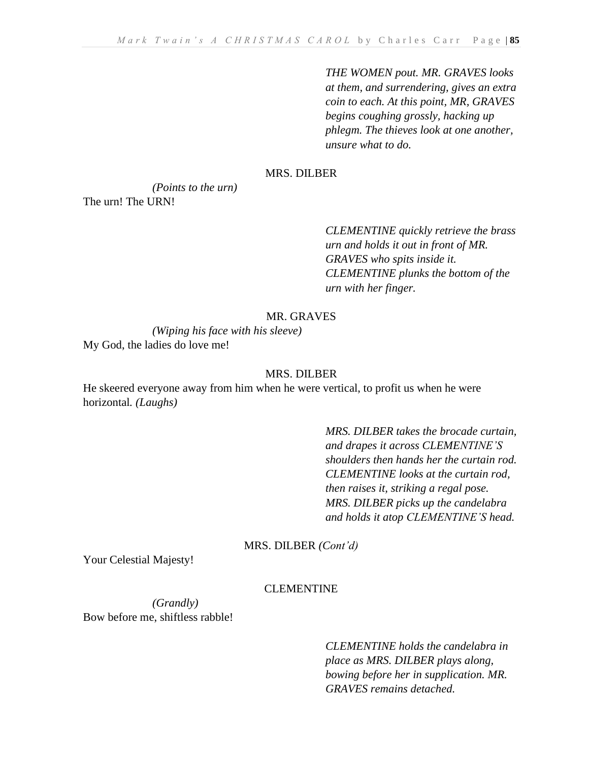*THE WOMEN pout. MR. GRAVES looks at them, and surrendering, gives an extra coin to each. At this point, MR, GRAVES begins coughing grossly, hacking up phlegm. The thieves look at one another, unsure what to do.* 

#### MRS. DILBER

*(Points to the urn)* The urn! The URN!

> *CLEMENTINE quickly retrieve the brass urn and holds it out in front of MR. GRAVES who spits inside it. CLEMENTINE plunks the bottom of the urn with her finger.*

#### MR. GRAVES

*(Wiping his face with his sleeve)* My God, the ladies do love me!

#### MRS. DILBER

He skeered everyone away from him when he were vertical, to profit us when he were horizontal*. (Laughs)*

> *MRS. DILBER takes the brocade curtain, and drapes it across CLEMENTINE'S shoulders then hands her the curtain rod. CLEMENTINE looks at the curtain rod, then raises it, striking a regal pose. MRS. DILBER picks up the candelabra and holds it atop CLEMENTINE'S head.*

MRS. DILBER *(Cont'd)*

Your Celestial Majesty!

# **CLEMENTINE**

*(Grandly)*  Bow before me, shiftless rabble!

> *CLEMENTINE holds the candelabra in place as MRS. DILBER plays along, bowing before her in supplication. MR. GRAVES remains detached.*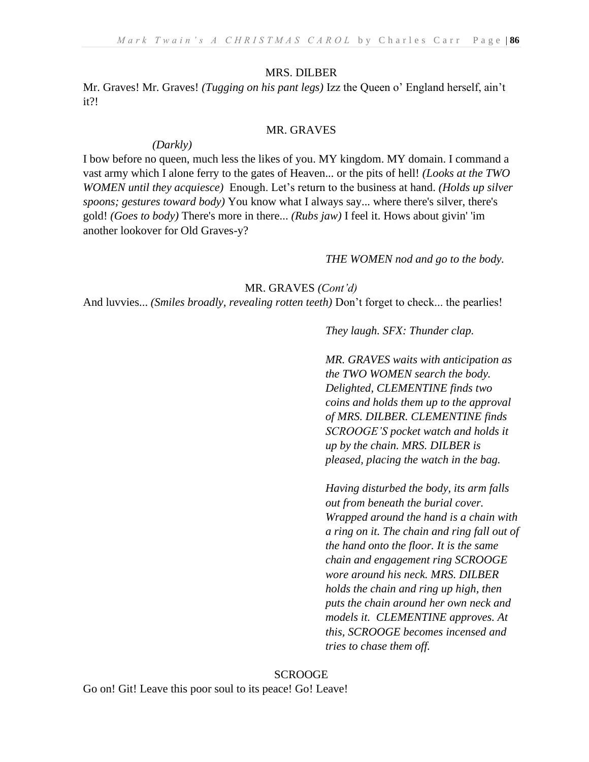#### MRS. DILBER

Mr. Graves! Mr. Graves! *(Tugging on his pant legs)* Izz the Queen o' England herself, ain't it?!

#### MR. GRAVES

#### *(Darkly)*

I bow before no queen, much less the likes of you. MY kingdom. MY domain. I command a vast army which I alone ferry to the gates of Heaven... or the pits of hell! *(Looks at the TWO WOMEN until they acquiesce)* Enough. Let's return to the business at hand. *(Holds up silver spoons; gestures toward body)* You know what I always say... where there's silver, there's gold! *(Goes to body)* There's more in there... *(Rubs jaw)* I feel it. Hows about givin' 'im another lookover for Old Graves-y?

#### *THE WOMEN nod and go to the body.*

MR. GRAVES *(Cont'd)*

And luvvies... *(Smiles broadly, revealing rotten teeth)* Don't forget to check... the pearlies!

*They laugh. SFX: Thunder clap.*

*MR. GRAVES waits with anticipation as the TWO WOMEN search the body. Delighted, CLEMENTINE finds two coins and holds them up to the approval of MRS. DILBER. CLEMENTINE finds SCROOGE'S pocket watch and holds it up by the chain. MRS. DILBER is pleased, placing the watch in the bag.* 

*Having disturbed the body, its arm falls out from beneath the burial cover. Wrapped around the hand is a chain with a ring on it. The chain and ring fall out of the hand onto the floor. It is the same chain and engagement ring SCROOGE wore around his neck. MRS. DILBER holds the chain and ring up high, then puts the chain around her own neck and models it. CLEMENTINE approves. At this, SCROOGE becomes incensed and tries to chase them off.*

**SCROOGE** Go on! Git! Leave this poor soul to its peace! Go! Leave!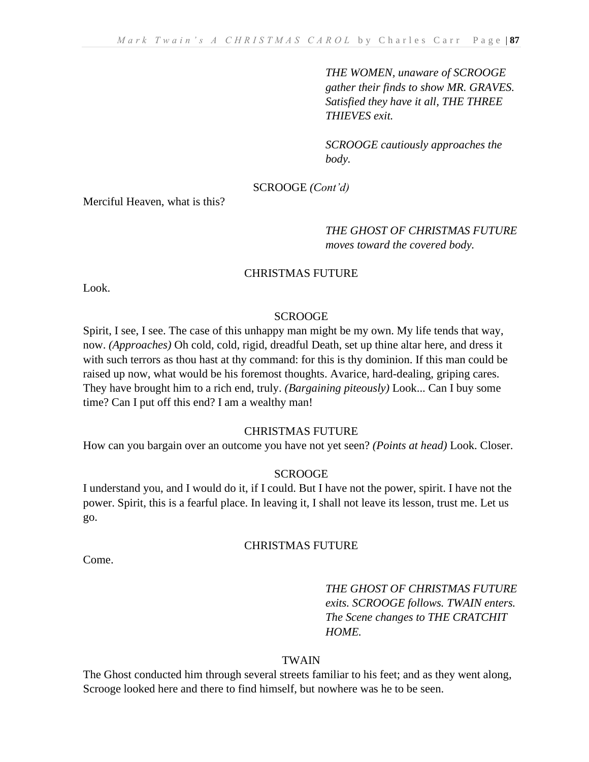*THE WOMEN, unaware of SCROOGE gather their finds to show MR. GRAVES. Satisfied they have it all, THE THREE THIEVES exit.* 

*SCROOGE cautiously approaches the body.*

### SCROOGE *(Cont'd)*

Merciful Heaven, what is this?

# *THE GHOST OF CHRISTMAS FUTURE moves toward the covered body.*

#### CHRISTMAS FUTURE

Look.

#### **SCROOGE**

Spirit, I see, I see. The case of this unhappy man might be my own. My life tends that way, now. *(Approaches)* Oh cold, cold, rigid, dreadful Death, set up thine altar here, and dress it with such terrors as thou hast at thy command: for this is thy dominion. If this man could be raised up now, what would be his foremost thoughts. Avarice, hard-dealing, griping cares. They have brought him to a rich end, truly. *(Bargaining piteously)* Look... Can I buy some time? Can I put off this end? I am a wealthy man!

### CHRISTMAS FUTURE

How can you bargain over an outcome you have not yet seen? *(Points at head)* Look. Closer.

#### **SCROOGE**

I understand you, and I would do it, if I could. But I have not the power, spirit. I have not the power. Spirit, this is a fearful place. In leaving it, I shall not leave its lesson, trust me. Let us go.

#### CHRISTMAS FUTURE

Come.

# *THE GHOST OF CHRISTMAS FUTURE exits. SCROOGE follows. TWAIN enters. The Scene changes to THE CRATCHIT HOME.*

#### TWAIN

The Ghost conducted him through several streets familiar to his feet; and as they went along, Scrooge looked here and there to find himself, but nowhere was he to be seen.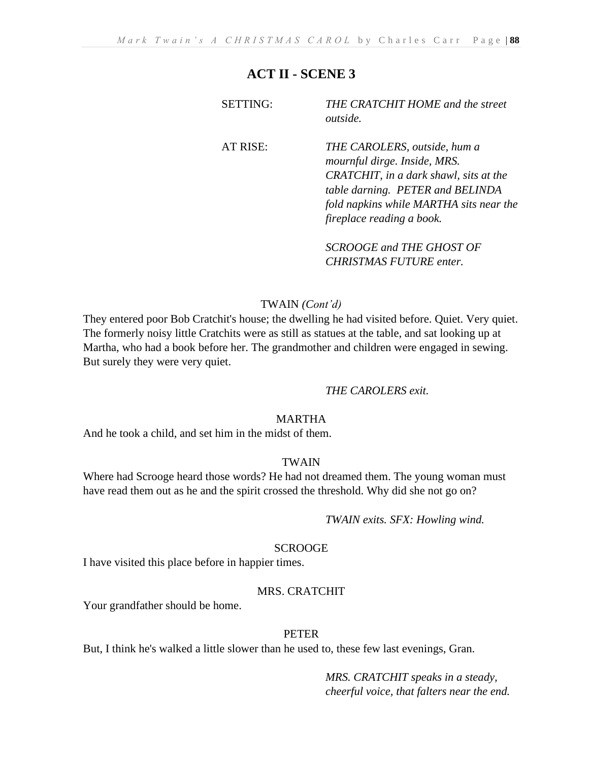| <b>SETTING:</b> | THE CRATCHIT HOME and the street<br><i>outside.</i>                                                                                                                                                                |
|-----------------|--------------------------------------------------------------------------------------------------------------------------------------------------------------------------------------------------------------------|
| AT RISE:        | THE CAROLERS, outside, hum a<br>mournful dirge. Inside, MRS.<br>CRATCHIT, in a dark shawl, sits at the<br>table darning. PETER and BELINDA<br>fold napkins while MARTHA sits near the<br>fireplace reading a book. |

*SCROOGE and THE GHOST OF CHRISTMAS FUTURE enter.*

### TWAIN *(Cont'd)*

They entered poor Bob Cratchit's house; the dwelling he had visited before. Quiet. Very quiet. The formerly noisy little Cratchits were as still as statues at the table, and sat looking up at Martha, who had a book before her. The grandmother and children were engaged in sewing. But surely they were very quiet.

#### *THE CAROLERS exit.*

### MARTHA

And he took a child, and set him in the midst of them.

#### TWAIN

Where had Scrooge heard those words? He had not dreamed them. The young woman must have read them out as he and the spirit crossed the threshold. Why did she not go on?

*TWAIN exits. SFX: Howling wind.*

#### SCROOGE

I have visited this place before in happier times.

#### MRS. CRATCHIT

Your grandfather should be home.

#### PETER

But, I think he's walked a little slower than he used to, these few last evenings, Gran.

*MRS. CRATCHIT speaks in a steady, cheerful voice, that falters near the end.*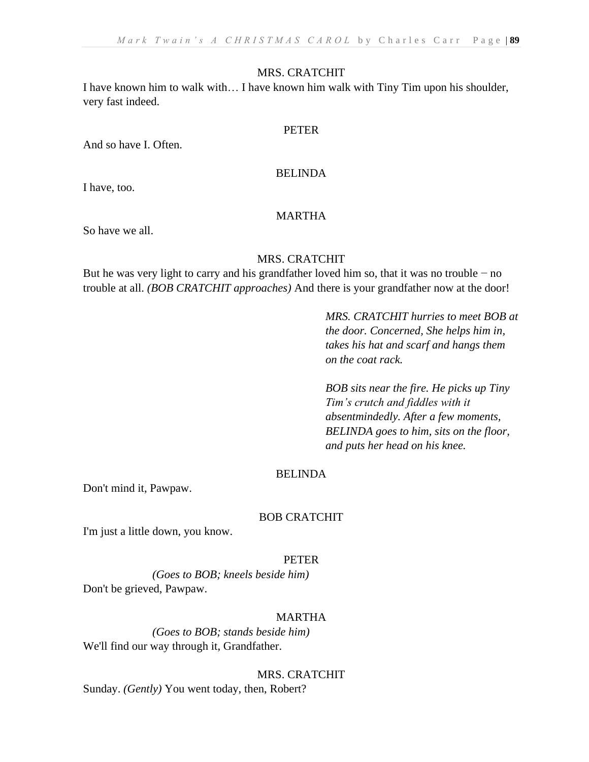#### MRS. CRATCHIT

I have known him to walk with… I have known him walk with Tiny Tim upon his shoulder, very fast indeed.

#### PETER

And so have I. Often.

#### BELINDA

I have, too.

### MARTHA

So have we all.

#### MRS. CRATCHIT

But he was very light to carry and his grandfather loved him so, that it was no trouble − no trouble at all. *(BOB CRATCHIT approaches)* And there is your grandfather now at the door!

> *MRS. CRATCHIT hurries to meet BOB at the door. Concerned, She helps him in, takes his hat and scarf and hangs them on the coat rack.*

*BOB sits near the fire. He picks up Tiny Tim's crutch and fiddles with it absentmindedly. After a few moments, BELINDA goes to him, sits on the floor, and puts her head on his knee.*

#### **BELINDA**

Don't mind it, Pawpaw.

#### BOB CRATCHIT

I'm just a little down, you know.

#### PETER

*(Goes to BOB; kneels beside him)* Don't be grieved, Pawpaw.

#### MARTHA

*(Goes to BOB; stands beside him)* We'll find our way through it, Grandfather.

MRS. CRATCHIT

Sunday. *(Gently)* You went today, then, Robert?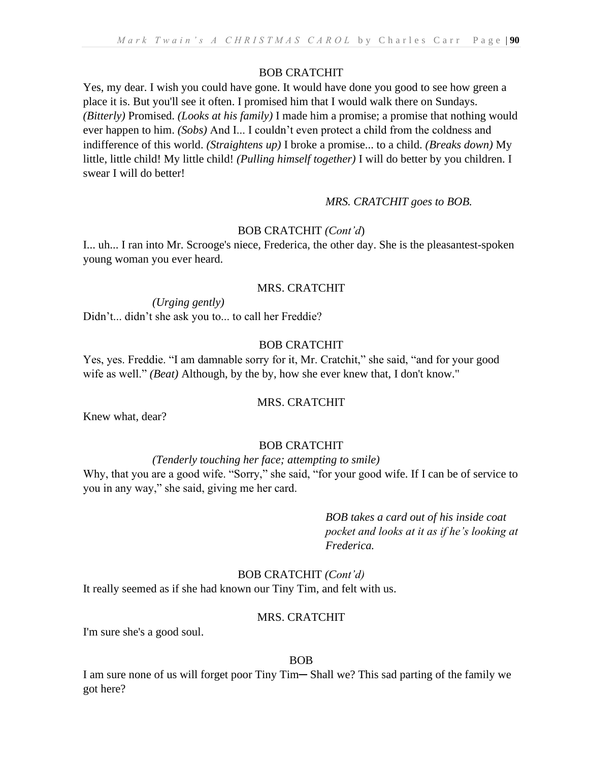# BOB CRATCHIT

Yes, my dear. I wish you could have gone. It would have done you good to see how green a place it is. But you'll see it often. I promised him that I would walk there on Sundays. *(Bitterly)* Promised. *(Looks at his family)* I made him a promise; a promise that nothing would ever happen to him. *(Sobs)* And I... I couldn't even protect a child from the coldness and indifference of this world. *(Straightens up)* I broke a promise... to a child. *(Breaks down)* My little, little child! My little child! *(Pulling himself together)* I will do better by you children. I swear I will do better!

# *MRS. CRATCHIT goes to BOB.*

# BOB CRATCHIT *(Cont'd*)

I... uh... I ran into Mr. Scrooge's niece, Frederica, the other day. She is the pleasantest-spoken young woman you ever heard.

# MRS. CRATCHIT

*(Urging gently)*  Didn't... didn't she ask you to... to call her Freddie?

# BOB CRATCHIT

Yes, yes. Freddie. "I am damnable sorry for it, Mr. Cratchit," she said, "and for your good wife as well." *(Beat)* Although, by the by, how she ever knew that, I don't know."

#### MRS. CRATCHIT

Knew what, dear?

# BOB CRATCHIT

# *(Tenderly touching her face; attempting to smile)*

Why, that you are a good wife. "Sorry," she said, "for your good wife. If I can be of service to you in any way," she said, giving me her card.

> *BOB takes a card out of his inside coat pocket and looks at it as if he's looking at Frederica.*

# BOB CRATCHIT *(Cont'd)*

It really seemed as if she had known our Tiny Tim, and felt with us.

# MRS. CRATCHIT

I'm sure she's a good soul.

#### BOB

I am sure none of us will forget poor Tiny Tim—Shall we? This sad parting of the family we got here?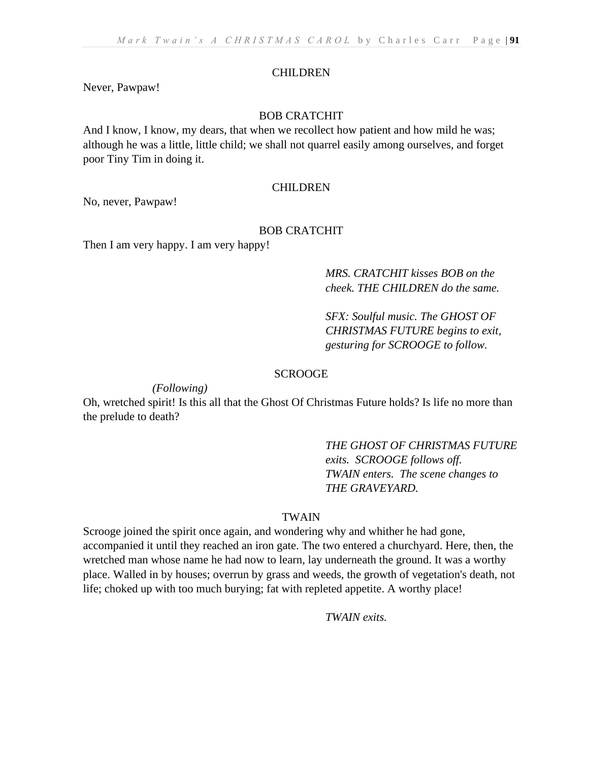#### CHILDREN

Never, Pawpaw!

#### BOB CRATCHIT

And I know, I know, my dears, that when we recollect how patient and how mild he was; although he was a little, little child; we shall not quarrel easily among ourselves, and forget poor Tiny Tim in doing it.

### **CHILDREN**

No, never, Pawpaw!

#### BOB CRATCHIT

Then I am very happy. I am very happy!

# *MRS. CRATCHIT kisses BOB on the cheek. THE CHILDREN do the same.*

*SFX: Soulful music. The GHOST OF CHRISTMAS FUTURE begins to exit, gesturing for SCROOGE to follow.*

#### **SCROOGE**

*(Following)*

Oh, wretched spirit! Is this all that the Ghost Of Christmas Future holds? Is life no more than the prelude to death?

> *THE GHOST OF CHRISTMAS FUTURE exits. SCROOGE follows off. TWAIN enters. The scene changes to THE GRAVEYARD.*

# TWAIN

Scrooge joined the spirit once again, and wondering why and whither he had gone, accompanied it until they reached an iron gate. The two entered a churchyard. Here, then, the wretched man whose name he had now to learn, lay underneath the ground. It was a worthy place. Walled in by houses; overrun by grass and weeds, the growth of vegetation's death, not life; choked up with too much burying; fat with repleted appetite. A worthy place!

*TWAIN exits.*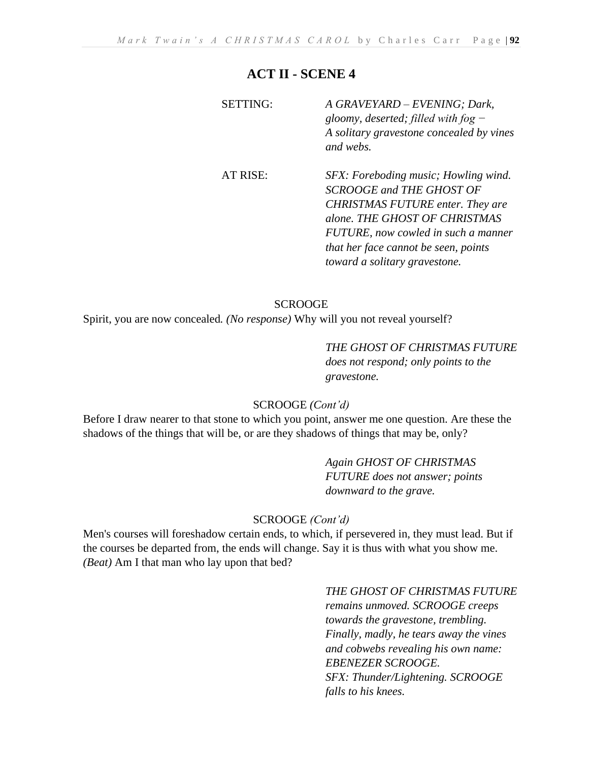| <b>SETTING:</b> | A GRAVEYARD - EVENING; Dark,<br>gloomy, deserted; filled with fog $-$<br>A solitary gravestone concealed by vines<br>and webs.                                                                                                                                      |
|-----------------|---------------------------------------------------------------------------------------------------------------------------------------------------------------------------------------------------------------------------------------------------------------------|
| AT RISE:        | SFX: Foreboding music; Howling wind.<br><b>SCROOGE and THE GHOST OF</b><br><b>CHRISTMAS FUTURE enter. They are</b><br>alone. THE GHOST OF CHRISTMAS<br>FUTURE, now cowled in such a manner<br>that her face cannot be seen, points<br>toward a solitary gravestone. |

### **SCROOGE**

Spirit, you are now concealed*. (No response)* Why will you not reveal yourself?

# *THE GHOST OF CHRISTMAS FUTURE*

*does not respond; only points to the gravestone.*

# SCROOGE *(Cont'd)*

Before I draw nearer to that stone to which you point, answer me one question. Are these the shadows of the things that will be, or are they shadows of things that may be, only?

> *Again GHOST OF CHRISTMAS FUTURE does not answer; points downward to the grave.*

#### SCROOGE *(Cont'd)*

Men's courses will foreshadow certain ends, to which, if persevered in, they must lead. But if the courses be departed from, the ends will change. Say it is thus with what you show me. *(Beat)* Am I that man who lay upon that bed?

# *THE GHOST OF CHRISTMAS FUTURE remains unmoved. SCROOGE creeps towards the gravestone, trembling. Finally, madly, he tears away the vines and cobwebs revealing his own name: EBENEZER SCROOGE. SFX: Thunder/Lightening. SCROOGE falls to his knees.*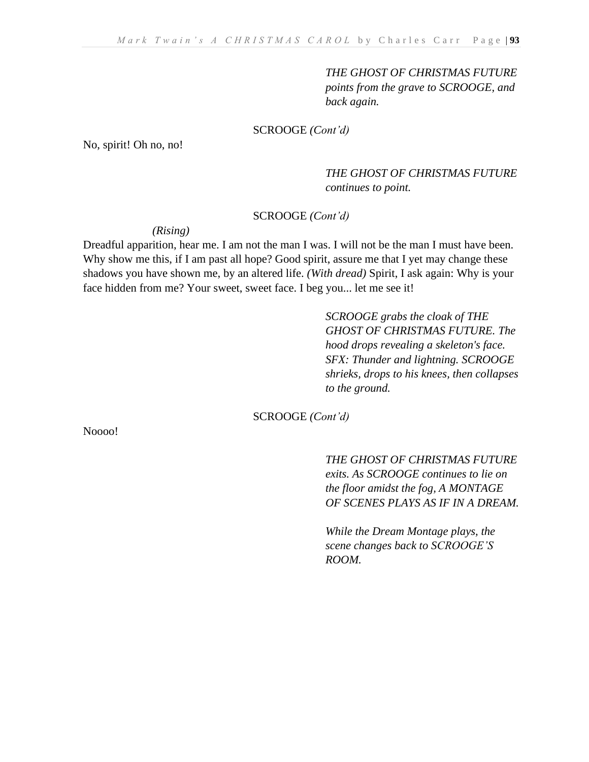*THE GHOST OF CHRISTMAS FUTURE points from the grave to SCROOGE, and back again.*

#### SCROOGE *(Cont'd)*

No, spirit! Oh no, no!

*THE GHOST OF CHRISTMAS FUTURE continues to point.*

#### SCROOGE *(Cont'd)*

#### *(Rising)*

Dreadful apparition, hear me. I am not the man I was. I will not be the man I must have been. Why show me this, if I am past all hope? Good spirit, assure me that I yet may change these shadows you have shown me, by an altered life. *(With dread)* Spirit, I ask again: Why is your face hidden from me? Your sweet, sweet face. I beg you... let me see it!

> *SCROOGE grabs the cloak of THE GHOST OF CHRISTMAS FUTURE. The hood drops revealing a skeleton's face. SFX: Thunder and lightning. SCROOGE shrieks, drops to his knees, then collapses to the ground.*

SCROOGE *(Cont'd)*

Noooo!

*THE GHOST OF CHRISTMAS FUTURE exits. As SCROOGE continues to lie on the floor amidst the fog, A MONTAGE OF SCENES PLAYS AS IF IN A DREAM.*

*While the Dream Montage plays, the scene changes back to SCROOGE'S ROOM.*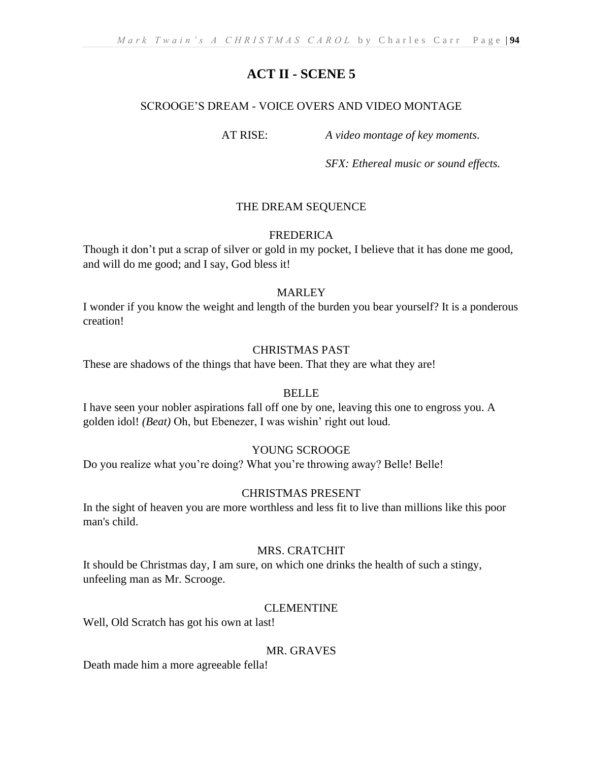# SCROOGE'S DREAM - VOICE OVERS AND VIDEO MONTAGE

AT RISE: *A video montage of key moments.*

*SFX: Ethereal music or sound effects.*

# THE DREAM SEQUENCE

# FREDERICA

Though it don't put a scrap of silver or gold in my pocket, I believe that it has done me good, and will do me good; and I say, God bless it!

# **MARLEY**

I wonder if you know the weight and length of the burden you bear yourself? It is a ponderous creation!

# CHRISTMAS PAST

These are shadows of the things that have been. That they are what they are!

# BELLE

I have seen your nobler aspirations fall off one by one, leaving this one to engross you. A golden idol! *(Beat)* Oh, but Ebenezer, I was wishin' right out loud.

# YOUNG SCROOGE

Do you realize what you're doing? What you're throwing away? Belle! Belle!

# CHRISTMAS PRESENT

In the sight of heaven you are more worthless and less fit to live than millions like this poor man's child.

# MRS. CRATCHIT

It should be Christmas day, I am sure, on which one drinks the health of such a stingy, unfeeling man as Mr. Scrooge.

# CLEMENTINE

Well, Old Scratch has got his own at last!

# MR. GRAVES

Death made him a more agreeable fella!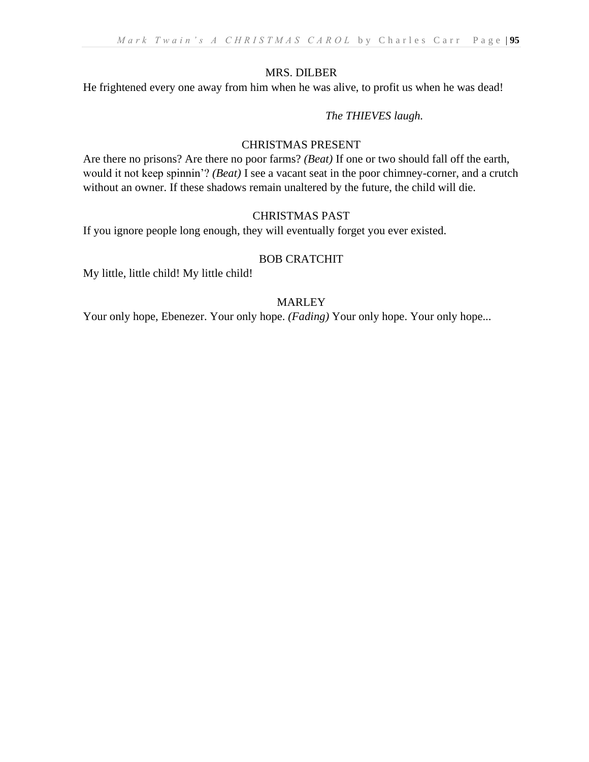# MRS. DILBER

He frightened every one away from him when he was alive, to profit us when he was dead!

# *The THIEVES laugh.*

# CHRISTMAS PRESENT

Are there no prisons? Are there no poor farms? *(Beat)* If one or two should fall off the earth, would it not keep spinnin'? *(Beat)* I see a vacant seat in the poor chimney-corner, and a crutch without an owner. If these shadows remain unaltered by the future, the child will die.

# CHRISTMAS PAST

If you ignore people long enough, they will eventually forget you ever existed.

# BOB CRATCHIT

My little, little child! My little child!

# MARLEY

Your only hope, Ebenezer. Your only hope. *(Fading)* Your only hope. Your only hope...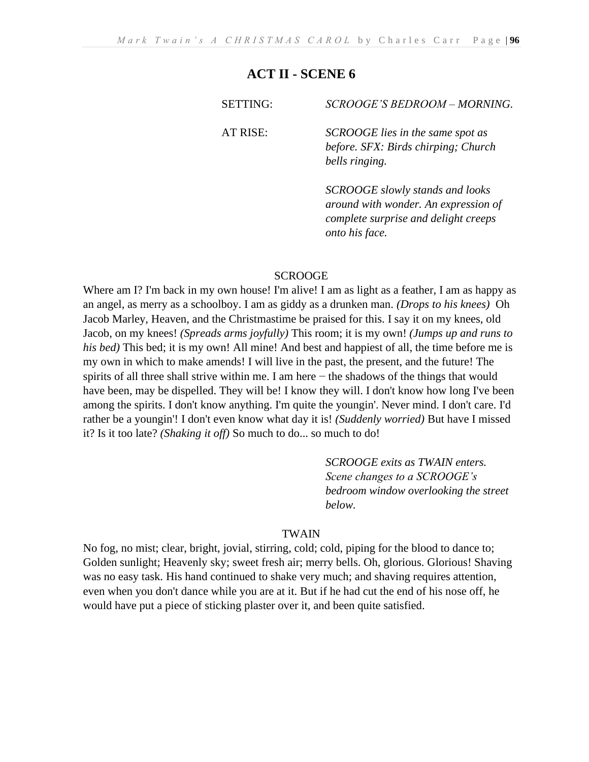| <b>SETTING:</b> | SCROOGE'S BEDROOM - MORNING.                                                              |
|-----------------|-------------------------------------------------------------------------------------------|
| AT RISE:        | SCROOGE lies in the same spot as<br>before. SFX: Birds chirping; Church<br>bells ringing. |
|                 | SCROOGE slowly stands and looks                                                           |

*SCROOGE slowly stands and looks around with wonder. An expression of complete surprise and delight creeps onto his face.*

#### **SCROOGE**

Where am I? I'm back in my own house! I'm alive! I am as light as a feather, I am as happy as an angel, as merry as a schoolboy. I am as giddy as a drunken man. *(Drops to his knees)* Oh Jacob Marley, Heaven, and the Christmastime be praised for this. I say it on my knees, old Jacob, on my knees! *(Spreads arms joyfully)* This room; it is my own! *(Jumps up and runs to his bed)* This bed; it is my own! All mine! And best and happiest of all, the time before me is my own in which to make amends! I will live in the past, the present, and the future! The spirits of all three shall strive within me. I am here − the shadows of the things that would have been, may be dispelled. They will be! I know they will. I don't know how long I've been among the spirits. I don't know anything. I'm quite the youngin'. Never mind. I don't care. I'd rather be a youngin'! I don't even know what day it is! *(Suddenly worried)* But have I missed it? Is it too late? *(Shaking it off)* So much to do... so much to do!

> *SCROOGE exits as TWAIN enters. Scene changes to a SCROOGE's bedroom window overlooking the street below.*

#### TWAIN

No fog, no mist; clear, bright, jovial, stirring, cold; cold, piping for the blood to dance to; Golden sunlight; Heavenly sky; sweet fresh air; merry bells. Oh, glorious. Glorious! Shaving was no easy task. His hand continued to shake very much; and shaving requires attention, even when you don't dance while you are at it. But if he had cut the end of his nose off, he would have put a piece of sticking plaster over it, and been quite satisfied.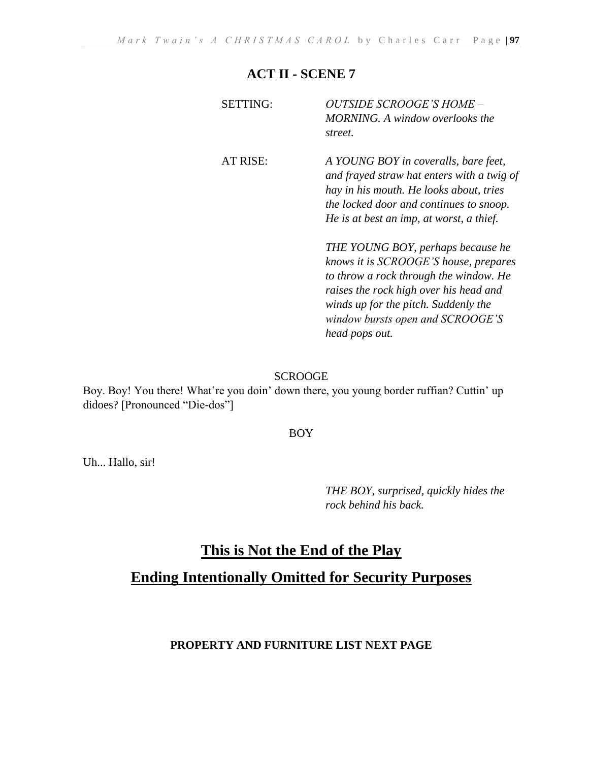| <b>SETTING:</b> | <i>OUTSIDE SCROOGE'S HOME -</i><br><b>MORNING.</b> A window overlooks the<br>street.                                                                                                                                                       |
|-----------------|--------------------------------------------------------------------------------------------------------------------------------------------------------------------------------------------------------------------------------------------|
| AT RISE:        | A YOUNG BOY in coveralls, bare feet,<br>and frayed straw hat enters with a twig of<br>hay in his mouth. He looks about, tries<br>the locked door and continues to snoop.<br>He is at best an imp, at worst, a thief.                       |
|                 | THE YOUNG BOY, perhaps because he<br>knows it is SCROOGE'S house, prepares<br>to throw a rock through the window. He<br>raises the rock high over his head and<br>winds up for the pitch. Suddenly the<br>window bursts open and SCROOGE'S |

*head pops out.*

### SCROOGE

Boy. Boy! You there! What're you doin' down there, you young border ruffian? Cuttin' up didoes? [Pronounced "Die-dos"]

### BOY

Uh... Hallo, sir!

*THE BOY, surprised, quickly hides the rock behind his back.*

# **This is Not the End of the Play Ending Intentionally Omitted for Security Purposes**

# **PROPERTY AND FURNITURE LIST NEXT PAGE**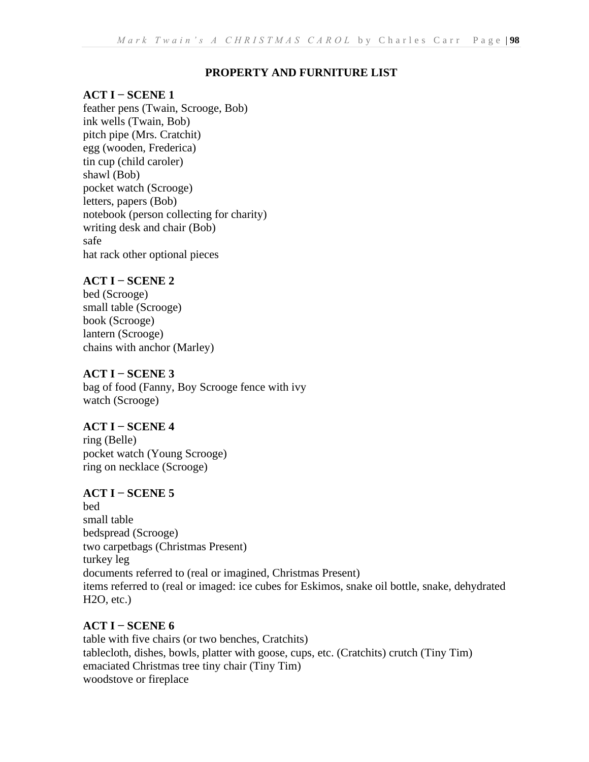# **PROPERTY AND FURNITURE LIST**

# **ACT I − SCENE 1**

feather pens (Twain, Scrooge, Bob) ink wells (Twain, Bob) pitch pipe (Mrs. Cratchit) egg (wooden, Frederica) tin cup (child caroler) shawl (Bob) pocket watch (Scrooge) letters, papers (Bob) notebook (person collecting for charity) writing desk and chair (Bob) safe hat rack other optional pieces

# **ACT I − SCENE 2**

bed (Scrooge) small table (Scrooge) book (Scrooge) lantern (Scrooge) chains with anchor (Marley)

# **ACT I − SCENE 3**

bag of food (Fanny, Boy Scrooge fence with ivy watch (Scrooge)

**ACT I − SCENE 4**  ring (Belle) pocket watch (Young Scrooge) ring on necklace (Scrooge)

# **ACT I − SCENE 5**

bed small table bedspread (Scrooge) two carpetbags (Christmas Present) turkey leg documents referred to (real or imagined, Christmas Present) items referred to (real or imaged: ice cubes for Eskimos, snake oil bottle, snake, dehydrated H2O, etc.)

# **ACT I − SCENE 6**

table with five chairs (or two benches, Cratchits) tablecloth, dishes, bowls, platter with goose, cups, etc. (Cratchits) crutch (Tiny Tim) emaciated Christmas tree tiny chair (Tiny Tim) woodstove or fireplace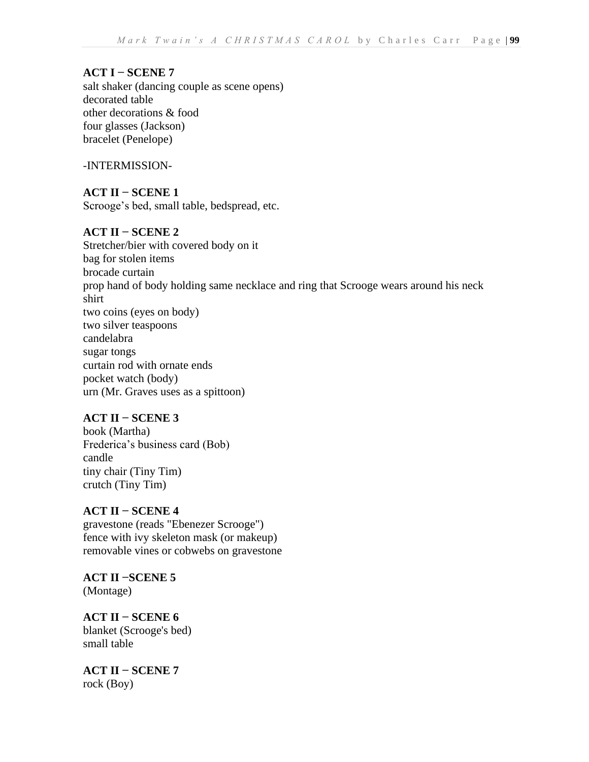# **ACT I − SCENE 7**

salt shaker (dancing couple as scene opens) decorated table other decorations & food four glasses (Jackson) bracelet (Penelope)

-INTERMISSION-

**ACT II − SCENE 1**  Scrooge's bed, small table, bedspread, etc.

# **ACT II − SCENE 2**

Stretcher/bier with covered body on it bag for stolen items brocade curtain prop hand of body holding same necklace and ring that Scrooge wears around his neck shirt two coins (eyes on body) two silver teaspoons candelabra sugar tongs curtain rod with ornate ends pocket watch (body) urn (Mr. Graves uses as a spittoon)

# **ACT II − SCENE 3**

book (Martha) Frederica's business card (Bob) candle tiny chair (Tiny Tim) crutch (Tiny Tim)

# **ACT II − SCENE 4**

gravestone (reads "Ebenezer Scrooge") fence with ivy skeleton mask (or makeup) removable vines or cobwebs on gravestone

**ACT II −SCENE 5**  (Montage)

**ACT II − SCENE 6**  blanket (Scrooge's bed) small table

**ACT II − SCENE 7** rock (Boy)